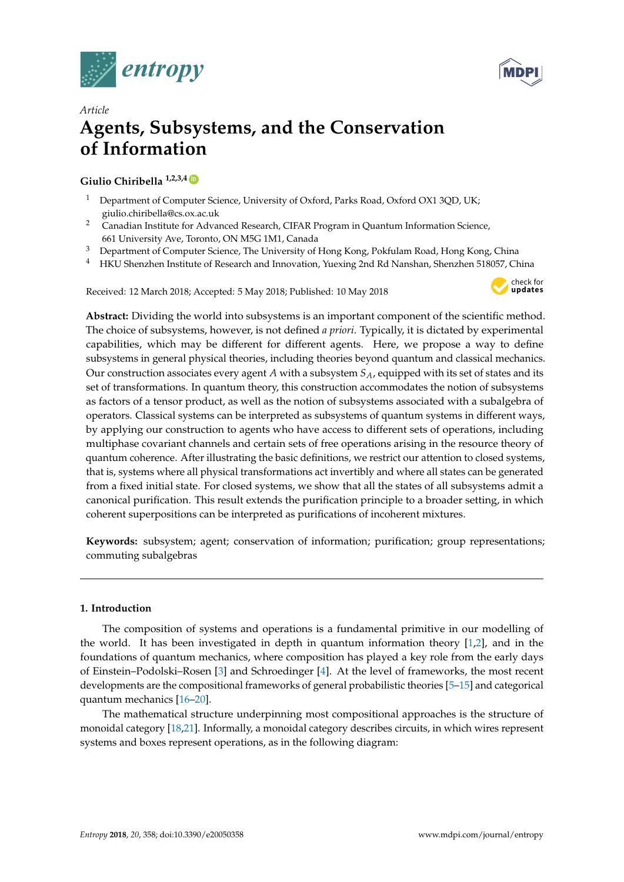



# *Article* **Agents, Subsystems, and the Conservation of Information**

# **Giulio Chiribella 1,2,3,4 [ID](https://orcid.org/0000-0002-1339-0656)**

- <sup>1</sup> Department of Computer Science, University of Oxford, Parks Road, Oxford OX1 3QD, UK; giulio.chiribella@cs.ox.ac.uk
- <sup>2</sup> Canadian Institute for Advanced Research, CIFAR Program in Quantum Information Science, 661 University Ave, Toronto, ON M5G 1M1, Canada
- <sup>3</sup> Department of Computer Science, The University of Hong Kong, Pokfulam Road, Hong Kong, China
- <sup>4</sup> HKU Shenzhen Institute of Research and Innovation, Yuexing 2nd Rd Nanshan, Shenzhen 518057, China

Received: 12 March 2018; Accepted: 5 May 2018; Published: 10 May 2018



**Abstract:** Dividing the world into subsystems is an important component of the scientific method. The choice of subsystems, however, is not defined *a priori*. Typically, it is dictated by experimental capabilities, which may be different for different agents. Here, we propose a way to define subsystems in general physical theories, including theories beyond quantum and classical mechanics. Our construction associates every agent *A* with a subsystem *SA*, equipped with its set of states and its set of transformations. In quantum theory, this construction accommodates the notion of subsystems as factors of a tensor product, as well as the notion of subsystems associated with a subalgebra of operators. Classical systems can be interpreted as subsystems of quantum systems in different ways, by applying our construction to agents who have access to different sets of operations, including multiphase covariant channels and certain sets of free operations arising in the resource theory of quantum coherence. After illustrating the basic definitions, we restrict our attention to closed systems, that is, systems where all physical transformations act invertibly and where all states can be generated from a fixed initial state. For closed systems, we show that all the states of all subsystems admit a canonical purification. This result extends the purification principle to a broader setting, in which coherent superpositions can be interpreted as purifications of incoherent mixtures.

**Keywords:** subsystem; agent; conservation of information; purification; group representations; commuting subalgebras

# **1. Introduction**

The composition of systems and operations is a fundamental primitive in our modelling of the world. It has been investigated in depth in quantum information theory [\[1,](#page-50-0)[2\]](#page-50-1), and in the foundations of quantum mechanics, where composition has played a key role from the early days of Einstein–Podolski–Rosen [\[3\]](#page-50-2) and Schroedinger [\[4\]](#page-50-3). At the level of frameworks, the most recent developments are the compositional frameworks of general probabilistic theories [\[5](#page-50-4)[–15\]](#page-50-5) and categorical quantum mechanics [\[16](#page-51-0)[–20\]](#page-51-1).

The mathematical structure underpinning most compositional approaches is the structure of monoidal category [\[18](#page-51-2)[,21\]](#page-51-3). Informally, a monoidal category describes circuits, in which wires represent systems and boxes represent operations, as in the following diagram: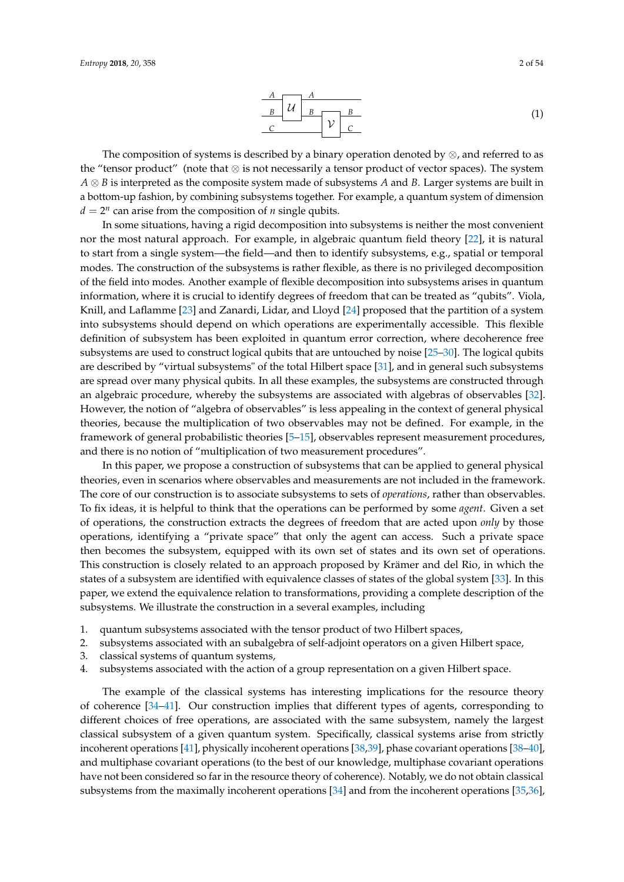$$
\begin{array}{c|c}\nA & A \\
\hline\nB & U & B \\
\hline\nC & & \n\end{array}
$$
 (1)

The composition of systems is described by a binary operation denoted by  $\otimes$ , and referred to as the "tensor product" (note that ⊗ is not necessarily a tensor product of vector spaces). The system *A* ⊗ *B* is interpreted as the composite system made of subsystems *A* and *B*. Larger systems are built in a bottom-up fashion, by combining subsystems together. For example, a quantum system of dimension  $d = 2^n$  can arise from the composition of *n* single qubits.

In some situations, having a rigid decomposition into subsystems is neither the most convenient nor the most natural approach. For example, in algebraic quantum field theory [\[22\]](#page-51-4), it is natural to start from a single system—the field—and then to identify subsystems, e.g., spatial or temporal modes. The construction of the subsystems is rather flexible, as there is no privileged decomposition of the field into modes. Another example of flexible decomposition into subsystems arises in quantum information, where it is crucial to identify degrees of freedom that can be treated as "qubits". Viola, Knill, and Laflamme [\[23\]](#page-51-5) and Zanardi, Lidar, and Lloyd [\[24\]](#page-51-6) proposed that the partition of a system into subsystems should depend on which operations are experimentally accessible. This flexible definition of subsystem has been exploited in quantum error correction, where decoherence free subsystems are used to construct logical qubits that are untouched by noise [\[25](#page-51-7)[–30\]](#page-51-8). The logical qubits are described by "virtual subsystems" of the total Hilbert space [\[31\]](#page-51-9), and in general such subsystems are spread over many physical qubits. In all these examples, the subsystems are constructed through an algebraic procedure, whereby the subsystems are associated with algebras of observables [\[32\]](#page-51-10). However, the notion of "algebra of observables" is less appealing in the context of general physical theories, because the multiplication of two observables may not be defined. For example, in the framework of general probabilistic theories [\[5–](#page-50-4)[15\]](#page-50-5), observables represent measurement procedures, and there is no notion of "multiplication of two measurement procedures".

In this paper, we propose a construction of subsystems that can be applied to general physical theories, even in scenarios where observables and measurements are not included in the framework. The core of our construction is to associate subsystems to sets of *operations*, rather than observables. To fix ideas, it is helpful to think that the operations can be performed by some *agent*. Given a set of operations, the construction extracts the degrees of freedom that are acted upon *only* by those operations, identifying a "private space" that only the agent can access. Such a private space then becomes the subsystem, equipped with its own set of states and its own set of operations. This construction is closely related to an approach proposed by Krämer and del Rio, in which the states of a subsystem are identified with equivalence classes of states of the global system [\[33\]](#page-51-11). In this paper, we extend the equivalence relation to transformations, providing a complete description of the subsystems. We illustrate the construction in a several examples, including

- 1. quantum subsystems associated with the tensor product of two Hilbert spaces,
- 2. subsystems associated with an subalgebra of self-adjoint operators on a given Hilbert space,
- 3. classical systems of quantum systems,
- 4. subsystems associated with the action of a group representation on a given Hilbert space.

The example of the classical systems has interesting implications for the resource theory of coherence [\[34–](#page-51-12)[41\]](#page-51-13). Our construction implies that different types of agents, corresponding to different choices of free operations, are associated with the same subsystem, namely the largest classical subsystem of a given quantum system. Specifically, classical systems arise from strictly incoherent operations [\[41\]](#page-51-13), physically incoherent operations [\[38](#page-51-14)[,39\]](#page-51-15), phase covariant operations [\[38](#page-51-14)[–40\]](#page-51-16), and multiphase covariant operations (to the best of our knowledge, multiphase covariant operations have not been considered so far in the resource theory of coherence). Notably, we do not obtain classical subsystems from the maximally incoherent operations [\[34\]](#page-51-12) and from the incoherent operations [\[35](#page-51-17)[,36\]](#page-51-18),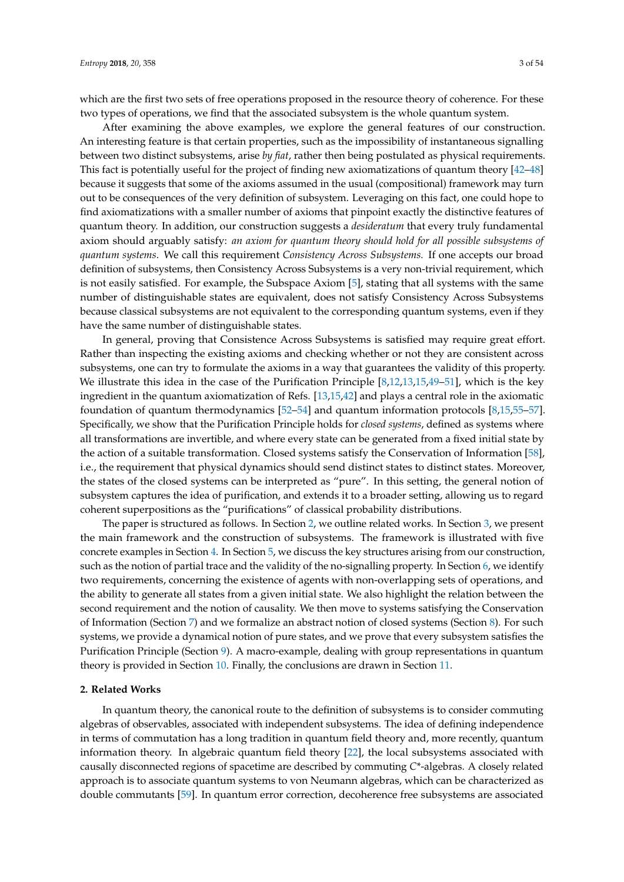which are the first two sets of free operations proposed in the resource theory of coherence. For these two types of operations, we find that the associated subsystem is the whole quantum system.

After examining the above examples, we explore the general features of our construction. An interesting feature is that certain properties, such as the impossibility of instantaneous signalling between two distinct subsystems, arise *by fiat*, rather then being postulated as physical requirements. This fact is potentially useful for the project of finding new axiomatizations of quantum theory [\[42–](#page-51-19)[48\]](#page-52-0) because it suggests that some of the axioms assumed in the usual (compositional) framework may turn out to be consequences of the very definition of subsystem. Leveraging on this fact, one could hope to find axiomatizations with a smaller number of axioms that pinpoint exactly the distinctive features of quantum theory. In addition, our construction suggests a *desideratum* that every truly fundamental axiom should arguably satisfy: *an axiom for quantum theory should hold for all possible subsystems of quantum systems*. We call this requirement *Consistency Across Subsystems.* If one accepts our broad definition of subsystems, then Consistency Across Subsystems is a very non-trivial requirement, which is not easily satisfied. For example, the Subspace Axiom [\[5\]](#page-50-4), stating that all systems with the same number of distinguishable states are equivalent, does not satisfy Consistency Across Subsystems because classical subsystems are not equivalent to the corresponding quantum systems, even if they have the same number of distinguishable states.

In general, proving that Consistence Across Subsystems is satisfied may require great effort. Rather than inspecting the existing axioms and checking whether or not they are consistent across subsystems, one can try to formulate the axioms in a way that guarantees the validity of this property. We illustrate this idea in the case of the Purification Principle [\[8,](#page-50-6)[12,](#page-50-7)[13,](#page-50-8)[15,](#page-50-5)[49](#page-52-1)[–51\]](#page-52-2), which is the key ingredient in the quantum axiomatization of Refs. [\[13,](#page-50-8)[15,](#page-50-5)[42\]](#page-51-19) and plays a central role in the axiomatic foundation of quantum thermodynamics [\[52–](#page-52-3)[54\]](#page-52-4) and quantum information protocols [\[8,](#page-50-6)[15,](#page-50-5)[55–](#page-52-5)[57\]](#page-52-6). Specifically, we show that the Purification Principle holds for *closed systems*, defined as systems where all transformations are invertible, and where every state can be generated from a fixed initial state by the action of a suitable transformation. Closed systems satisfy the Conservation of Information [\[58\]](#page-52-7), i.e., the requirement that physical dynamics should send distinct states to distinct states. Moreover, the states of the closed systems can be interpreted as "pure". In this setting, the general notion of subsystem captures the idea of purification, and extends it to a broader setting, allowing us to regard coherent superpositions as the "purifications" of classical probability distributions.

The paper is structured as follows. In Section [2,](#page-2-0) we outline related works. In Section [3,](#page-3-0) we present the main framework and the construction of subsystems. The framework is illustrated with five concrete examples in Section [4.](#page-8-0) In Section [5,](#page-15-0) we discuss the key structures arising from our construction, such as the notion of partial trace and the validity of the no-signalling property. In Section [6,](#page-16-0) we identify two requirements, concerning the existence of agents with non-overlapping sets of operations, and the ability to generate all states from a given initial state. We also highlight the relation between the second requirement and the notion of causality. We then move to systems satisfying the Conservation of Information (Section [7\)](#page-19-0) and we formalize an abstract notion of closed systems (Section [8\)](#page-21-0). For such systems, we provide a dynamical notion of pure states, and we prove that every subsystem satisfies the Purification Principle (Section [9\)](#page-22-0). A macro-example, dealing with group representations in quantum theory is provided in Section [10.](#page-25-0) Finally, the conclusions are drawn in Section [11.](#page-27-0)

#### <span id="page-2-0"></span>**2. Related Works**

In quantum theory, the canonical route to the definition of subsystems is to consider commuting algebras of observables, associated with independent subsystems. The idea of defining independence in terms of commutation has a long tradition in quantum field theory and, more recently, quantum information theory. In algebraic quantum field theory [\[22\]](#page-51-4), the local subsystems associated with causally disconnected regions of spacetime are described by commuting *C*\*-algebras. A closely related approach is to associate quantum systems to von Neumann algebras, which can be characterized as double commutants [\[59\]](#page-52-8). In quantum error correction, decoherence free subsystems are associated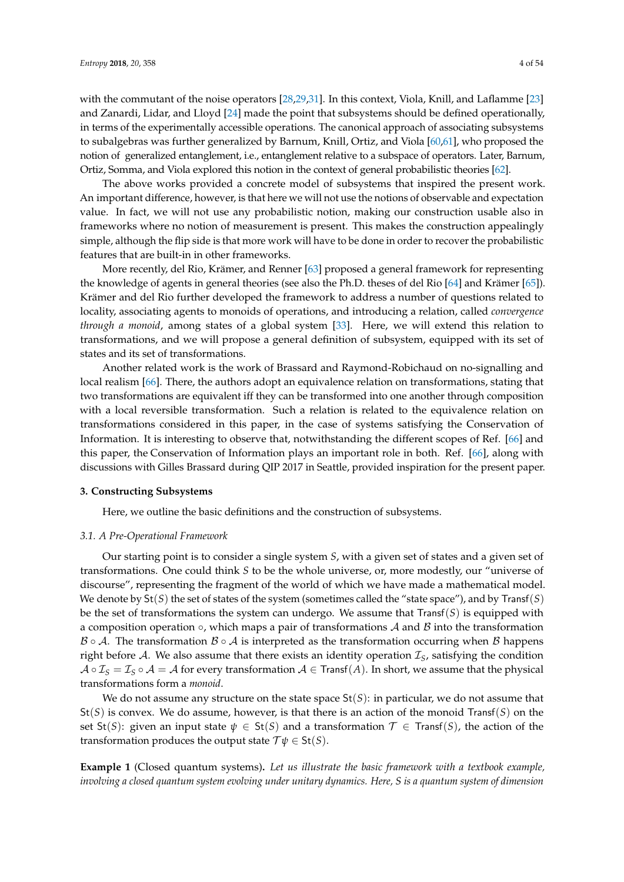with the commutant of the noise operators [\[28,](#page-51-20)[29,](#page-51-21)[31\]](#page-51-9). In this context, Viola, Knill, and Laflamme [\[23\]](#page-51-5) and Zanardi, Lidar, and Lloyd [\[24\]](#page-51-6) made the point that subsystems should be defined operationally, in terms of the experimentally accessible operations. The canonical approach of associating subsystems to subalgebras was further generalized by Barnum, Knill, Ortiz, and Viola [\[60](#page-52-9)[,61\]](#page-52-10), who proposed the notion of generalized entanglement, i.e., entanglement relative to a subspace of operators. Later, Barnum, Ortiz, Somma, and Viola explored this notion in the context of general probabilistic theories [\[62\]](#page-52-11).

The above works provided a concrete model of subsystems that inspired the present work. An important difference, however, is that here we will not use the notions of observable and expectation value. In fact, we will not use any probabilistic notion, making our construction usable also in frameworks where no notion of measurement is present. This makes the construction appealingly simple, although the flip side is that more work will have to be done in order to recover the probabilistic features that are built-in in other frameworks.

More recently, del Rio, Krämer, and Renner [\[63\]](#page-52-12) proposed a general framework for representing the knowledge of agents in general theories (see also the Ph.D. theses of del Rio [\[64\]](#page-52-13) and Krämer [\[65\]](#page-52-14)). Krämer and del Rio further developed the framework to address a number of questions related to locality, associating agents to monoids of operations, and introducing a relation, called *convergence through a monoid*, among states of a global system [\[33\]](#page-51-11). Here, we will extend this relation to transformations, and we will propose a general definition of subsystem, equipped with its set of states and its set of transformations.

Another related work is the work of Brassard and Raymond-Robichaud on no-signalling and local realism [\[66\]](#page-52-15). There, the authors adopt an equivalence relation on transformations, stating that two transformations are equivalent iff they can be transformed into one another through composition with a local reversible transformation. Such a relation is related to the equivalence relation on transformations considered in this paper, in the case of systems satisfying the Conservation of Information. It is interesting to observe that, notwithstanding the different scopes of Ref. [\[66\]](#page-52-15) and this paper, the Conservation of Information plays an important role in both. Ref. [\[66\]](#page-52-15), along with discussions with Gilles Brassard during QIP 2017 in Seattle, provided inspiration for the present paper.

#### <span id="page-3-0"></span>**3. Constructing Subsystems**

Here, we outline the basic definitions and the construction of subsystems.

#### *3.1. A Pre-Operational Framework*

Our starting point is to consider a single system *S*, with a given set of states and a given set of transformations. One could think *S* to be the whole universe, or, more modestly, our "universe of discourse", representing the fragment of the world of which we have made a mathematical model. We denote by St(*S*) the set of states of the system (sometimes called the "state space"), and by Transf(*S*) be the set of transformations the system can undergo. We assume that Transf(*S*) is equipped with a composition operation  $\circ$ , which maps a pair of transformations A and B into the transformation  $\mathcal{B} \circ \mathcal{A}$ . The transformation  $\mathcal{B} \circ \mathcal{A}$  is interpreted as the transformation occurring when  $\mathcal{B}$  happens right before  $A$ . We also assume that there exists an identity operation  $I<sub>S</sub>$ , satisfying the condition  $A \circ \mathcal{I}_S = \mathcal{I}_S \circ A = A$  for every transformation  $A \in \text{Transf}(A)$ . In short, we assume that the physical transformations form a *monoid*.

We do not assume any structure on the state space St(*S*): in particular, we do not assume that St(*S*) is convex. We do assume, however, is that there is an action of the monoid Transf(*S*) on the set St(*S*): given an input state  $\psi \in St(S)$  and a transformation  $\mathcal{T} \in Transf(S)$ , the action of the transformation produces the output state  $\mathcal{T}\psi \in \mathsf{St}(S)$ .

**Example 1** (Closed quantum systems)**.** *Let us illustrate the basic framework with a textbook example, involving a closed quantum system evolving under unitary dynamics. Here, S is a quantum system of dimension*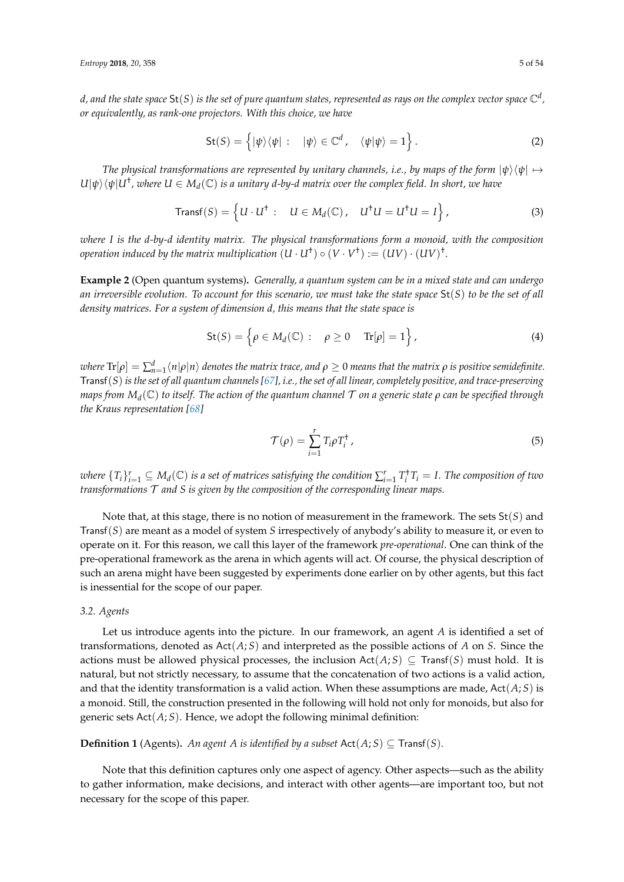$d$ , and the state space  $\mathsf{St}(S)$  is the set of pure quantum states, represented as rays on the complex vector space  $\mathbb{C}^d$  , *or equivalently, as rank-one projectors. With this choice, we have*

$$
\mathsf{St}(S) = \left\{ |\psi\rangle\langle\psi| : | \psi\rangle \in \mathbb{C}^d, \langle\psi|\psi\rangle = 1 \right\}.
$$
 (2)

*The physical transformations are represented by unitary channels, i.e., by maps of the form*  $|\psi\rangle\langle \psi| \mapsto$  $U|\psi\rangle\langle\psi|U^\dagger$ , where  $U\in M_d(\mathbb{C})$  is a unitary d-by-d matrix over the complex field. In short, we have

$$
\text{Transf}(S) = \left\{ U \cdot U^{\dagger} : \quad U \in M_d(\mathbb{C}), \quad U^{\dagger} U = U^{\dagger} U = I \right\},\tag{3}
$$

*where I is the d-by-d identity matrix. The physical transformations form a monoid, with the composition operation induced by the matrix multiplication*  $(U \cdot U^{\dagger}) \circ (V \cdot V^{\dagger}) := (UV) \cdot (UV)^{\dagger}$ *.* 

**Example 2** (Open quantum systems)**.** *Generally, a quantum system can be in a mixed state and can undergo an irreversible evolution. To account for this scenario, we must take the state space* St(*S*) *to be the set of all density matrices. For a system of dimension d, this means that the state space is*

$$
\mathsf{St}(S) = \left\{ \rho \in M_d(\mathbb{C}) : \rho \ge 0 \quad \text{Tr}[\rho] = 1 \right\},\tag{4}
$$

 $\varphi$  where  $\text{Tr}[\rho]=\sum_{n=1}^d\langle n|\rho|n\rangle$  denotes the matrix trace, and  $\rho\geq 0$  means that the matrix  $\rho$  is positive semidefinite. Transf(*S*) *is the set of all quantum channels [\[67\]](#page-52-16), i.e., the set of all linear, completely positive, and trace-preserving maps from M<sup>d</sup>* (C) *to itself. The action of the quantum channel* T *on a generic state ρ can be specified through the Kraus representation [\[68\]](#page-52-17)*

$$
\mathcal{T}(\rho) = \sum_{i=1}^{r} T_i \rho T_i^{\dagger}, \qquad (5)
$$

 $m$  *where*  $\{T_i\}_{i=1}^r\subseteq M_d(\mathbb{C})$  *is a set of matrices satisfying the condition*  $\sum_{i=1}^r T_i^{\dagger} T_i = I$ . The composition of two *transformations* T *and S is given by the composition of the corresponding linear maps.*

Note that, at this stage, there is no notion of measurement in the framework. The sets St(*S*) and Transf(*S*) are meant as a model of system *S* irrespectively of anybody's ability to measure it, or even to operate on it. For this reason, we call this layer of the framework *pre-operational*. One can think of the pre-operational framework as the arena in which agents will act. Of course, the physical description of such an arena might have been suggested by experiments done earlier on by other agents, but this fact is inessential for the scope of our paper.

# *3.2. Agents*

Let us introduce agents into the picture. In our framework, an agent *A* is identified a set of transformations, denoted as Act(*A*; *S*) and interpreted as the possible actions of *A* on *S*. Since the actions must be allowed physical processes, the inclusion  $Act(A; S) \subseteq Transf(S)$  must hold. It is natural, but not strictly necessary, to assume that the concatenation of two actions is a valid action, and that the identity transformation is a valid action. When these assumptions are made, Act(*A*; *S*) is a monoid. Still, the construction presented in the following will hold not only for monoids, but also for generic sets Act(*A*; *S*). Hence, we adopt the following minimal definition:

**Definition 1** (Agents). An agent A is identified by a subset  $Act(A;S) \subseteq Transf(S)$ .

Note that this definition captures only one aspect of agency. Other aspects—such as the ability to gather information, make decisions, and interact with other agents—are important too, but not necessary for the scope of this paper.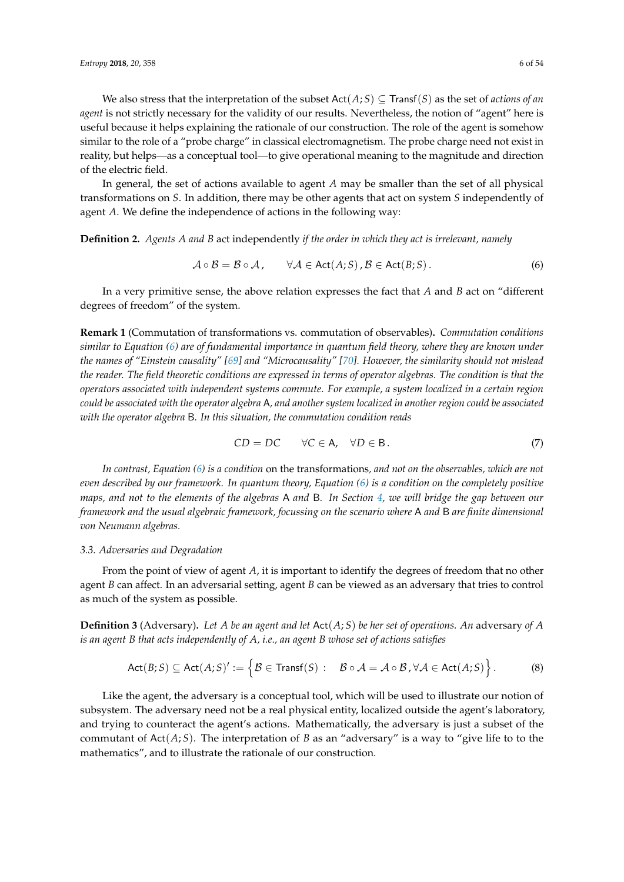We also stress that the interpretation of the subset  $Act(A; S) \subseteq Transf(S)$  as the set of *actions of an agent* is not strictly necessary for the validity of our results. Nevertheless, the notion of "agent" here is useful because it helps explaining the rationale of our construction. The role of the agent is somehow similar to the role of a "probe charge" in classical electromagnetism. The probe charge need not exist in reality, but helps—as a conceptual tool—to give operational meaning to the magnitude and direction of the electric field.

In general, the set of actions available to agent *A* may be smaller than the set of all physical transformations on *S*. In addition, there may be other agents that act on system *S* independently of agent *A*. We define the independence of actions in the following way:

**Definition 2.** *Agents A and B* act independently *if the order in which they act is irrelevant, namely*

<span id="page-5-0"></span>
$$
\mathcal{A} \circ \mathcal{B} = \mathcal{B} \circ \mathcal{A}, \qquad \forall \mathcal{A} \in \text{Act}(A;S), \mathcal{B} \in \text{Act}(B;S).
$$
 (6)

In a very primitive sense, the above relation expresses the fact that *A* and *B* act on "different degrees of freedom" of the system.

**Remark 1** (Commutation of transformations vs. commutation of observables)**.** *Commutation conditions similar to Equation [\(6\)](#page-5-0) are of fundamental importance in quantum field theory, where they are known under the names of "Einstein causality" [\[69\]](#page-52-18) and "Microcausality" [\[70\]](#page-52-19). However, the similarity should not mislead the reader. The field theoretic conditions are expressed in terms of operator algebras. The condition is that the operators associated with independent systems commute. For example, a system localized in a certain region could be associated with the operator algebra* A*, and another system localized in another region could be associated with the operator algebra* B*. In this situation, the commutation condition reads*

$$
CD = DC \qquad \forall C \in A, \quad \forall D \in B. \tag{7}
$$

*In contrast, Equation [\(6\)](#page-5-0) is a condition* on the transformations*, and not on the observables, which are not even described by our framework. In quantum theory, Equation [\(6\)](#page-5-0) is a condition on the completely positive maps, and not to the elements of the algebras* A *and* B*. In Section [4,](#page-8-0) we will bridge the gap between our framework and the usual algebraic framework, focussing on the scenario where* A *and* B *are finite dimensional von Neumann algebras.*

#### *3.3. Adversaries and Degradation*

From the point of view of agent *A*, it is important to identify the degrees of freedom that no other agent *B* can affect. In an adversarial setting, agent *B* can be viewed as an adversary that tries to control as much of the system as possible.

**Definition 3** (Adversary). Let *A* be an agent and let  $Act(A, S)$  be her set of operations. An adversary of *A is an agent B that acts independently of A, i.e., an agent B whose set of actions satisfies*

$$
\mathsf{Act}(B;S) \subseteq \mathsf{Act}(A;S)' := \left\{ \mathcal{B} \in \mathsf{Transf}(S) : \quad \mathcal{B} \circ \mathcal{A} = \mathcal{A} \circ \mathcal{B}, \forall \mathcal{A} \in \mathsf{Act}(A;S) \right\}.
$$
 (8)

Like the agent, the adversary is a conceptual tool, which will be used to illustrate our notion of subsystem. The adversary need not be a real physical entity, localized outside the agent's laboratory, and trying to counteract the agent's actions. Mathematically, the adversary is just a subset of the commutant of Act(*A*; *S*). The interpretation of *B* as an "adversary" is a way to "give life to to the mathematics", and to illustrate the rationale of our construction.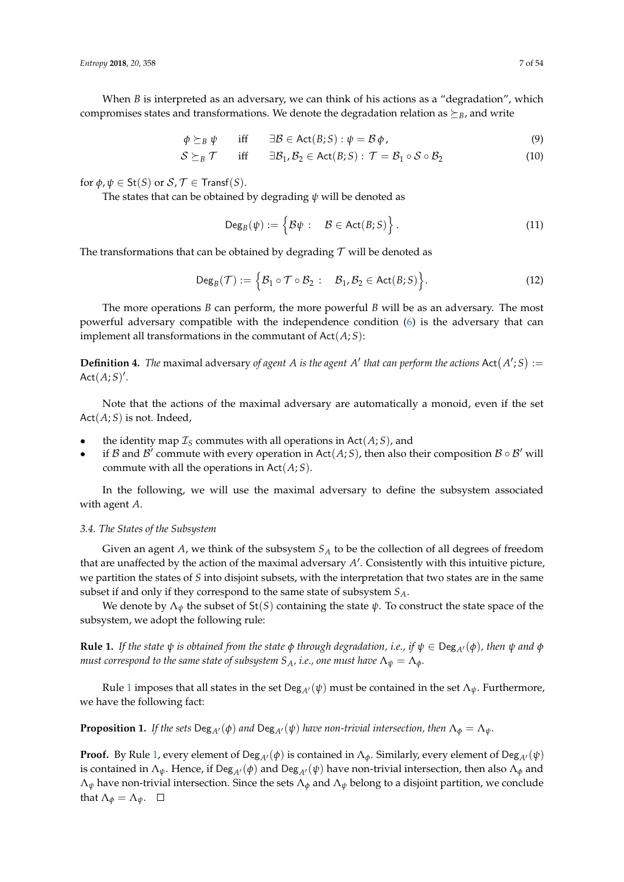When *B* is interpreted as an adversary, we can think of his actions as a "degradation", which compromises states and transformations. We denote the degradation relation as  $\succeq_B$ , and write

$$
\phi \succeq_B \psi \quad \text{iff} \quad \exists \mathcal{B} \in \text{Act}(B;S) : \psi = \mathcal{B} \phi, \tag{9}
$$

$$
S \succeq_B \mathcal{T} \quad \text{iff} \quad \exists \mathcal{B}_1, \mathcal{B}_2 \in \text{Act}(\mathcal{B}; S) : \mathcal{T} = \mathcal{B}_1 \circ \mathcal{S} \circ \mathcal{B}_2 \tag{10}
$$

for  $\phi$ ,  $\psi \in \mathsf{St}(S)$  or  $\mathcal{S}, \mathcal{T} \in \mathsf{Transf}(S)$ .

The states that can be obtained by degrading *ψ* will be denoted as

$$
\mathsf{Deg}_{B}(\psi) := \left\{\mathcal{B}\psi : \mathcal{B} \in \mathsf{Act}(B;S)\right\}.
$$
 (11)

The transformations that can be obtained by degrading  $\mathcal T$  will be denoted as

$$
\operatorname{Deg}_B(\mathcal{T}) := \Big\{\mathcal{B}_1 \circ \mathcal{T} \circ \mathcal{B}_2 : \quad \mathcal{B}_1, \mathcal{B}_2 \in \operatorname{Act}(B;S) \Big\}.
$$
 (12)

The more operations *B* can perform, the more powerful *B* will be as an adversary. The most powerful adversary compatible with the independence condition [\(6\)](#page-5-0) is the adversary that can implement all transformations in the commutant of  $Act(A;S)$ :

**Definition 4.** The maximal adversary of agent A is the agent A' that can perform the actions  $Act(A';S) :=$  $Act(A;S)$ '.

Note that the actions of the maximal adversary are automatically a monoid, even if the set Act(*A*; *S*) is not. Indeed,

- the identity map  $\mathcal{I}_S$  commutes with all operations in Act( $A; S$ ), and
- if B and B<sup>'</sup> commute with every operation in Act(A; S), then also their composition  $B \circ B'$  will commute with all the operations in Act(*A*; *S*).

In the following, we will use the maximal adversary to define the subsystem associated with agent *A*.

## *3.4. The States of the Subsystem*

Given an agent *A*, we think of the subsystem *S<sup>A</sup>* to be the collection of all degrees of freedom that are unaffected by the action of the maximal adversary A'. Consistently with this intuitive picture, we partition the states of *S* into disjoint subsets, with the interpretation that two states are in the same subset if and only if they correspond to the same state of subsystem *SA*.

We denote by  $\Lambda_{\psi}$  the subset of St(*S*) containing the state  $\psi$ . To construct the state space of the subsystem, we adopt the following rule:

<span id="page-6-0"></span>**Rule 1.** *If the state*  $\psi$  *is obtained from the state*  $\phi$  *through degradation, i.e., if*  $\psi \in \text{Deg}_{A'}(\phi)$ *, then*  $\psi$  *and*  $\phi$ *must correspond to the same state of subsystem*  $S_A$ *, i.e., one must have*  $\Lambda_{\psi} = \Lambda_{\phi}$ *.* 

Rule [1](#page-6-0) imposes that all states in the set Deg<sub>A</sub> $\ell(\psi)$  must be contained in the set  $\Lambda_{\psi}$ . Furthermore, we have the following fact:

**Proposition 1.** *If the sets*  $\text{Deg}_{A}(\phi)$  *and*  $\text{Deg}_{A}(\psi)$  *have non-trivial intersection, then*  $\Lambda_{\phi} = \Lambda_{\psi}$ .

**Proof.** By Rule [1,](#page-6-0) every element of Deg<sub>A<sup> $\prime$ </sup>( $\phi$ ) is contained in  $\Lambda_{\phi}$ . Similarly, every element of Deg<sub>A</sub> $\prime$ ( $\psi$ )</sub> is contained in  $\Lambda_{\psi}$ . Hence, if Deg<sub>A</sub> $($  $\phi$ ) and Deg<sub>A</sub> $($  $\psi$ ) have non-trivial intersection, then also  $\Lambda_{\phi}$  and  $\Lambda_{\psi}$  have non-trivial intersection. Since the sets  $\Lambda_{\phi}$  and  $\Lambda_{\psi}$  belong to a disjoint partition, we conclude that  $\Lambda_{\phi} = \Lambda_{\psi}$ .  $\square$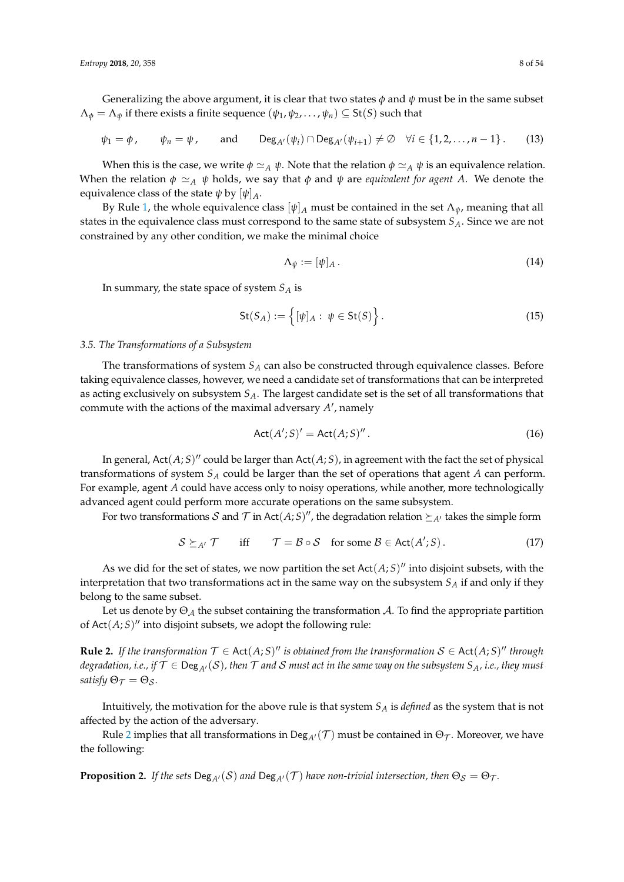Generalizing the above argument, it is clear that two states  $\phi$  and  $\psi$  must be in the same subset  $\Lambda_{\phi} = \Lambda_{\psi}$  if there exists a finite sequence  $(\psi_1, \psi_2, \dots, \psi_n) \subseteq St(S)$  such that

$$
\psi_1 = \phi, \qquad \psi_n = \psi, \qquad \text{and} \qquad \text{Deg}_{A'}(\psi_i) \cap \text{Deg}_{A'}(\psi_{i+1}) \neq \emptyset \quad \forall i \in \{1, 2, \dots, n-1\}.
$$
 (13)

When this is the case, we write  $\phi \simeq_A \psi$ . Note that the relation  $\phi \simeq_A \psi$  is an equivalence relation. When the relation  $\phi \simeq_A \psi$  holds, we say that  $\phi$  and  $\psi$  are *equivalent for agent A*. We denote the equivalence class of the state  $\psi$  by  $[\psi]_A$ .

By Rule [1,](#page-6-0) the whole equivalence class  $[\psi]_A$  must be contained in the set  $\Lambda_{\psi}$ , meaning that all states in the equivalence class must correspond to the same state of subsystem *SA*. Since we are not constrained by any other condition, we make the minimal choice

$$
\Lambda_{\psi} := [\psi]_A. \tag{14}
$$

In summary, the state space of system *S<sup>A</sup>* is

$$
\mathsf{St}(S_A) := \left\{ [\psi]_A : \ \psi \in \mathsf{St}(S) \right\}.
$$

#### *3.5. The Transformations of a Subsystem*

The transformations of system *S<sup>A</sup>* can also be constructed through equivalence classes. Before taking equivalence classes, however, we need a candidate set of transformations that can be interpreted as acting exclusively on subsystem *SA*. The largest candidate set is the set of all transformations that commute with the actions of the maximal adversary A', namely

$$
Act(A';S)' = Act(A;S)''.
$$
\n(16)

In general,  $Act(A;S)''$  could be larger than  $Act(A;S)$ , in agreement with the fact the set of physical transformations of system *S<sup>A</sup>* could be larger than the set of operations that agent *A* can perform. For example, agent *A* could have access only to noisy operations, while another, more technologically advanced agent could perform more accurate operations on the same subsystem.

For two transformations  $\mathcal S$  and  $\mathcal T$  in Act $(A;S)'$ , the degradation relation  $\succeq_{A'}$  takes the simple form

$$
S \succeq_{A'} \mathcal{T} \quad \text{iff} \quad \mathcal{T} = \mathcal{B} \circ \mathcal{S} \quad \text{for some } \mathcal{B} \in \text{Act}(A';S). \tag{17}
$$

As we did for the set of states, we now partition the set  $Act(A;S)$ <sup>"</sup> into disjoint subsets, with the interpretation that two transformations act in the same way on the subsystem *S<sup>A</sup>* if and only if they belong to the same subset.

Let us denote by  $\Theta_{\mathcal{A}}$  the subset containing the transformation  $\mathcal{A}$ . To find the appropriate partition of  $Act(A; S)$ <sup>*u*</sup> into disjoint subsets, we adopt the following rule:

<span id="page-7-0"></span>**Rule 2.** If the transformation  $\mathcal{T} \in \text{Act}(A;S)$ " is obtained from the transformation  $\mathcal{S} \in \text{Act}(A;S)$ " through *degradation, i.e., if*  $\mathcal{T} \in \text{Deg}_{A'}(\mathcal{S})$ , then  $\mathcal{T}$  and  $\mathcal{S}$  must act in the same way on the subsystem  $S_A$ , i.e., they must *satisfy*  $\Theta_{\mathcal{T}} = \Theta_{\mathcal{S}}$ *.* 

Intuitively, the motivation for the above rule is that system *S<sup>A</sup>* is *defined* as the system that is not affected by the action of the adversary.

Rule [2](#page-7-0) implies that all transformations in Deg<sub>A</sub> $($  $)$  must be contained in  $\Theta_{\mathcal{T}}$ . Moreover, we have the following:

**Proposition 2.** *If the sets*  $\text{Deg}_{A'}(\mathcal{S})$  *and*  $\text{Deg}_{A'}(\mathcal{T})$  *have non-trivial intersection, then*  $\Theta_{\mathcal{S}} = \Theta_{\mathcal{T}}$ *.*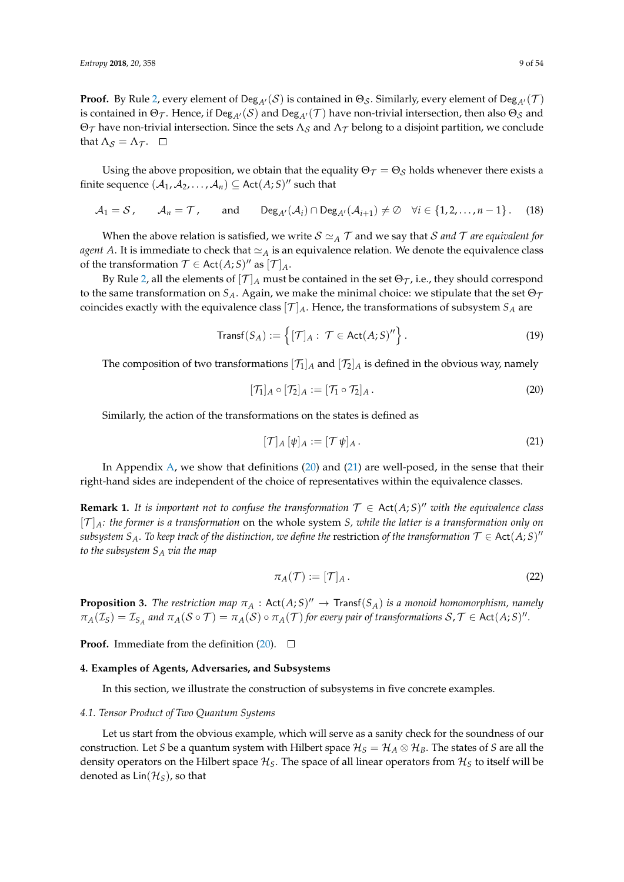**Proof.** By Rule [2,](#page-7-0) every element of  $\text{Deg}_{A'}(\mathcal{S})$  is contained in  $\Theta_{\mathcal{S}}$ . Similarly, every element of  $\text{Deg}_{A'}(\mathcal{T})$ is contained in  $\Theta_{\mathcal{T}}$ . Hence, if  $\text{Deg}_{A'}(\mathcal{S})$  and  $\text{Deg}_{A'}(\mathcal{T})$  have non-trivial intersection, then also  $\Theta_{\mathcal{S}}$  and Θτ have non-trivial intersection. Since the sets  $Λ_S$  and  $Λ_T$  belong to a disjoint partition, we conclude that  $\Lambda_{\mathcal{S}} = \Lambda_{\mathcal{T}}$ .  $\Box$ 

Using the above proposition, we obtain that the equality  $\Theta_{\mathcal{T}} = \Theta_{\mathcal{S}}$  holds whenever there exists a finite sequence  $(A_1, A_2, \ldots, A_n) \subseteq \text{Act}(A;S)^n$  such that

$$
A_1 = S, \qquad A_n = T, \qquad \text{and} \qquad \text{Deg}_{A'}(A_i) \cap \text{Deg}_{A'}(A_{i+1}) \neq \emptyset \quad \forall i \in \{1, 2, ..., n-1\}.
$$
 (18)

When the above relation is satisfied, we write  $S \simeq_A T$  and we say that S *and* T *are equivalent for agent A*. It is immediate to check that  $\simeq_A$  is an equivalence relation. We denote the equivalence class of the transformation  $\mathcal{T} \in$  Act $(A;S)$ <sup>*n*</sup> as  $[\mathcal{T}]_A$ .

By Rule [2,](#page-7-0) all the elements of  $[\mathcal{T}]_A$  must be contained in the set  $\Theta_{\mathcal{T}}$ , i.e., they should correspond to the same transformation on  $S_A$ . Again, we make the minimal choice: we stipulate that the set  $\Theta_{\mathcal{T}}$ coincides exactly with the equivalence class  $[T]_A$ . Hence, the transformations of subsystem  $S_A$  are

$$
\text{Transf}(S_A) := \left\{ [\mathcal{T}]_A : \mathcal{T} \in \text{Act}(A;S)'' \right\}. \tag{19}
$$

The composition of two transformations  $[\mathcal{T}_1]_A$  and  $[\mathcal{T}_2]_A$  is defined in the obvious way, namely

$$
[\mathcal{T}_1]_A \circ [\mathcal{T}_2]_A := [\mathcal{T}_1 \circ \mathcal{T}_2]_A. \tag{20}
$$

Similarly, the action of the transformations on the states is defined as

<span id="page-8-2"></span><span id="page-8-1"></span>
$$
[\mathcal{T}]_A \left[ \psi \right]_A := [\mathcal{T} \, \psi]_A \,. \tag{21}
$$

In Appendix  $A$ , we show that definitions [\(20\)](#page-8-1) and [\(21\)](#page-8-2) are well-posed, in the sense that their right-hand sides are independent of the choice of representatives within the equivalence classes.

**Remark 1.** It is important not to confuse the transformation  $T \in Act(A; S)$ " with the equivalence class [T ]*A: the former is a transformation* on the whole system *S, while the latter is a transformation only on*  $s$ ubsystem  $S_A$ . To keep track of the distinction, we define the  $\epsilon$ estriction of the transformation  $\mathcal{T} \in$  Act $(A;S)''$ *to the subsystem S<sup>A</sup> via the map*

$$
\pi_A(\mathcal{T}) := [\mathcal{T}]_A. \tag{22}
$$

**Proposition 3.** *The restriction map*  $\pi_A$  : Act $(A;S)'' \to$  Transf $(S_A)$  *is a monoid homomorphism, namely*  $\pi_A(\mathcal{I}_S) = \mathcal{I}_{S_A}$  and  $\pi_A(\mathcal{S} \circ \mathcal{T}) = \pi_A(\mathcal{S}) \circ \pi_A(\mathcal{T})$  for every pair of transformations  $\mathcal{S}, \mathcal{T} \in \mathsf{Act}(A;S)$ ".

**Proof.** Immediate from the definition  $(20)$ .  $\Box$ 

# <span id="page-8-0"></span>**4. Examples of Agents, Adversaries, and Subsystems**

In this section, we illustrate the construction of subsystems in five concrete examples.

## <span id="page-8-3"></span>*4.1. Tensor Product of Two Quantum Systems*

Let us start from the obvious example, which will serve as a sanity check for the soundness of our construction. Let *S* be a quantum system with Hilbert space  $\mathcal{H}_S = \mathcal{H}_A \otimes \mathcal{H}_B$ . The states of *S* are all the density operators on the Hilbert space  $\mathcal{H}_S$ . The space of all linear operators from  $\mathcal{H}_S$  to itself will be denoted as  $\text{Lin}(\mathcal{H}_S)$ , so that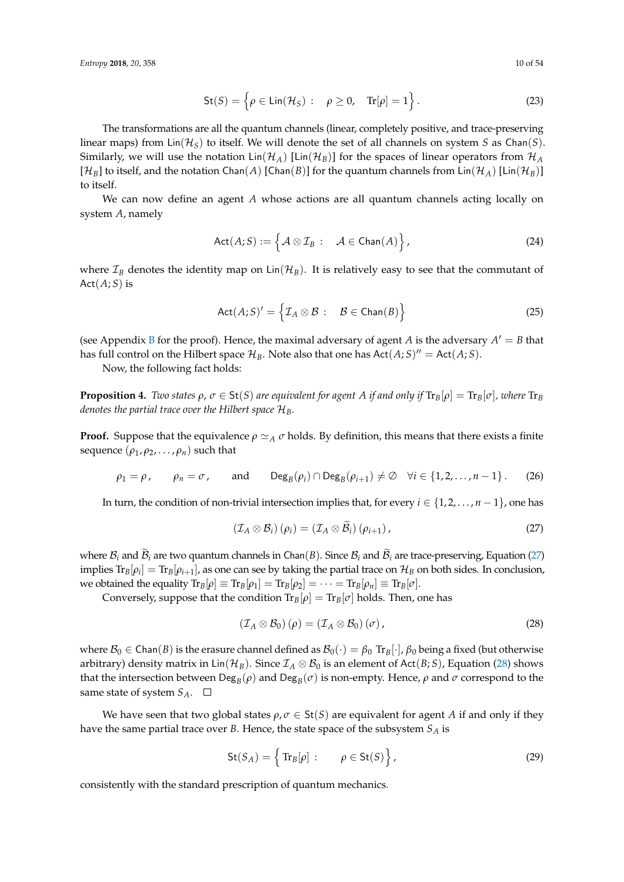*Entropy* **2018**, *20*, 358 10 of 54

$$
\mathsf{St}(S) = \left\{ \rho \in \mathsf{Lin}(\mathcal{H}_S) : \rho \ge 0, \quad \text{Tr}[\rho] = 1 \right\}. \tag{23}
$$

The transformations are all the quantum channels (linear, completely positive, and trace-preserving linear maps) from  $\text{Lin}(\mathcal{H}_S)$  to itself. We will denote the set of all channels on system *S* as Chan(*S*). Similarly, we will use the notation  $\text{Lin}(\mathcal{H}_A)$  [ $\text{Lin}(\mathcal{H}_B)$ ] for the spaces of linear operators from  $\mathcal{H}_A$  $[H_B]$  to itself, and the notation Chan(*A*) [Chan(*B*)] for the quantum channels from Lin( $\mathcal{H}_A$ ) [Lin( $\mathcal{H}_B$ )] to itself.

We can now define an agent *A* whose actions are all quantum channels acting locally on system *A*, namely

$$
Act(A;S) := \left\{ \mathcal{A} \otimes \mathcal{I}_B : \quad \mathcal{A} \in \text{Chan}(A) \right\},\tag{24}
$$

where  $\mathcal{I}_B$  denotes the identity map on  $\text{Lin}(\mathcal{H}_B)$ . It is relatively easy to see that the commutant of  $Act(A;S)$  is

$$
Act(A;S)' = \left\{ \mathcal{I}_A \otimes \mathcal{B} : \mathcal{B} \in \text{Chan}(B) \right\}
$$
 (25)

(see Appendix [B](#page-29-1) for the proof). Hence, the maximal adversary of agent *A* is the adversary  $A' = B$  that has full control on the Hilbert space  $\mathcal{H}_B$ . Note also that one has  $Act(A;S)'' = Act(A;S)$ .

Now, the following fact holds:

**Proposition 4.** *Two states*  $\rho$ ,  $\sigma \in \text{St}(S)$  *are equivalent for agent A if and only if*  $\text{Tr}_B[\rho] = \text{Tr}_B[\sigma]$ *, where*  $\text{Tr}_B[\rho]$ *denotes the partial trace over the Hilbert space* H*B.*

**Proof.** Suppose that the equivalence  $\rho \simeq_A \sigma$  holds. By definition, this means that there exists a finite sequence  $(\rho_1, \rho_2, \ldots, \rho_n)$  such that

$$
\rho_1 = \rho
$$
,  $\rho_n = \sigma$ , and  $\text{Deg}_B(\rho_i) \cap \text{Deg}_B(\rho_{i+1}) \neq \emptyset$   $\forall i \in \{1, 2, ..., n-1\}$ . (26)

In turn, the condition of non-trivial intersection implies that, for every  $i \in \{1, 2, \ldots, n-1\}$ , one has

<span id="page-9-0"></span>
$$
\left(\mathcal{I}_A\otimes\mathcal{B}_i\right)(\rho_i)=\left(\mathcal{I}_A\otimes\tilde{\mathcal{B}}_i\right)(\rho_{i+1}),\tag{27}
$$

where  $B_i$  and  $B_i$  are two quantum channels in Chan(*B*). Since  $B_i$  and  $B_i$  are trace-preserving, Equation [\(27\)](#page-9-0) implies  $\text{Tr}_B[\rho_i]=\text{Tr}_B[\rho_{i+1}]$ , as one can see by taking the partial trace on  $\mathcal{H}_B$  on both sides. In conclusion, we obtained the equality  $\text{Tr}_B[\rho] \equiv \text{Tr}_B[\rho_1] = \text{Tr}_B[\rho_2] = \cdots = \text{Tr}_B[\rho_n] \equiv \text{Tr}_B[\sigma].$ 

Conversely, suppose that the condition  $Tr_B[\rho] = Tr_B[\sigma]$  holds. Then, one has

<span id="page-9-1"></span>
$$
\left(\mathcal{I}_A \otimes \mathcal{B}_0\right)(\rho) = \left(\mathcal{I}_A \otimes \mathcal{B}_0\right)(\sigma),\tag{28}
$$

where  $\mathcal{B}_0 \in \text{Chan}(B)$  is the erasure channel defined as  $\mathcal{B}_0(\cdot) = \beta_0 \text{ Tr}_B[\cdot], \beta_0$  being a fixed (but otherwise arbitrary) density matrix in Lin( $\mathcal{H}_B$ ). Since  $\mathcal{I}_A \otimes \mathcal{B}_0$  is an element of Act( $B$ ; S), Equation [\(28\)](#page-9-1) shows that the intersection between  $\textsf{Deg}_B(\rho)$  and  $\textsf{Deg}_B(\sigma)$  is non-empty. Hence,  $\rho$  and  $\sigma$  correspond to the same state of system  $S_A$ .  $\square$ 

We have seen that two global states  $\rho, \sigma \in \text{St}(S)$  are equivalent for agent *A* if and only if they have the same partial trace over *B*. Hence, the state space of the subsystem *S<sup>A</sup>* is

$$
\mathsf{St}(S_A) = \left\{ \text{Tr}_B[\rho] : \rho \in \mathsf{St}(S) \right\},\tag{29}
$$

consistently with the standard prescription of quantum mechanics.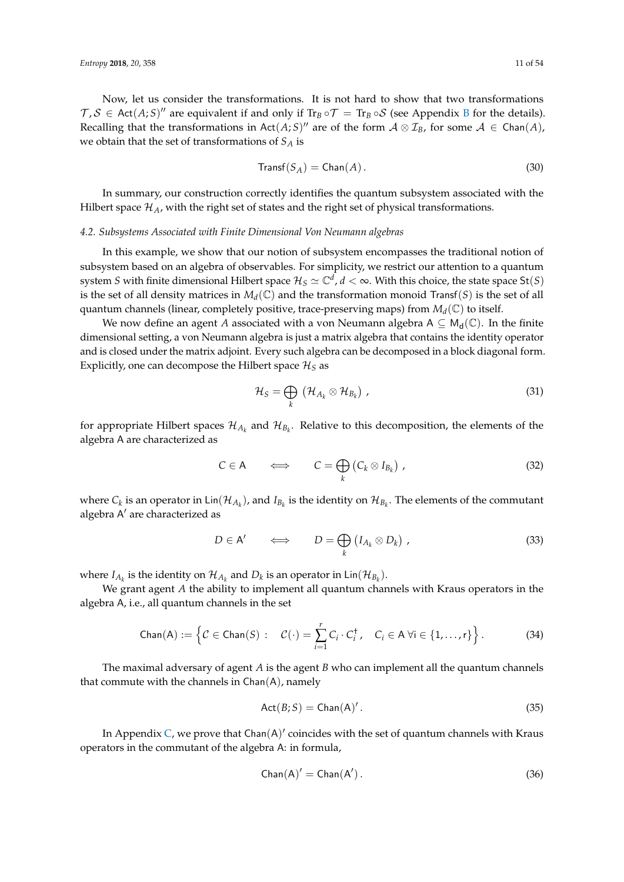Now, let us consider the transformations. It is not hard to show that two transformations  $T, S \in \text{Act}(A; S)$ <sup>*n*</sup> are equivalent if and only if  $\text{Tr}_B \circ T = \text{Tr}_B \circ S$  $\text{Tr}_B \circ T = \text{Tr}_B \circ S$  $\text{Tr}_B \circ T = \text{Tr}_B \circ S$  (see Appendix B for the details). Recalling that the transformations in Act $(A;S)$ " are of the form  $A \otimes \mathcal{I}_B$ , for some  $A \in \text{Chan}(A)$ , we obtain that the set of transformations of *S<sup>A</sup>* is

$$
Transf(S_A) = Chan(A).
$$
\n(30)

In summary, our construction correctly identifies the quantum subsystem associated with the Hilbert space  $\mathcal{H}_A$ , with the right set of states and the right set of physical transformations.

## <span id="page-10-0"></span>*4.2. Subsystems Associated with Finite Dimensional Von Neumann algebras*

In this example, we show that our notion of subsystem encompasses the traditional notion of subsystem based on an algebra of observables. For simplicity, we restrict our attention to a quantum system *S* with finite dimensional Hilbert space  $\mathcal{H}_S\simeq\mathbb{C}^d$ ,  $d<\infty$ . With this choice, the state space St $(S)$ is the set of all density matrices in  $M_d(\mathbb{C})$  and the transformation monoid Transf(*S*) is the set of all quantum channels (linear, completely positive, trace-preserving maps) from *M<sup>d</sup>* (C) to itself.

We now define an agent *A* associated with a von Neumann algebra  $A \subseteq M_d(\mathbb{C})$ . In the finite dimensional setting, a von Neumann algebra is just a matrix algebra that contains the identity operator and is closed under the matrix adjoint. Every such algebra can be decomposed in a block diagonal form. Explicitly, one can decompose the Hilbert space  $\mathcal{H}_S$  as

<span id="page-10-3"></span><span id="page-10-2"></span><span id="page-10-1"></span>
$$
\mathcal{H}_S = \bigoplus_k \left( \mathcal{H}_{A_k} \otimes \mathcal{H}_{B_k} \right) , \qquad (31)
$$

for appropriate Hilbert spaces  $\mathcal{H}_{A_k}$  and  $\mathcal{H}_{B_k}$ . Relative to this decomposition, the elements of the algebra A are characterized as

$$
C \in \mathsf{A} \qquad \Longleftrightarrow \qquad C = \bigoplus_{k} \left( C_{k} \otimes I_{B_{k}} \right) , \tag{32}
$$

where  $C_k$  is an operator in  $\text{Lin}(\mathcal{H}_{A_k})$ , and  $I_{B_k}$  is the identity on  $\mathcal{H}_{B_k}$ . The elements of the commutant algebra A' are characterized as

$$
D \in A' \qquad \Longleftrightarrow \qquad D = \bigoplus_{k} \left( I_{A_{k}} \otimes D_{k} \right) , \qquad (33)
$$

where  $I_{A_k}$  is the identity on  $\mathcal{H}_{A_k}$  and  $D_k$  is an operator in Lin $(\mathcal{H}_{B_k})$ .

We grant agent *A* the ability to implement all quantum channels with Kraus operators in the algebra A, i.e., all quantum channels in the set

$$
\text{Chan}(A) := \left\{ C \in \text{Chan}(S) : C(\cdot) = \sum_{i=1}^r C_i \cdot C_i^{\dagger}, C_i \in A \,\forall i \in \{1, ..., r\} \right\}.
$$
 (34)

The maximal adversary of agent *A* is the agent *B* who can implement all the quantum channels that commute with the channels in  $Chan(A)$ , namely

$$
Act(B;S) = Chan(A)'. \tag{35}
$$

In Appendix [C,](#page-30-0) we prove that Chan $(A)'$  coincides with the set of quantum channels with Kraus operators in the commutant of the algebra A: in formula,

$$
Chan(A)' = Chan(A'). \qquad (36)
$$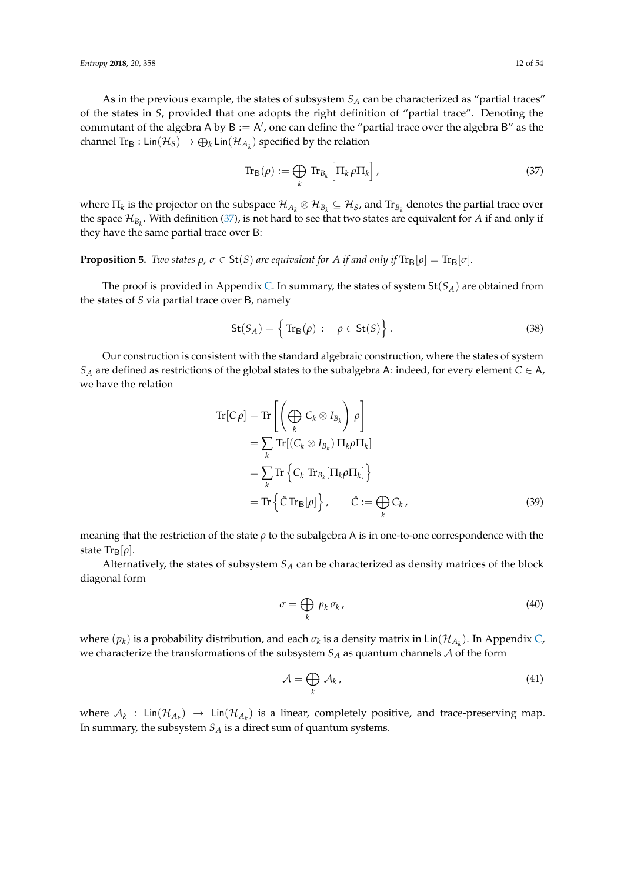As in the previous example, the states of subsystem *S<sup>A</sup>* can be characterized as "partial traces" of the states in *S*, provided that one adopts the right definition of "partial trace". Denoting the commutant of the algebra A by  $B := A'$ , one can define the "partial trace over the algebra B" as the channel  $\text{Tr}_{\mathsf{B}}: \textsf{Lin}(\mathcal{H}_{S}) \to \bigoplus_k \textsf{Lin}(\mathcal{H}_{A_k})$  specified by the relation

<span id="page-11-0"></span>
$$
\operatorname{Tr}_{\mathbf{B}}(\rho) := \bigoplus_{k} \operatorname{Tr}_{B_k} \left[ \Pi_k \rho \Pi_k \right], \tag{37}
$$

where  $\Pi_k$  is the projector on the subspace  $\mathcal{H}_{A_k}\otimes\mathcal{H}_{B_k}\subseteq\mathcal{H}_S$ , and  $\text{Tr}_{B_k}$  denotes the partial trace over the space  $\mathcal{H}_{B_k}$ . With definition [\(37\)](#page-11-0), is not hard to see that two states are equivalent for *A* if and only if they have the same partial trace over B:

# <span id="page-11-1"></span>**Proposition 5.** *Two states*  $\rho$ ,  $\sigma \in \text{St}(S)$  *are equivalent for A if and only if*  $\text{Tr}_{\text{B}}[\rho] = \text{Tr}_{\text{B}}[\sigma]$ *.*

The proof is provided in Appendix [C.](#page-30-0) In summary, the states of system  $St(S_A)$  are obtained from the states of *S* via partial trace over B, namely

$$
St(S_A) = \left\{ \text{Tr}_B(\rho) : \rho \in St(S) \right\}.
$$
 (38)

Our construction is consistent with the standard algebraic construction, where the states of system *S*<sup>*A*</sup> are defined as restrictions of the global states to the subalgebra A: indeed, for every element  $C \in A$ , we have the relation

$$
\operatorname{Tr}[C \rho] = \operatorname{Tr} \left[ \left( \bigoplus_{k} C_{k} \otimes I_{B_{k}} \right) \rho \right]
$$
  
\n
$$
= \sum_{k} \operatorname{Tr}[(C_{k} \otimes I_{B_{k}}) \Pi_{k} \rho \Pi_{k}]
$$
  
\n
$$
= \sum_{k} \operatorname{Tr} \left\{ C_{k} \operatorname{Tr}_{B_{k}}[\Pi_{k} \rho \Pi_{k}] \right\}
$$
  
\n
$$
= \operatorname{Tr} \left\{ \check{C} \operatorname{Tr}_{B}[\rho] \right\}, \quad \check{C} := \bigoplus_{k} C_{k}, \quad (39)
$$

meaning that the restriction of the state *ρ* to the subalgebra A is in one-to-one correspondence with the state  $\text{Tr}_{\text{B}}[\rho]$ .

Alternatively, the states of subsystem *S<sup>A</sup>* can be characterized as density matrices of the block diagonal form

$$
\sigma = \bigoplus_{k} p_k \sigma_k, \tag{40}
$$

where  $(p_k)$  is a probability distribution, and each  $\sigma_k$  is a density matrix in  $\textsf{Lin}(\mathcal{H}_{A_k})$ . In Appendix [C,](#page-30-0) we characterize the transformations of the subsystem  $S_A$  as quantum channels  $A$  of the form

$$
\mathcal{A} = \bigoplus_{k} \mathcal{A}_{k},\tag{41}
$$

where  $A_k$  :  $\textsf{Lin}(\mathcal{H}_{A_k}) \to \textsf{Lin}(\mathcal{H}_{A_k})$  is a linear, completely positive, and trace-preserving map. In summary, the subsystem *S<sup>A</sup>* is a direct sum of quantum systems.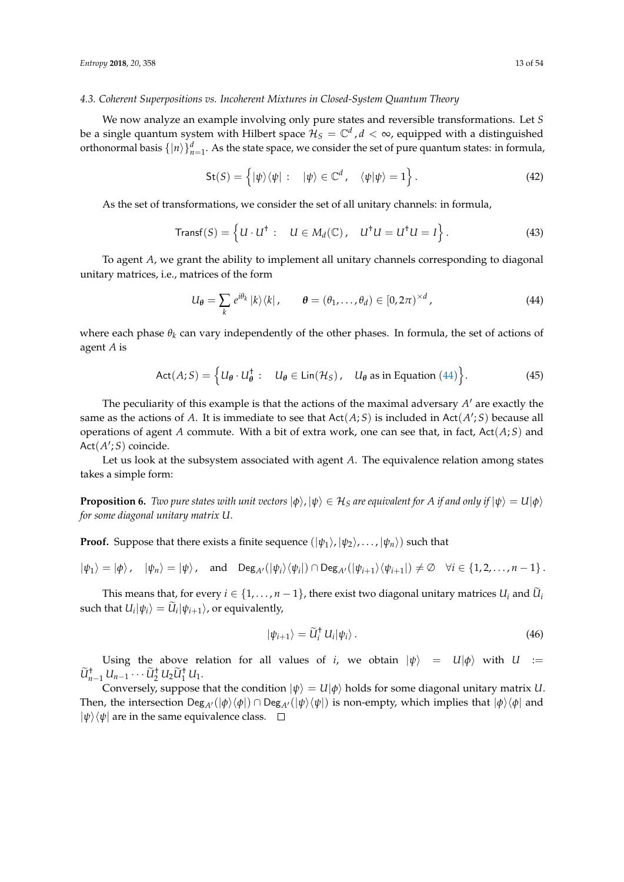#### <span id="page-12-2"></span>*4.3. Coherent Superpositions vs. Incoherent Mixtures in Closed-System Quantum Theory*

We now analyze an example involving only pure states and reversible transformations. Let *S* be a single quantum system with Hilbert space  $\mathcal{H}_S=\mathbb{C}^d$  ,  $d<\infty$ , equipped with a distinguished orthonormal basis  $\{|n\rangle\}^d_{n=1}$ . As the state space, we consider the set of pure quantum states: in formula,

$$
\mathsf{St}(S) = \left\{ |\psi\rangle\langle\psi| : \quad |\psi\rangle \in \mathbb{C}^d, \quad \langle\psi|\psi\rangle = 1 \right\}.
$$
 (42)

As the set of transformations, we consider the set of all unitary channels: in formula,

$$
\text{Transf}(S) = \left\{ U \cdot U^{\dagger} : U \in M_d(\mathbb{C}), \quad U^{\dagger}U = U^{\dagger}U = I \right\}.
$$
 (43)

To agent *A*, we grant the ability to implement all unitary channels corresponding to diagonal unitary matrices, i.e., matrices of the form

<span id="page-12-0"></span>
$$
U_{\theta} = \sum_{k} e^{i\theta_{k}} |k\rangle\langle k|, \qquad \theta = (\theta_{1}, \ldots, \theta_{d}) \in [0, 2\pi)^{\times d}, \qquad (44)
$$

where each phase  $\theta_k$  can vary independently of the other phases. In formula, the set of actions of agent *A* is

$$
\text{Act}(A;S) = \left\{ U_{\theta} \cdot U_{\theta}^{\dagger} : U_{\theta} \in \text{Lin}(\mathcal{H}_S), U_{\theta} \text{ as in Equation (44)} \right\}. \tag{45}
$$

The peculiarity of this example is that the actions of the maximal adversary  $A'$  are exactly the same as the actions of A. It is immediate to see that  $Act(A;S)$  is included in  $Act(A';S)$  because all operations of agent *A* commute. With a bit of extra work, one can see that, in fact, Act(*A*; *S*) and Act(A'; S) coincide.

Let us look at the subsystem associated with agent *A*. The equivalence relation among states takes a simple form:

<span id="page-12-1"></span>**Proposition 6.** *Two pure states with unit vectors*  $|\phi\rangle$ ,  $|\psi\rangle \in \mathcal{H}_S$  *are equivalent for A if and only if*  $|\psi\rangle = U|\phi\rangle$ *for some diagonal unitary matrix U.*

**Proof.** Suppose that there exists a finite sequence  $(|\psi_1\rangle, |\psi_2\rangle, \dots, |\psi_n\rangle)$  such that

$$
|\psi_1\rangle = |\phi\rangle, \quad |\psi_n\rangle = |\psi\rangle, \quad \text{and} \quad \text{Deg}_{A'}(|\psi_i\rangle \langle \psi_i|) \cap \text{Deg}_{A'}(|\psi_{i+1}\rangle \langle \psi_{i+1}|) \neq \emptyset \quad \forall i \in \{1, 2, ..., n-1\}.
$$

This means that, for every  $i \in \{1, ..., n-1\}$ , there exist two diagonal unitary matrices  $U_i$  and  $U_i$  $\text{such that } U_i|\psi_i\rangle = U_i|\psi_{i+1}\rangle$ , or equivalently,

$$
|\psi_{i+1}\rangle = \widetilde{U}_i^{\dagger} U_i |\psi_i\rangle. \tag{46}
$$

Using the above relation for all values of *i*, we obtain  $|\psi\rangle = U|\phi\rangle$  with  $U :=$  $\widetilde{U}_{n-1}^{\dagger} U_{n-1} \cdots \widetilde{U}_{2}^{\dagger} U_{2} \widetilde{U}_{1}^{\dagger} U_{1}.$ 

Conversely, suppose that the condition  $|\psi\rangle = U|\phi\rangle$  holds for some diagonal unitary matrix *U*. Then, the intersection  $Deg_{A'}(|\phi\rangle\langle\phi|) \cap Deg_{A'}(|\psi\rangle\langle\psi|)$  is non-empty, which implies that  $|\phi\rangle\langle\phi|$  and  $|\psi\rangle\langle\psi|$  are in the same equivalence class.  $\square$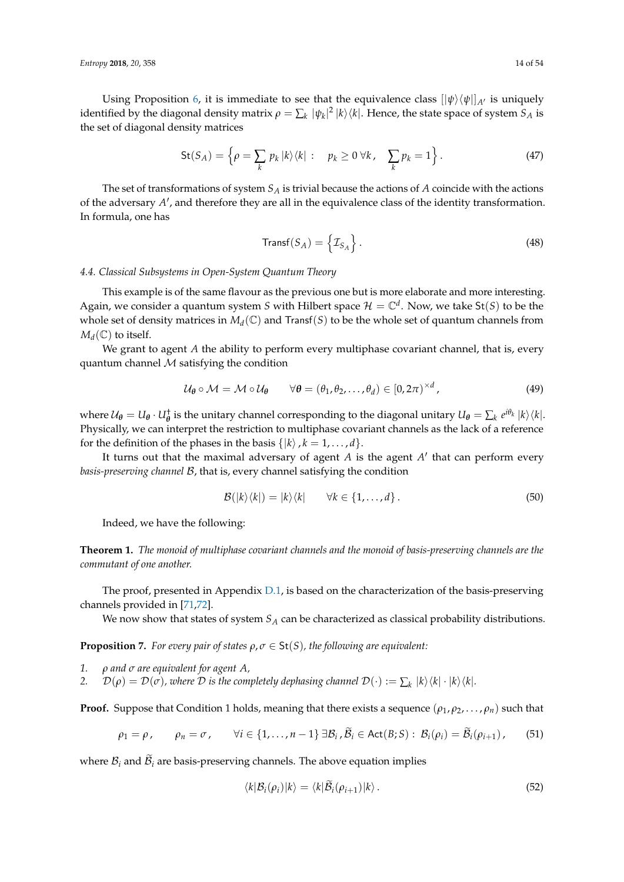Using Proposition [6,](#page-12-1) it is immediate to see that the equivalence class  $[|\psi\rangle\langle\psi|]_{A'}$  is uniquely identified by the diagonal density matrix  $\rho = \sum_k |\psi_k|^2 |k\rangle\langle k|.$  Hence, the state space of system  $S_A$  is the set of diagonal density matrices

$$
\mathsf{St}(S_A) = \left\{ \rho = \sum_k p_k \, |k\rangle\langle k| \, : \quad p_k \geq 0 \, \forall k, \quad \sum_k p_k = 1 \right\}. \tag{47}
$$

The set of transformations of system *S<sup>A</sup>* is trivial because the actions of *A* coincide with the actions of the adversary A', and therefore they are all in the equivalence class of the identity transformation. In formula, one has

$$
\text{Transf}(S_A) = \left\{ \mathcal{I}_{S_A} \right\}. \tag{48}
$$

#### <span id="page-13-2"></span>*4.4. Classical Subsystems in Open-System Quantum Theory*

This example is of the same flavour as the previous one but is more elaborate and more interesting. Again, we consider a quantum system *S* with Hilbert space  $\mathcal{H} = \mathbb{C}^d$ . Now, we take St(*S*) to be the whole set of density matrices in  $M_d(\mathbb{C})$  and Transf(*S*) to be the whole set of quantum channels from  $M_d(\mathbb{C})$  to itself.

We grant to agent *A* the ability to perform every multiphase covariant channel, that is, every quantum channel  $M$  satisfying the condition

$$
\mathcal{U}_{\theta} \circ \mathcal{M} = \mathcal{M} \circ \mathcal{U}_{\theta} \qquad \forall \theta = (\theta_1, \theta_2, \dots, \theta_d) \in [0, 2\pi)^{\times d}, \tag{49}
$$

where  $U_{\theta} = U_{\theta} \cdot U_{\theta}^{\dagger}$  is the unitary channel corresponding to the diagonal unitary  $U_{\theta} = \sum_{k} e^{i\theta_{k}} |k\rangle\langle k|$ . Physically, we can interpret the restriction to multiphase covariant channels as the lack of a reference for the definition of the phases in the basis  $\{|k\rangle, k = 1, \ldots, d\}$ .

It turns out that the maximal adversary of agent *A* is the agent *A'* that can perform every *basis-preserving channel* B, that is, every channel satisfying the condition

$$
\mathcal{B}(|k\rangle\langle k|)=|k\rangle\langle k| \qquad \forall k\in\{1,\ldots,d\}.
$$
 (50)

Indeed, we have the following:

<span id="page-13-3"></span>**Theorem 1.** *The monoid of multiphase covariant channels and the monoid of basis-preserving channels are the commutant of one another.*

The proof, presented in Appendix [D.1,](#page-38-0) is based on the characterization of the basis-preserving channels provided in [\[71](#page-52-20)[,72\]](#page-52-21).

We now show that states of system *S<sup>A</sup>* can be characterized as classical probability distributions.

<span id="page-13-1"></span>**Proposition 7.** *For every pair of states*  $\rho$ *,*  $\sigma \in \text{St}(S)$ *, the following are equivalent:* 

- *1. ρ and σ are equivalent for agent A,*
- *2.*  $\mathcal{D}(\rho) = \mathcal{D}(\sigma)$ , where  $\mathcal D$  is the completely dephasing channel  $\mathcal{D}(\cdot) := \sum_k |k\rangle\langle k| \cdot |k\rangle\langle k|$ .

**Proof.** Suppose that Condition 1 holds, meaning that there exists a sequence  $(\rho_1, \rho_2, \ldots, \rho_n)$  such that

$$
\rho_1 = \rho, \qquad \rho_n = \sigma, \qquad \forall i \in \{1, \ldots, n-1\} \,\exists \mathcal{B}_i, \widetilde{\mathcal{B}}_i \in \text{Act}(\mathcal{B}; S): \, \mathcal{B}_i(\rho_i) = \widetilde{\mathcal{B}}_i(\rho_{i+1}), \qquad (51)
$$

where  $B_i$  and  $B_i$  are basis-preserving channels. The above equation implies

<span id="page-13-0"></span>
$$
\langle k|\mathcal{B}_i(\rho_i)|k\rangle = \langle k|\mathcal{B}_i(\rho_{i+1})|k\rangle. \tag{52}
$$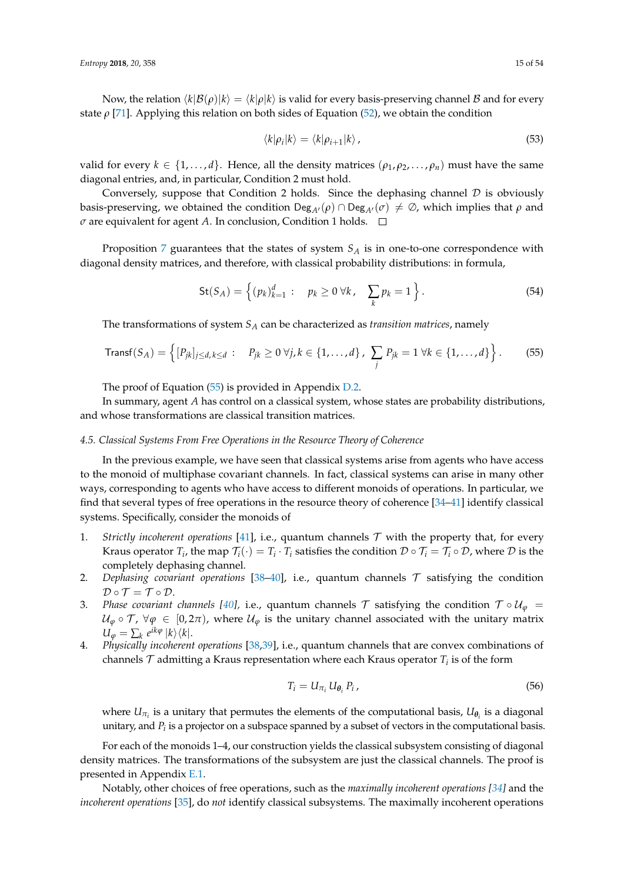Now, the relation  $\langle k|\mathcal{B}(\rho)|k\rangle = \langle k|\rho|k\rangle$  is valid for every basis-preserving channel B and for every state  $\rho$  [\[71\]](#page-52-20). Applying this relation on both sides of Equation [\(52\)](#page-13-0), we obtain the condition

$$
\langle k|\rho_i|k\rangle = \langle k|\rho_{i+1}|k\rangle \,,\tag{53}
$$

valid for every  $k \in \{1, ..., d\}$ . Hence, all the density matrices  $(\rho_1, \rho_2, ..., \rho_n)$  must have the same diagonal entries, and, in particular, Condition 2 must hold.

Conversely, suppose that Condition 2 holds. Since the dephasing channel  $D$  is obviously basis-preserving, we obtained the condition Deg<sub>A</sub> $($  $\rho$ )  $\cap$  Deg<sub>A</sub> $($  $\sigma$ )  $\neq$   $\emptyset$ , which implies that  $\rho$  and *σ* are equivalent for agent *A*. In conclusion, Condition 1 holds. □

Proposition [7](#page-13-1) guarantees that the states of system *S<sup>A</sup>* is in one-to-one correspondence with diagonal density matrices, and therefore, with classical probability distributions: in formula,

<span id="page-14-0"></span>St
$$
(S_A)
$$
 = { $(p_k)_{k=1}^d$ :  $p_k \ge 0 \forall k, \sum_k p_k = 1$  }. (54)

The transformations of system *S<sup>A</sup>* can be characterized as *transition matrices*, namely

Transf
$$
(S_A)
$$
 = { $[P_{jk}]_{j\leq d, k\leq d}$ :  $P_{jk} \geq 0 \,\forall j, k \in \{1, ..., d\}$ ,  $\sum_j P_{jk} = 1 \,\forall k \in \{1, ..., d\}$  }. (55)

The proof of Equation [\(55\)](#page-14-0) is provided in Appendix [D.2.](#page-40-0)

In summary, agent *A* has control on a classical system, whose states are probability distributions, and whose transformations are classical transition matrices.

## *4.5. Classical Systems From Free Operations in the Resource Theory of Coherence*

In the previous example, we have seen that classical systems arise from agents who have access to the monoid of multiphase covariant channels. In fact, classical systems can arise in many other ways, corresponding to agents who have access to different monoids of operations. In particular, we find that several types of free operations in the resource theory of coherence [\[34](#page-51-12)[–41\]](#page-51-13) identify classical systems. Specifically, consider the monoids of

- 1. *Strictly incoherent operations* [\[41\]](#page-51-13), i.e., quantum channels  $T$  with the property that, for every Kraus operator  $T_i$ , the map  $\mathcal{T}_i(\cdot) = T_i \cdot T_i$  satisfies the condition  $\mathcal{D} \circ \mathcal{T}_i = \mathcal{T}_i \circ \mathcal{D}$ , where  $\mathcal D$  is the completely dephasing channel.
- 2. *Dephasing covariant operations* [\[38–](#page-51-14)[40\]](#page-51-16), i.e., quantum channels T satisfying the condition  $\mathcal{D} \circ \mathcal{T} = \mathcal{T} \circ \mathcal{D}.$
- 3. *Phase covariant channels [\[40\]](#page-51-16)*, i.e., quantum channels T satisfying the condition  $\mathcal{T} \circ \mathcal{U}_{\varphi} =$  $U_{\varphi} \circ \mathcal{T}$ ,  $\forall \varphi \in [0, 2\pi)$ , where  $U_{\varphi}$  is the unitary channel associated with the unitary matrix  $U_{\varphi} = \sum_{k} e^{ik\varphi} |k\rangle \langle k|.$
- 4. *Physically incoherent operations* [\[38](#page-51-14)[,39\]](#page-51-15), i.e., quantum channels that are convex combinations of channels  $\mathcal T$  admitting a Kraus representation where each Kraus operator  $T_i$  is of the form

$$
T_i = U_{\pi_i} U_{\theta_i} P_i, \qquad (56)
$$

where  $U_{\pi_i}$  is a unitary that permutes the elements of the computational basis,  $U_{\theta_i}$  is a diagonal unitary, and  $P_i$  is a projector on a subspace spanned by a subset of vectors in the computational basis.

For each of the monoids 1–4, our construction yields the classical subsystem consisting of diagonal density matrices. The transformations of the subsystem are just the classical channels. The proof is presented in Appendix [E.1.](#page-41-0)

Notably, other choices of free operations, such as the *maximally incoherent operations [\[34\]](#page-51-12)* and the *incoherent operations* [\[35\]](#page-51-17), do *not* identify classical subsystems. The maximally incoherent operations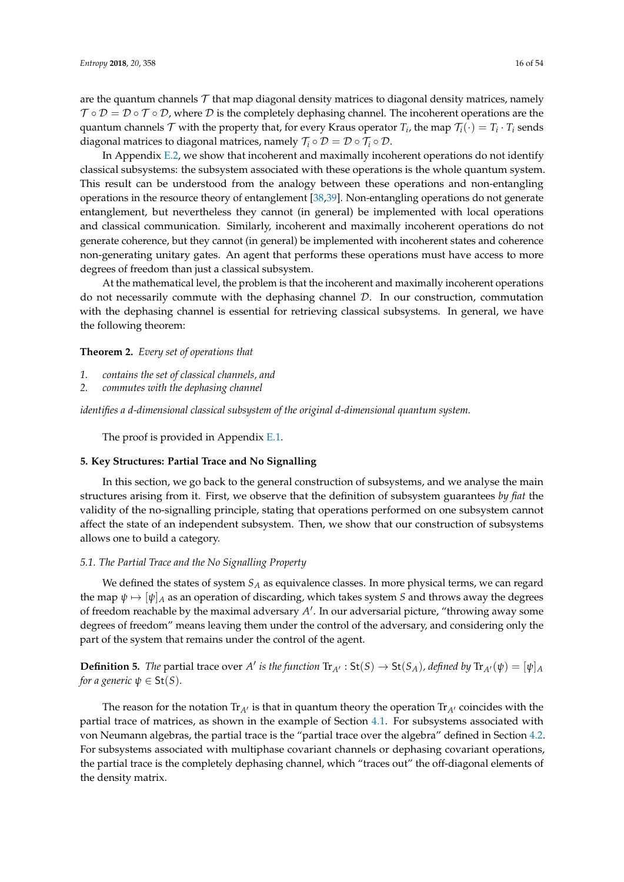are the quantum channels  $\mathcal T$  that map diagonal density matrices to diagonal density matrices, namely  $\mathcal{T} \circ \mathcal{D} = \mathcal{D} \circ \mathcal{T} \circ \mathcal{D}$ , where  $\mathcal{D}$  is the completely dephasing channel. The incoherent operations are the quantum channels  $\mathcal T$  with the property that, for every Kraus operator  $T_i$ , the map  $\mathcal T_i(\cdot)=T_i\cdot T_i$  sends diagonal matrices to diagonal matrices, namely  $\mathcal{T}_i \circ \mathcal{D} = \mathcal{D} \circ \mathcal{T}_i \circ \mathcal{D}$ .

In Appendix [E.2,](#page-43-0) we show that incoherent and maximally incoherent operations do not identify classical subsystems: the subsystem associated with these operations is the whole quantum system. This result can be understood from the analogy between these operations and non-entangling operations in the resource theory of entanglement [\[38,](#page-51-14)[39\]](#page-51-15). Non-entangling operations do not generate entanglement, but nevertheless they cannot (in general) be implemented with local operations and classical communication. Similarly, incoherent and maximally incoherent operations do not generate coherence, but they cannot (in general) be implemented with incoherent states and coherence non-generating unitary gates. An agent that performs these operations must have access to more degrees of freedom than just a classical subsystem.

At the mathematical level, the problem is that the incoherent and maximally incoherent operations do not necessarily commute with the dephasing channel  $D$ . In our construction, commutation with the dephasing channel is essential for retrieving classical subsystems. In general, we have the following theorem:

**Theorem 2.** *Every set of operations that*

- *1. contains the set of classical channels, and*
- *2. commutes with the dephasing channel*

*identifies a d-dimensional classical subsystem of the original d-dimensional quantum system.*

The proof is provided in Appendix [E.1.](#page-41-0)

# <span id="page-15-0"></span>**5. Key Structures: Partial Trace and No Signalling**

In this section, we go back to the general construction of subsystems, and we analyse the main structures arising from it. First, we observe that the definition of subsystem guarantees *by fiat* the validity of the no-signalling principle, stating that operations performed on one subsystem cannot affect the state of an independent subsystem. Then, we show that our construction of subsystems allows one to build a category.

#### *5.1. The Partial Trace and the No Signalling Property*

We defined the states of system *S<sup>A</sup>* as equivalence classes. In more physical terms, we can regard the map  $\psi \mapsto [\psi]_A$  as an operation of discarding, which takes system *S* and throws away the degrees of freedom reachable by the maximal adversary A'. In our adversarial picture, "throwing away some degrees of freedom" means leaving them under the control of the adversary, and considering only the part of the system that remains under the control of the agent.

**Definition 5.** The partial trace over *A'* is the function  $Tr_{A'} : St(S) \to St(S_A)$ , defined by  $Tr_{A'}(\psi) = [\psi]_A$ *for a generic*  $\psi \in \mathsf{St}(S)$ *.* 

The reason for the notation  $Tr_{A}$  is that in quantum theory the operation  $Tr_{A}$  coincides with the partial trace of matrices, as shown in the example of Section [4.1.](#page-8-3) For subsystems associated with von Neumann algebras, the partial trace is the "partial trace over the algebra" defined in Section [4.2.](#page-10-0) For subsystems associated with multiphase covariant channels or dephasing covariant operations, the partial trace is the completely dephasing channel, which "traces out" the off-diagonal elements of the density matrix.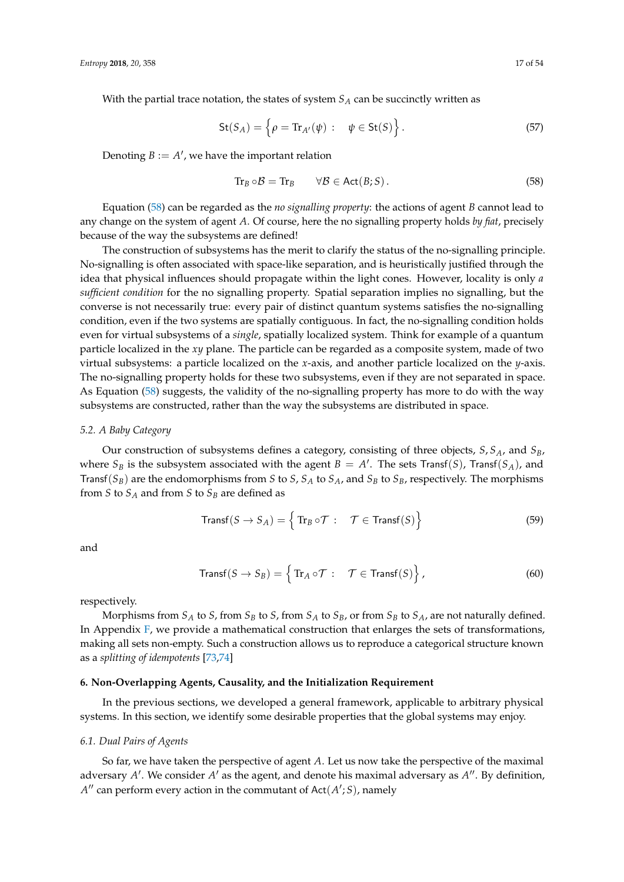With the partial trace notation, the states of system *S<sup>A</sup>* can be succinctly written as

$$
\mathsf{St}(S_A) = \left\{ \rho = \text{Tr}_{A'}(\psi) : \quad \psi \in \mathsf{St}(S) \right\}.
$$
 (57)

Denoting  $B := A'$ , we have the important relation

<span id="page-16-1"></span>
$$
\operatorname{Tr}_B \circ \mathcal{B} = \operatorname{Tr}_B \qquad \forall \mathcal{B} \in \operatorname{Act}(B;S). \tag{58}
$$

Equation [\(58\)](#page-16-1) can be regarded as the *no signalling property*: the actions of agent *B* cannot lead to any change on the system of agent *A*. Of course, here the no signalling property holds *by fiat*, precisely because of the way the subsystems are defined!

The construction of subsystems has the merit to clarify the status of the no-signalling principle. No-signalling is often associated with space-like separation, and is heuristically justified through the idea that physical influences should propagate within the light cones. However, locality is only *a sufficient condition* for the no signalling property. Spatial separation implies no signalling, but the converse is not necessarily true: every pair of distinct quantum systems satisfies the no-signalling condition, even if the two systems are spatially contiguous. In fact, the no-signalling condition holds even for virtual subsystems of a *single*, spatially localized system. Think for example of a quantum particle localized in the *xy* plane. The particle can be regarded as a composite system, made of two virtual subsystems: a particle localized on the *x*-axis, and another particle localized on the *y*-axis. The no-signalling property holds for these two subsystems, even if they are not separated in space. As Equation [\(58\)](#page-16-1) suggests, the validity of the no-signalling property has more to do with the way subsystems are constructed, rather than the way the subsystems are distributed in space.

#### *5.2. A Baby Category*

Our construction of subsystems defines a category, consisting of three objects, *S*, *SA*, and *SB*, where  $S_B$  is the subsystem associated with the agent  $B = A'$ . The sets Transf(*S*), Transf(*S<sub>A</sub>*), and Transf( $S_B$ ) are the endomorphisms from *S* to *S*,  $S_A$  to  $S_A$ , and  $S_B$  to  $S_B$ , respectively. The morphisms from *S* to  $S_A$  and from *S* to  $S_B$  are defined as

$$
\text{Transf}(S \to S_A) = \left\{ \text{Tr}_B \circ \mathcal{T} : \quad \mathcal{T} \in \text{Transf}(S) \right\} \tag{59}
$$

and

$$
\text{Transf}(S \to S_B) = \left\{ \text{Tr}_A \circ \mathcal{T} : \quad \mathcal{T} \in \text{Transf}(S) \right\},\tag{60}
$$

respectively.

Morphisms from  $S_A$  to  $S$ , from  $S_B$  to  $S$ , from  $S_A$  to  $S_B$ , or from  $S_B$  to  $S_A$ , are not naturally defined. In Appendix  $F$ , we provide a mathematical construction that enlarges the sets of transformations, making all sets non-empty. Such a construction allows us to reproduce a categorical structure known as a *splitting of idempotents* [\[73,](#page-52-22)[74\]](#page-52-23)

# <span id="page-16-0"></span>**6. Non-Overlapping Agents, Causality, and the Initialization Requirement**

In the previous sections, we developed a general framework, applicable to arbitrary physical systems. In this section, we identify some desirable properties that the global systems may enjoy.

## *6.1. Dual Pairs of Agents*

So far, we have taken the perspective of agent *A*. Let us now take the perspective of the maximal adversary A'. We consider A' as the agent, and denote his maximal adversary as A''. By definition,  $A''$  can perform every action in the commutant of  $Act(A';S)$ , namely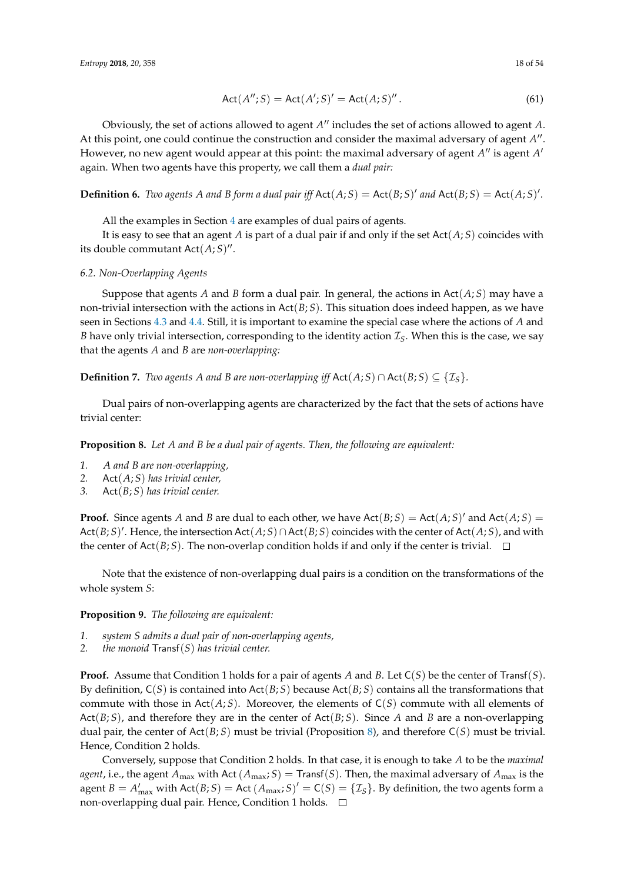$$
Act(A'';S) = Act(A';S)' = Act(A;S)''.
$$
\n(61)

Obviously, the set of actions allowed to agent A'' includes the set of actions allowed to agent A. At this point, one could continue the construction and consider the maximal adversary of agent A<sup>"</sup>. However, no new agent would appear at this point: the maximal adversary of agent A'' is agent A' again. When two agents have this property, we call them a *dual pair:*

**Definition 6.** *Two agents A and B form a dual pair iff*  $Act(A;S) = Act(B;S)'$  *and*  $Act(B;S) = Act(A;S)'$ *.* 

All the examples in Section [4](#page-8-0) are examples of dual pairs of agents.

It is easy to see that an agent *A* is part of a dual pair if and only if the set  $Act(A; S)$  coincides with its double commutant  $Act(A;S)$ ".

#### *6.2. Non-Overlapping Agents*

Suppose that agents *A* and *B* form a dual pair. In general, the actions in  $Act(A;S)$  may have a non-trivial intersection with the actions in Act(*B*; *S*). This situation does indeed happen, as we have seen in Sections [4.3](#page-12-2) and [4.4.](#page-13-2) Still, it is important to examine the special case where the actions of *A* and *B* have only trivial intersection, corresponding to the identity action  $\mathcal{I}_S$ . When this is the case, we say that the agents *A* and *B* are *non-overlapping:*

**Definition 7.** *Two agents A and B are non-overlapping iff*  $Act(A; S) ∩ Act(B; S) ⊆ {I<sub>S</sub>}$ .

Dual pairs of non-overlapping agents are characterized by the fact that the sets of actions have trivial center:

<span id="page-17-0"></span>**Proposition 8.** *Let A and B be a dual pair of agents. Then, the following are equivalent:*

- *1. A and B are non-overlapping,*
- *2.* Act(*A*; *S*) *has trivial center,*
- *3.* Act(*B*; *S*) *has trivial center.*

**Proof.** Since agents *A* and *B* are dual to each other, we have  $Act(B; S) = Act(A; S)'$  and  $Act(A; S) =$  $Act(B;S)'$ . Hence, the intersection  $Act(A;S) \cap Act(B;S)$  coincides with the center of  $Act(A;S)$ , and with the center of Act( $B$ ; *S*). The non-overlap condition holds if and only if the center is trivial.  $\square$ 

Note that the existence of non-overlapping dual pairs is a condition on the transformations of the whole system *S*:

# **Proposition 9.** *The following are equivalent:*

- *1. system S admits a dual pair of non-overlapping agents,*
- *2. the monoid* Transf(*S*) *has trivial center.*

**Proof.** Assume that Condition 1 holds for a pair of agents *A* and *B*. Let C(*S*) be the center of Transf(*S*). By definition, C(*S*) is contained into Act(*B*; *S*) because Act(*B*; *S*) contains all the transformations that commute with those in Act(*A*; *S*). Moreover, the elements of C(*S*) commute with all elements of Act(*B*; *S*), and therefore they are in the center of Act(*B*; *S*). Since *A* and *B* are a non-overlapping dual pair, the center of Act(*B*; *S*) must be trivial (Proposition [8\)](#page-17-0), and therefore C(*S*) must be trivial. Hence, Condition 2 holds.

Conversely, suppose that Condition 2 holds. In that case, it is enough to take *A* to be the *maximal agent*, i.e., the agent  $A_{\text{max}}$  with Act  $(A_{\text{max}}; S) =$  Transf(*S*). Then, the maximal adversary of  $A_{\text{max}}$  is the agent  $B = A'_{\text{max}}$  with  $\text{Act}(B; S) = \text{Act}(A_{\text{max}}; S)' = \text{C}(S) = \{\mathcal{I}_S\}$ . By definition, the two agents form a non-overlapping dual pair. Hence, Condition 1 holds.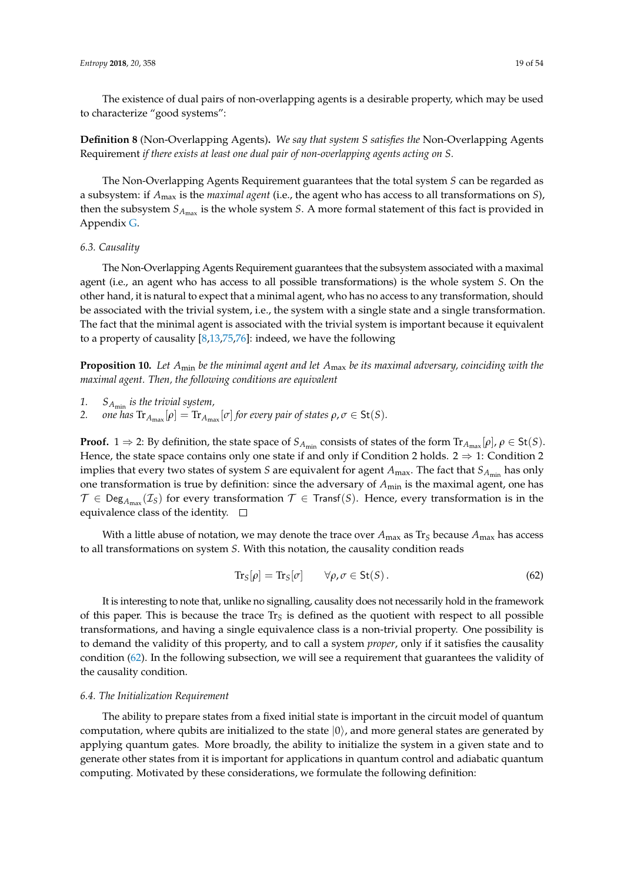The existence of dual pairs of non-overlapping agents is a desirable property, which may be used to characterize "good systems":

**Definition 8** (Non-Overlapping Agents)**.** *We say that system S satisfies the* Non-Overlapping Agents Requirement *if there exists at least one dual pair of non-overlapping agents acting on S.*

The Non-Overlapping Agents Requirement guarantees that the total system *S* can be regarded as a subsystem: if *A*max is the *maximal agent* (i.e., the agent who has access to all transformations on *S*), then the subsystem  $S_{A_{\text{max}}}$  is the whole system *S*. A more formal statement of this fact is provided in Appendix [G.](#page-44-0)

# *6.3. Causality*

The Non-Overlapping Agents Requirement guarantees that the subsystem associated with a maximal agent (i.e., an agent who has access to all possible transformations) is the whole system *S*. On the other hand, it is natural to expect that a minimal agent, who has no access to any transformation, should be associated with the trivial system, i.e., the system with a single state and a single transformation. The fact that the minimal agent is associated with the trivial system is important because it equivalent to a property of causality [\[8,](#page-50-6)[13,](#page-50-8)[75](#page-53-0)[,76\]](#page-53-1): indeed, we have the following

<span id="page-18-1"></span>**Proposition 10.** *Let A*min *be the minimal agent and let A*max *be its maximal adversary, coinciding with the maximal agent. Then, the following conditions are equivalent*

- *1. SA*min *is the trivial system,*
- 2. *one has*  $\text{Tr}_{A_{\text{max}}}[\rho] = \text{Tr}_{A_{\text{max}}}[\sigma]$  for every pair of states  $\rho, \sigma \in \mathsf{St}(S)$ .

**Proof.** 1  $\Rightarrow$  2: By definition, the state space of  $S_{A_{min}}$  consists of states of the form  $Tr_{A_{max}}[\rho]$ ,  $\rho \in \text{St}(S)$ . Hence, the state space contains only one state if and only if Condition 2 holds.  $2 \Rightarrow 1$ : Condition 2 implies that every two states of system *S* are equivalent for agent  $A_{\text{max}}$ . The fact that  $S_{A_{\text{min}}}$  has only one transformation is true by definition: since the adversary of *A*min is the maximal agent, one has  $\mathcal{T} \in \mathsf{Deg}_{A_{\sf max}}(\mathcal{I}_S)$  for every transformation  $\mathcal{T} \in \mathsf{Transf}(S)$ . Hence, every transformation is in the equivalence class of the identity.  $\square$ 

With a little abuse of notation, we may denote the trace over  $A_{\text{max}}$  as  $\text{Tr}_S$  because  $A_{\text{max}}$  has access to all transformations on system *S*. With this notation, the causality condition reads

<span id="page-18-0"></span>
$$
\operatorname{Tr}_{S}[\rho] = \operatorname{Tr}_{S}[\sigma] \qquad \forall \rho, \sigma \in \operatorname{St}(S). \tag{62}
$$

It is interesting to note that, unlike no signalling, causality does not necessarily hold in the framework of this paper. This is because the trace Tr*<sup>S</sup>* is defined as the quotient with respect to all possible transformations, and having a single equivalence class is a non-trivial property. One possibility is to demand the validity of this property, and to call a system *proper*, only if it satisfies the causality condition [\(62\)](#page-18-0). In the following subsection, we will see a requirement that guarantees the validity of the causality condition.

## *6.4. The Initialization Requirement*

The ability to prepare states from a fixed initial state is important in the circuit model of quantum computation, where qubits are initialized to the state  $|0\rangle$ , and more general states are generated by applying quantum gates. More broadly, the ability to initialize the system in a given state and to generate other states from it is important for applications in quantum control and adiabatic quantum computing. Motivated by these considerations, we formulate the following definition: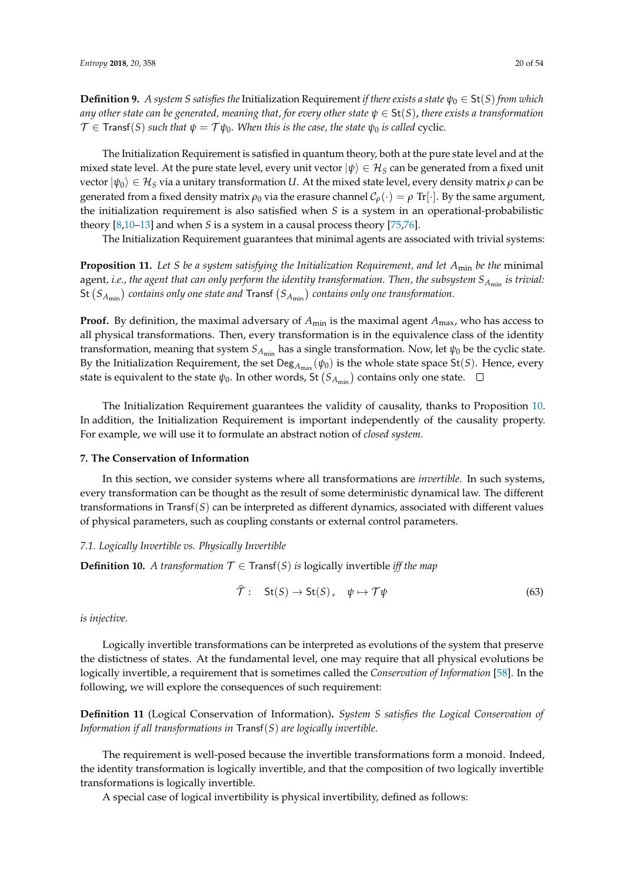**Definition 9.** *A system S satisfies the* Initialization Requirement *if there exists a state*  $\psi_0 \in St(S)$  *from which any other state can be generated, meaning that, for every other state ψ* ∈ St(*S*), *there exists a transformation*  $\mathcal{T} \in \text{Transf}(S)$  *such that*  $\psi = \mathcal{T}\psi_0$ . When this is the case, the state  $\psi_0$  is called cyclic.

The Initialization Requirement is satisfied in quantum theory, both at the pure state level and at the mixed state level. At the pure state level, every unit vector  $|\psi\rangle \in \mathcal{H}_S$  can be generated from a fixed unit  $v$ ector  $|ψ_0⟩ ∈ H<sub>S</sub>$  via a unitary transformation *U*. At the mixed state level, every density matrix *ρ* can be generated from a fixed density matrix  $\rho_0$  via the erasure channel  $C_\rho(\cdot) = \rho \text{ Tr}[\cdot]$ . By the same argument, the initialization requirement is also satisfied when *S* is a system in an operational-probabilistic theory [\[8,](#page-50-6)[10](#page-50-9)[–13\]](#page-50-8) and when *S* is a system in a causal process theory [\[75](#page-53-0)[,76\]](#page-53-1).

The Initialization Requirement guarantees that minimal agents are associated with trivial systems:

**Proposition 11.** *Let S be a system satisfying the Initialization Requirement, and let A*min *be the* minimal agent, *i.e.*, the agent that can only perform the identity transformation. Then, the subsystem  $S_{A_{\min}}$  is trivial:  ${\sf St}\left(S_{A_{\sf min}}\right)$  contains only one state and  ${\sf Transf}\left(S_{A_{\sf min}}\right)$  contains only one transformation.

**Proof.** By definition, the maximal adversary of  $A_{min}$  is the maximal agent  $A_{max}$ , who has access to all physical transformations. Then, every transformation is in the equivalence class of the identity transformation, meaning that system  $S_{A_{\text{min}}}$  has a single transformation. Now, let  $\psi_0$  be the cyclic state. By the Initialization Requirement, the set  $\text{Deg}_{A_{\text{max}}}(\psi_0)$  is the whole state space St(*S*). Hence, every state is equivalent to the state  $\psi_0$ . In other words, St  $\left(S_{A_{\text{min}}}\right)$  contains only one state.

The Initialization Requirement guarantees the validity of causality, thanks to Proposition [10.](#page-18-1) In addition, the Initialization Requirement is important independently of the causality property. For example, we will use it to formulate an abstract notion of *closed system*.

#### <span id="page-19-0"></span>**7. The Conservation of Information**

In this section, we consider systems where all transformations are *invertible*. In such systems, every transformation can be thought as the result of some deterministic dynamical law. The different transformations in Transf(*S*) can be interpreted as different dynamics, associated with different values of physical parameters, such as coupling constants or external control parameters.

#### *7.1. Logically Invertible vs. Physically Invertible*

**Definition 10.** *A transformation*  $\mathcal{T} \in \text{Transf}(S)$  *is* logically invertible *iff the map* 

$$
\widehat{\mathcal{T}}: \quad \text{St}(S) \to \text{St}(S), \quad \psi \mapsto \mathcal{T}\psi \tag{63}
$$

*is injective.*

Logically invertible transformations can be interpreted as evolutions of the system that preserve the distictness of states. At the fundamental level, one may require that all physical evolutions be logically invertible, a requirement that is sometimes called the *Conservation of Information* [\[58\]](#page-52-7). In the following, we will explore the consequences of such requirement:

**Definition 11** (Logical Conservation of Information)**.** *System S satisfies the Logical Conservation of Information if all transformations in* Transf(*S*) *are logically invertible.*

The requirement is well-posed because the invertible transformations form a monoid. Indeed, the identity transformation is logically invertible, and that the composition of two logically invertible transformations is logically invertible.

A special case of logical invertibility is physical invertibility, defined as follows: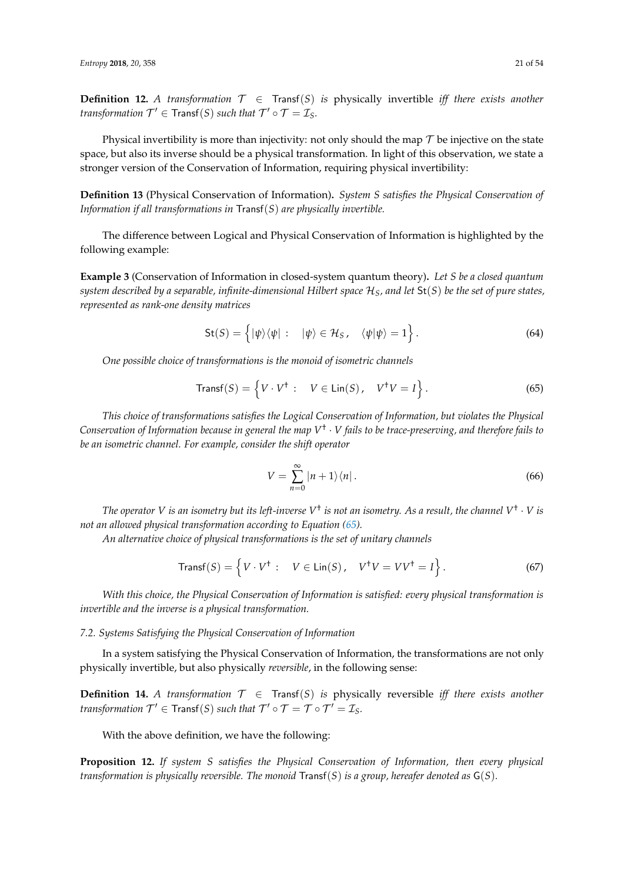**Definition 12.** *A transformation*  $T \in$  Transf(*S*) *is* physically invertible *iff there exists another transformation*  $\mathcal{T}' \in \text{Transf}(S)$  *such that*  $\mathcal{T}' \circ \mathcal{T} = \mathcal{I}_S$ *.* 

Physical invertibility is more than injectivity: not only should the map  $\mathcal T$  be injective on the state space, but also its inverse should be a physical transformation. In light of this observation, we state a stronger version of the Conservation of Information, requiring physical invertibility:

**Definition 13** (Physical Conservation of Information)**.** *System S satisfies the Physical Conservation of Information if all transformations in* Transf(*S*) *are physically invertible.*

The difference between Logical and Physical Conservation of Information is highlighted by the following example:

**Example 3** (Conservation of Information in closed-system quantum theory)**.** *Let S be a closed quantum system described by a separable, infinite-dimensional Hilbert space* H*S, and let* St(*S*) *be the set of pure states, represented as rank-one density matrices*

$$
\mathsf{St}(S) = \left\{ |\psi\rangle\langle\psi| : | \psi\rangle \in \mathcal{H}_S, \quad \langle\psi|\psi\rangle = 1 \right\}.
$$
 (64)

*One possible choice of transformations is the monoid of isometric channels*

$$
\text{Transf}(S) = \left\{ V \cdot V^{\dagger} : \quad V \in \text{Lin}(S), \quad V^{\dagger} V = I \right\}. \tag{65}
$$

*This choice of transformations satisfies the Logical Conservation of Information, but violates the Physical Conservation of Information because in general the map V* † · *V fails to be trace-preserving, and therefore fails to be an isometric channel. For example, consider the shift operator*

<span id="page-20-0"></span>
$$
V = \sum_{n=0}^{\infty} |n+1\rangle\langle n| \,.
$$

The operator V is an isometry but its left-inverse V<sup>†</sup> is not an isometry. As a result, the channel V<sup>†</sup>  $\cdot$  V is *not an allowed physical transformation according to Equation [\(65\)](#page-20-0).* 

*An alternative choice of physical transformations is the set of unitary channels*

$$
\text{Transf}(S) = \left\{ V \cdot V^{\dagger} : \quad V \in \text{Lin}(S), \quad V^{\dagger}V = VV^{\dagger} = I \right\}. \tag{67}
$$

*With this choice, the Physical Conservation of Information is satisfied: every physical transformation is invertible and the inverse is a physical transformation.*

#### *7.2. Systems Satisfying the Physical Conservation of Information*

In a system satisfying the Physical Conservation of Information, the transformations are not only physically invertible, but also physically *reversible*, in the following sense:

**Definition 14.** *A transformation*  $\mathcal{T} \in$  Transf(*S*) *is* physically reversible *iff there exists another transformation*  $\mathcal{T}' \in \text{Transf}(S)$  *such that*  $\mathcal{T}' \circ \mathcal{T} = \mathcal{T} \circ \mathcal{T}' = \mathcal{I}_S$ *.* 

With the above definition, we have the following:

**Proposition 12.** *If system S satisfies the Physical Conservation of Information, then every physical transformation is physically reversible. The monoid* Transf(*S*) *is a group, hereafer denoted as* G(*S*)*.*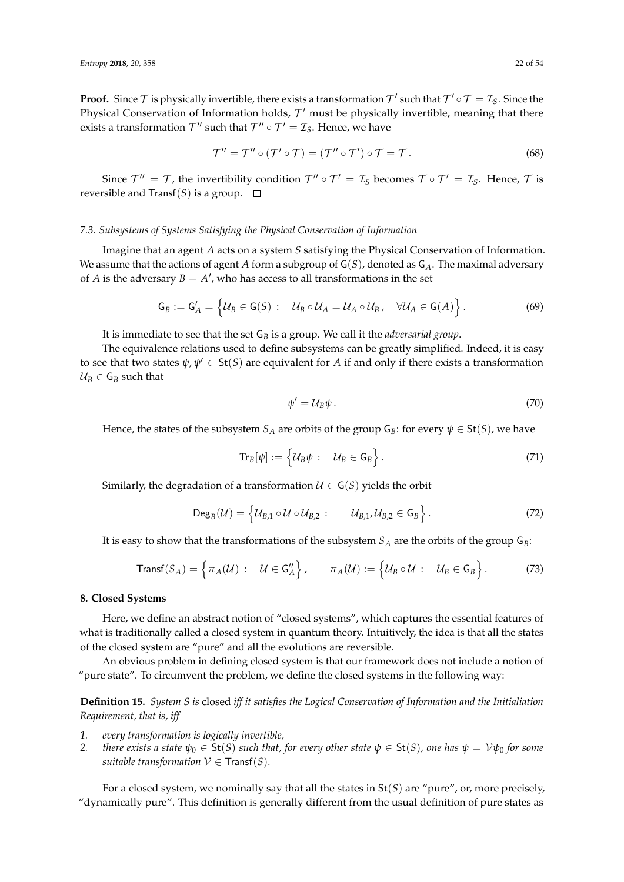**Proof.** Since  $\mathcal T$  is physically invertible, there exists a transformation  $\mathcal T'$  such that  $\mathcal T'\circ\mathcal T=\mathcal I_S$ . Since the Physical Conservation of Information holds,  $\mathcal{T}'$  must be physically invertible, meaning that there exists a transformation  $\mathcal{T}''$  such that  $\mathcal{T}'' \circ \mathcal{T}' = \mathcal{I}_S$ . Hence, we have

$$
\mathcal{T}'' = \mathcal{T}'' \circ (\mathcal{T}' \circ \mathcal{T}) = (\mathcal{T}'' \circ \mathcal{T}') \circ \mathcal{T} = \mathcal{T}.
$$
 (68)

Since  $\mathcal{T}'' = \mathcal{T}$ , the invertibility condition  $\mathcal{T}'' \circ \mathcal{T}' = \mathcal{I}_S$  becomes  $\mathcal{T} \circ \mathcal{T}' = \mathcal{I}_S$ . Hence,  $\mathcal{T}$  is reversible and Transf(*S*) is a group.  $\square$ 

## *7.3. Subsystems of Systems Satisfying the Physical Conservation of Information*

Imagine that an agent *A* acts on a system *S* satisfying the Physical Conservation of Information. We assume that the actions of agent *A* form a subgroup of G(*S*), denoted as G*A*. The maximal adversary of *A* is the adversary  $B = A'$ , who has access to all transformations in the set

$$
G_B := G'_A = \left\{ \mathcal{U}_B \in G(S) : \quad \mathcal{U}_B \circ \mathcal{U}_A = \mathcal{U}_A \circ \mathcal{U}_B, \quad \forall \mathcal{U}_A \in G(A) \right\}.
$$
 (69)

It is immediate to see that the set G*<sup>B</sup>* is a group. We call it the *adversarial group*.

The equivalence relations used to define subsystems can be greatly simplified. Indeed, it is easy to see that two states  $\psi$ ,  $\psi' \in \mathsf{St}(S)$  are equivalent for *A* if and only if there exists a transformation  $U_B \in G_B$  such that

<span id="page-21-1"></span>
$$
\psi' = \mathcal{U}_B \psi. \tag{70}
$$

Hence, the states of the subsystem  $S_A$  are orbits of the group  $G_B$ : for every  $\psi \in \text{St}(S)$ , we have

$$
\mathrm{Tr}_B[\psi] := \left\{ \mathcal{U}_B \psi : \quad \mathcal{U}_B \in \mathsf{G}_B \right\}.
$$
\n(71)

Similarly, the degradation of a transformation  $U \in G(S)$  yields the orbit

$$
\mathsf{Deg}_{B}(\mathcal{U})=\left\{\mathcal{U}_{B,1}\circ\mathcal{U}\circ\mathcal{U}_{B,2}:\qquad\mathcal{U}_{B,1},\mathcal{U}_{B,2}\in\mathsf{G}_{B}\right\}.
$$
\n(72)

It is easy to show that the transformations of the subsystem  $S_A$  are the orbits of the group  $G_B$ :

$$
\text{Transf}(S_A) = \left\{ \pi_A(\mathcal{U}) : \quad \mathcal{U} \in \mathsf{G}_A'' \right\}, \qquad \pi_A(\mathcal{U}) := \left\{ \mathcal{U}_B \circ \mathcal{U} : \quad \mathcal{U}_B \in \mathsf{G}_B \right\}. \tag{73}
$$

#### <span id="page-21-0"></span>**8. Closed Systems**

Here, we define an abstract notion of "closed systems", which captures the essential features of what is traditionally called a closed system in quantum theory. Intuitively, the idea is that all the states of the closed system are "pure" and all the evolutions are reversible.

An obvious problem in defining closed system is that our framework does not include a notion of "pure state". To circumvent the problem, we define the closed systems in the following way:

**Definition 15.** *System S is* closed *iff it satisfies the Logical Conservation of Information and the Initialiation Requirement, that is, iff*

- *1. every transformation is logically invertible,*
- *2. there exists a state*  $\psi_0 \in \mathsf{St}(S)$  *such that, for every other state*  $\psi \in \mathsf{St}(S)$ *, one has*  $\psi = \mathcal{V}\psi_0$  *for some suitable transformation*  $V \in$  Transf(*S*)*.*

For a closed system, we nominally say that all the states in St(*S*) are "pure", or, more precisely, "dynamically pure". This definition is generally different from the usual definition of pure states as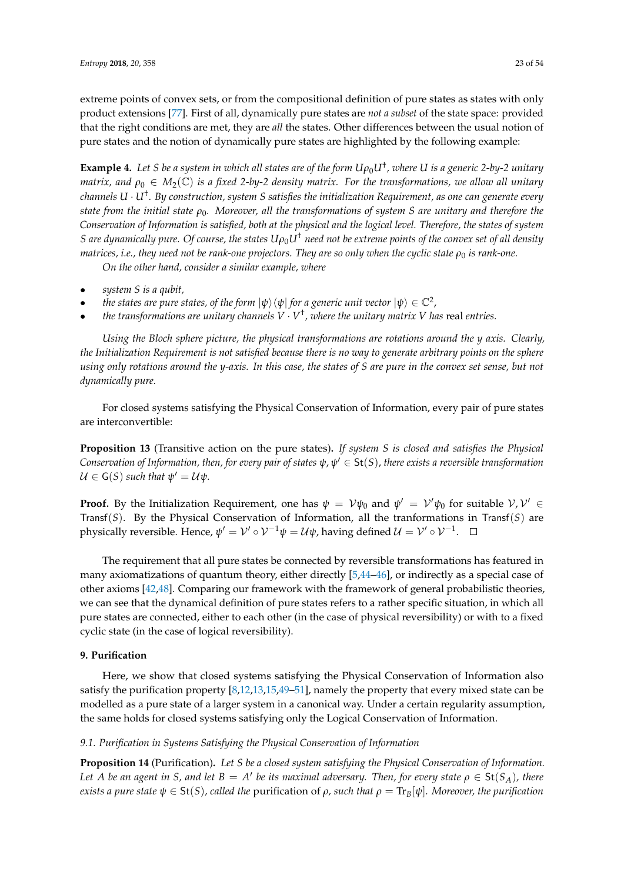extreme points of convex sets, or from the compositional definition of pure states as states with only product extensions [\[77\]](#page-53-2). First of all, dynamically pure states are *not a subset* of the state space: provided that the right conditions are met, they are *all* the states. Other differences between the usual notion of pure states and the notion of dynamically pure states are highlighted by the following example:

**Example 4.** Let S be a system in which all states are of the form  $U\rho_0 U^{\dagger}$ , where U is a generic 2-by-2 unitary *matrix, and*  $\rho_0 \in M_2(\mathbb{C})$  *is a fixed 2-by-2 density matrix. For the transformations, we allow all unitary channels U* · *U*† *. By construction, system S satisfies the initialization Requirement, as one can generate every state from the initial state ρ*0*. Moreover, all the transformations of system S are unitary and therefore the Conservation of Information is satisfied, both at the physical and the logical level. Therefore, the states of system S* are dynamically pure. Of course, the states  $U\rho_0 U^{\dagger}$  need not be extreme points of the convex set of all density *matrices, i.e., they need not be rank-one projectors. They are so only when the cyclic state ρ<sub>0</sub> is rank-one.* 

*On the other hand, consider a similar example, where*

- *system S is a qubit,*
- *the states are pure states, of the form*  $|\psi\rangle\langle\psi|$  *for a generic unit vector*  $|\psi\rangle \in \mathbb{C}^2$ ,
- *the transformations are unitary channels*  $V \cdot V^{\dagger}$ , where the unitary matrix V has real entries.

*Using the Bloch sphere picture, the physical transformations are rotations around the y axis. Clearly, the Initialization Requirement is not satisfied because there is no way to generate arbitrary points on the sphere using only rotations around the y-axis. In this case, the states of S are pure in the convex set sense, but not dynamically pure.*

For closed systems satisfying the Physical Conservation of Information, every pair of pure states are interconvertible:

**Proposition 13** (Transitive action on the pure states)**.** *If system S is closed and satisfies the Physical*  $C$ onservation of Information, then, for every pair of states  $\psi, \psi' \in \mathsf{St}(S)$ , there exists a reversible transformation  $\mathcal{U} \in \mathsf{G}(S)$  such that  $\psi' = \mathcal{U}\psi$ .

**Proof.** By the Initialization Requirement, one has  $\psi = V\psi_0$  and  $\psi' = V'\psi_0$  for suitable  $V, V' \in$ Transf(*S*). By the Physical Conservation of Information, all the tranformations in Transf(*S*) are physically reversible. Hence,  $\psi' = \mathcal{V}' \circ \mathcal{V}^{-1} \psi = \mathcal{U} \psi$ , having defined  $\mathcal{U} = \mathcal{V}' \circ \mathcal{V}^{-1}.$ 

The requirement that all pure states be connected by reversible transformations has featured in many axiomatizations of quantum theory, either directly [\[5](#page-50-4)[,44–](#page-51-22)[46\]](#page-52-24), or indirectly as a special case of other axioms [\[42](#page-51-19)[,48\]](#page-52-0). Comparing our framework with the framework of general probabilistic theories, we can see that the dynamical definition of pure states refers to a rather specific situation, in which all pure states are connected, either to each other (in the case of physical reversibility) or with to a fixed cyclic state (in the case of logical reversibility).

## <span id="page-22-0"></span>**9. Purification**

Here, we show that closed systems satisfying the Physical Conservation of Information also satisfy the purification property [\[8](#page-50-6)[,12](#page-50-7)[,13](#page-50-8)[,15,](#page-50-5)[49](#page-52-1)[–51\]](#page-52-2), namely the property that every mixed state can be modelled as a pure state of a larger system in a canonical way. Under a certain regularity assumption, the same holds for closed systems satisfying only the Logical Conservation of Information.

# *9.1. Purification in Systems Satisfying the Physical Conservation of Information*

**Proposition 14** (Purification)**.** *Let S be a closed system satisfying the Physical Conservation of Information.* Let A be an agent in S, and let  $B = A'$  be its maximal adversary. Then, for every state  $\rho \in \mathsf{St}(S_A)$ , there *exists a pure state*  $\psi \in \text{St}(S)$ *, called the purification of*  $\rho$ *, such that*  $\rho = \text{Tr}_B[\psi]$ *. Moreover, the purification*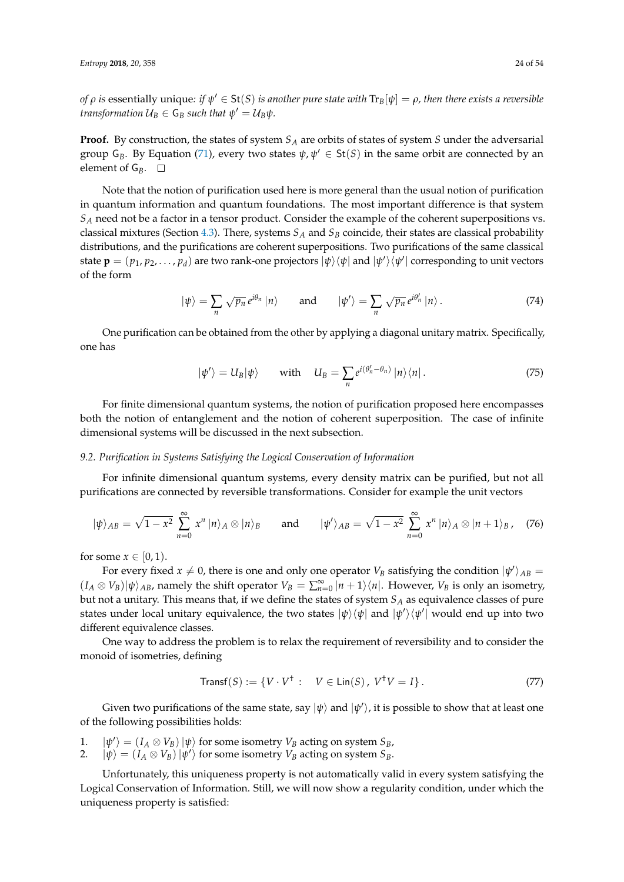*of*  $\rho$  *is essentially unique: if*  $\psi' \in$  *St(S) <i>is another pure state with*  $\text{Tr}_B[\psi]=\rho$ *, then there exists a reversible transformation*  $U_B \in \mathsf{G}_B$  *such that*  $\psi' = \mathcal{U}_B \psi$ *.* 

**Proof.** By construction, the states of system *S<sup>A</sup>* are orbits of states of system *S* under the adversarial group  $G_B$ . By Equation [\(71\)](#page-21-1), every two states  $\psi$ ,  $\psi' \in St(S)$  in the same orbit are connected by an element of  $G_B$ .  $\Box$ 

Note that the notion of purification used here is more general than the usual notion of purification in quantum information and quantum foundations. The most important difference is that system *S<sup>A</sup>* need not be a factor in a tensor product. Consider the example of the coherent superpositions vs. classical mixtures (Section [4.3\)](#page-12-2). There, systems *S<sup>A</sup>* and *S<sup>B</sup>* coincide, their states are classical probability distributions, and the purifications are coherent superpositions. Two purifications of the same classical state  $\mathbf{p}=(p_1,p_2,\ldots,p_d)$  are two rank-one projectors  $|\psi\rangle\langle\psi|$  and  $|\psi'\rangle\langle\psi'|$  corresponding to unit vectors of the form

$$
|\psi\rangle = \sum_{n} \sqrt{p_n} e^{i\theta_n} |n\rangle \quad \text{and} \quad |\psi'\rangle = \sum_{n} \sqrt{p_n} e^{i\theta_n'} |n\rangle. \tag{74}
$$

One purification can be obtained from the other by applying a diagonal unitary matrix. Specifically, one has

$$
|\psi'\rangle = U_B|\psi\rangle \quad \text{with} \quad U_B = \sum_n e^{i(\theta'_n - \theta_n)} |n\rangle\langle n| \,. \tag{75}
$$

For finite dimensional quantum systems, the notion of purification proposed here encompasses both the notion of entanglement and the notion of coherent superposition. The case of infinite dimensional systems will be discussed in the next subsection.

#### *9.2. Purification in Systems Satisfying the Logical Conservation of Information*

For infinite dimensional quantum systems, every density matrix can be purified, but not all purifications are connected by reversible transformations. Consider for example the unit vectors

$$
|\psi\rangle_{AB} = \sqrt{1-x^2} \sum_{n=0}^{\infty} x^n |n\rangle_A \otimes |n\rangle_B \quad \text{and} \quad |\psi'\rangle_{AB} = \sqrt{1-x^2} \sum_{n=0}^{\infty} x^n |n\rangle_A \otimes |n+1\rangle_B, \quad (76)
$$

for some  $x \in [0, 1)$ .

For every fixed  $x \neq 0$ , there is one and only one operator  $V_B$  satisfying the condition  $|\psi'\rangle_{AB} =$  $(I_A \otimes V_B)|\psi\rangle_{AB}$ , namely the shift operator  $V_B = \sum_{n=0}^{\infty} |n+1\rangle\langle n|$ . However,  $V_B$  is only an isometry, but not a unitary. This means that, if we define the states of system *S<sup>A</sup>* as equivalence classes of pure states under local unitary equivalence, the two states  $|\psi\rangle\langle\psi|$  and  $|\psi'\rangle\langle\psi'|$  would end up into two different equivalence classes.

One way to address the problem is to relax the requirement of reversibility and to consider the monoid of isometries, defining

$$
Transf(S) := \{ V \cdot V^{\dagger} : V \in Lin(S), V^{\dagger}V = I \}.
$$
\n(77)

Given two purifications of the same state, say  $\ket{\psi}$  and  $\ket{\psi'}$ , it is possible to show that at least one of the following possibilities holds:

- 1.  $|\psi'\rangle = (I_A \otimes V_B)|\psi\rangle$  for some isometry  $V_B$  acting on system  $S_B$ ,
- 2.  $|\psi\rangle = (I_A \otimes V_B)|\psi'\rangle$  for some isometry  $V_B$  acting on system  $S_B$ .

Unfortunately, this uniqueness property is not automatically valid in every system satisfying the Logical Conservation of Information. Still, we will now show a regularity condition, under which the uniqueness property is satisfied: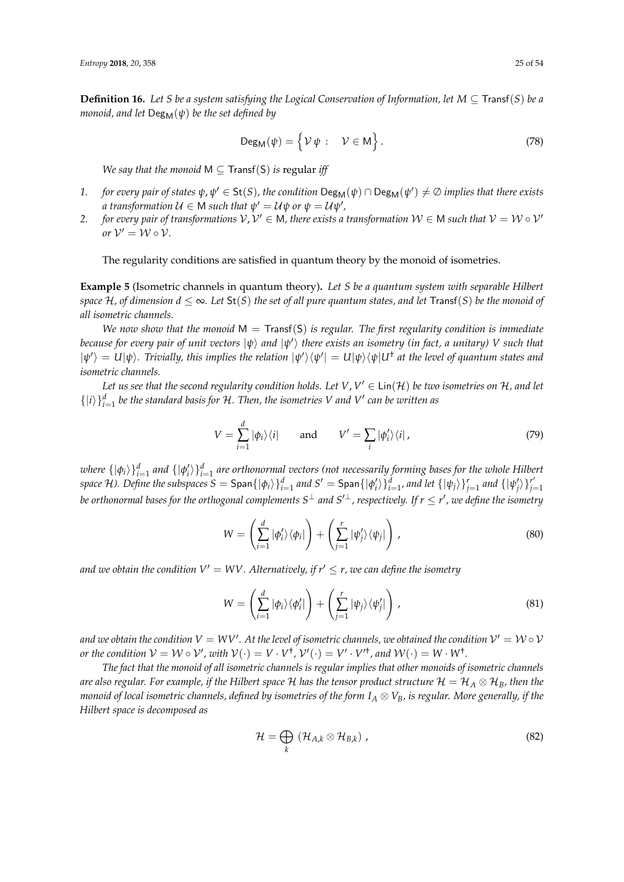**Definition 16.** Let *S* be a system satisfying the Logical Conservation of Information, let  $M \subseteq$  Transf(*S*) be a *monoid, and let*  $Deg_M(\psi)$  *be the set defined by* 

$$
\mathsf{Deg}_{\mathsf{M}}(\psi) = \left\{ \mathcal{V} \psi : \mathcal{V} \in \mathsf{M} \right\}.
$$
 (78)

*We say that the monoid*  $M \subseteq Transf(S)$  *is regular iff* 

- *1. for every pair of states*  $\psi$ ,  $\psi' \in \mathsf{St}(S)$ , the condition  $\mathsf{Deg}_\mathsf{M}(\psi) \cap \mathsf{Deg}_\mathsf{M}(\psi') \neq \emptyset$  implies that there exists  $a$  transformation  $U \in M$  such that  $\psi' = U\psi$  or  $\psi = U\psi'$  ,
- 2. *for every pair of transformations*  $V, V' \in M$ , there exists a transformation  $W \in M$  such that  $V = W \circ V'$ *or*  $V' = W \circ V$ .

The regularity conditions are satisfied in quantum theory by the monoid of isometries.

**Example 5** (Isometric channels in quantum theory)**.** *Let S be a quantum system with separable Hilbert space*  $H$ , of dimension  $d \leq \infty$ . Let  $St(S)$  the set of all pure quantum states, and let Transf(S) be the monoid of *all isometric channels.*

*We now show that the monoid* M = Transf(S) *is regular. The first regularity condition is immediate because for every pair of unit vectors* |*ψ*i *and* |*ψ* 0 i *there exists an isometry (in fact, a unitary) V such that*  $|\psi'\rangle = U|\psi\rangle$ . Trivially, this implies the relation  $|\psi'\rangle\langle\psi'| = U|\psi\rangle\langle\psi|U^\dagger$  at the level of quantum states and *isometric channels.*

Let us see that the second regularity condition holds. Let  $V$ ,  $V' \in \mathsf{Lin}(\mathcal{H})$  be two isometries on  $\mathcal{H}$ , and let  $\{|i\rangle\}_{i=1}^d$  be the standard basis for H. Then, the isometries V and V' can be written as

$$
V = \sum_{i=1}^{d} |\phi_i\rangle\langle i| \quad \text{and} \quad V' = \sum_{i} |\phi'_i\rangle\langle i| \,, \tag{79}
$$

*where*  $\{|\phi_i\rangle\}_{i=1}^d$  and  $\{|\phi'_i\rangle\}_{i=1}^d$  are orthonormal vectors (not necessarily forming bases for the whole Hilbert space H). Define the subspaces  $S =$  Span $\{\ket{\phi_i}\}_{i=1}^d$  and  $S' =$  Span $\{\ket{\phi'_i}\}_{i=1}^d$ , and let  $\{\ket{\psi_j}\}_{j=1}^r$  and  $\{\ket{\psi'_j}\}_{j=1}^{r'}$ *j*=1 be orthonormal bases for the orthogonal complements S $^\perp$  and S′ $^\perp$ , respectively. If  $r\leq r'$ , we define the isometry

$$
W = \left(\sum_{i=1}^{d} |\phi'_i\rangle \langle \phi_i| \right) + \left(\sum_{j=1}^{r} |\psi'_j\rangle \langle \psi_j| \right), \qquad (80)
$$

*and we obtain the condition*  $V' = WV$ *. Alternatively, if*  $r' \leq r$ *, we can define the isometry* 

$$
W = \left(\sum_{i=1}^{d} |\phi_i\rangle\langle\phi'_i|\right) + \left(\sum_{j=1}^{r} |\psi_j\rangle\langle\psi'_j|\right),\tag{81}
$$

and we obtain the condition  $V = W V'$ . At the level of isometric channels, we obtained the condition  $V' = W \circ V$ *or the condition*  $V = W \circ V'$ , with  $V(\cdot) = V \cdot V^{\dagger}$ ,  $V'(\cdot) = V' \cdot V'^{\dagger}$ , and  $W(\cdot) = W \cdot W^{\dagger}$ .

*The fact that the monoid of all isometric channels is regular implies that other monoids of isometric channels are also regular. For example, if the Hilbert space*  $H$  *has the tensor product structure*  $H = H_A \otimes H_B$ *, then the monoid of local isometric channels, defined by isometries of the form*  $I_A \otimes V_B$ *, is regular. More generally, if the Hilbert space is decomposed as*

$$
\mathcal{H} = \bigoplus_{k} \left( \mathcal{H}_{A,k} \otimes \mathcal{H}_{B,k} \right), \tag{82}
$$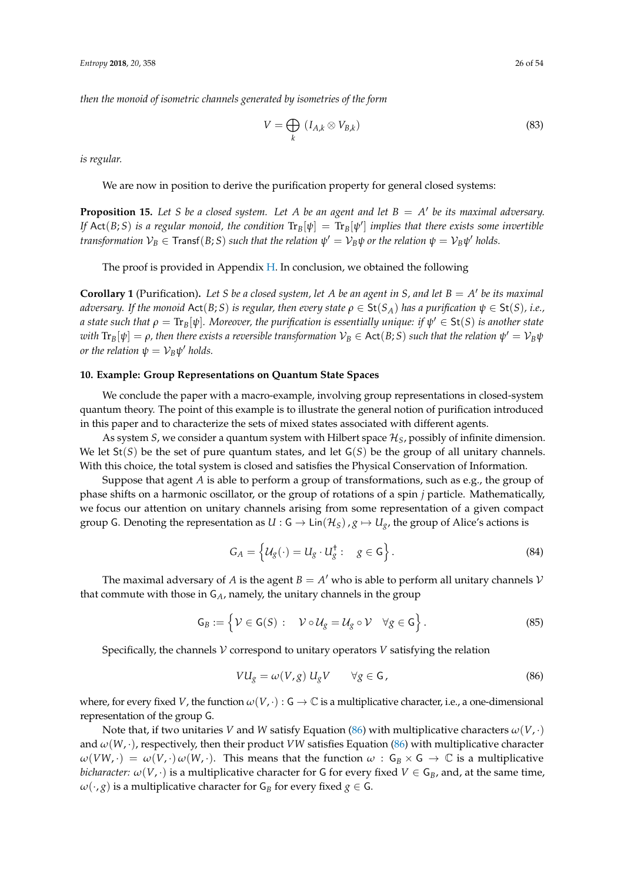*then the monoid of isometric channels generated by isometries of the form*

$$
V = \bigoplus_{k} (I_{A,k} \otimes V_{B,k})
$$
 (83)

*is regular.*

We are now in position to derive the purification property for general closed systems:

<span id="page-25-2"></span>**Proposition 15.** Let *S* be a closed system. Let *A* be an agent and let  $B = A'$  be its maximal adversary. *If* Act(*B*; *S*) is a regular monoid, the condition  $Tr_B[\psi] = Tr_B[\psi']$  *implies that there exists some invertible transformation*  $V_B \in \text{Transf}(B;S)$  *such that the relation*  $\psi' = V_B \psi$  *or the relation*  $\psi = V_B \psi'$  *holds.* 

The proof is provided in Appendix [H.](#page-45-0) In conclusion, we obtained the following

**Corollary 1** (Purification). Let *S* be a closed system, let *A* be an agent in *S*, and let  $B = A'$  be its maximal *adversary.* If the monoid Act(B; S) is regular, then every state  $\rho \in \text{St}(S_A)$  has a purification  $\psi \in \text{St}(S)$ , i.e.,  $a$  state such that  $\rho = \text{Tr}_B[\psi]$ . Moreover, the purification is essentially unique: if  $\psi' \in$   $\text{St}(S)$  is another state  $\varphi$  *with*  $\text{Tr}_B[\psi]=\rho$ , then there exists a reversible transformation  $\mathcal{V}_B\in$  Act $(B;S)$  such that the relation  $\psi'=\mathcal{V}_B\psi$ *or the relation*  $\psi = \mathcal{V}_B \psi'$  *holds.* 

## <span id="page-25-0"></span>**10. Example: Group Representations on Quantum State Spaces**

We conclude the paper with a macro-example, involving group representations in closed-system quantum theory. The point of this example is to illustrate the general notion of purification introduced in this paper and to characterize the sets of mixed states associated with different agents.

As system *S*, we consider a quantum system with Hilbert space H*S*, possibly of infinite dimension. We let  $St(S)$  be the set of pure quantum states, and let  $G(S)$  be the group of all unitary channels. With this choice, the total system is closed and satisfies the Physical Conservation of Information.

Suppose that agent *A* is able to perform a group of transformations, such as e.g., the group of phase shifts on a harmonic oscillator, or the group of rotations of a spin *j* particle. Mathematically, we focus our attention on unitary channels arising from some representation of a given compact group G. Denoting the representation as  $U : G \to Lin(\mathcal{H}_S)$ ,  $g \mapsto U_g$ , the group of Alice's actions is

$$
G_A = \left\{ \mathcal{U}_g(\cdot) = U_g \cdot U_g^{\dagger} : \quad g \in \mathsf{G} \right\}.
$$
 (84)

The maximal adversary of *A* is the agent  $B = A'$  who is able to perform all unitary channels  $V$ that commute with those in G*A*, namely, the unitary channels in the group

$$
\mathsf{G}_B := \left\{ \mathcal{V} \in \mathsf{G}(S) : \quad \mathcal{V} \circ \mathcal{U}_g = \mathcal{U}_g \circ \mathcal{V} \quad \forall g \in \mathsf{G} \right\}.
$$
 (85)

Specifically, the channels  $V$  correspond to unitary operators  $V$  satisfying the relation

<span id="page-25-1"></span>
$$
VU_g = \omega(V, g) U_g V \qquad \forall g \in \mathsf{G}, \tag{86}
$$

where, for every fixed *V*, the function  $\omega(V, \cdot) : G \to \mathbb{C}$  is a multiplicative character, i.e., a one-dimensional representation of the group G.

Note that, if two unitaries *V* and *W* satisfy Equation [\(86\)](#page-25-1) with multiplicative characters  $\omega(V, \cdot)$ and  $\omega(W, \cdot)$ , respectively, then their product *VW* satisfies Equation [\(86\)](#page-25-1) with multiplicative character  $\omega(VW, \cdot) = \omega(V, \cdot) \omega(W, \cdot)$ . This means that the function  $\omega : G_B \times G \to \mathbb{C}$  is a multiplicative *bicharacter:*  $\omega(V, \cdot)$  is a multiplicative character for G for every fixed  $V \in G_B$ , and, at the same time,  $\omega(\cdot, g)$  is a multiplicative character for  $G_B$  for every fixed  $g \in G$ .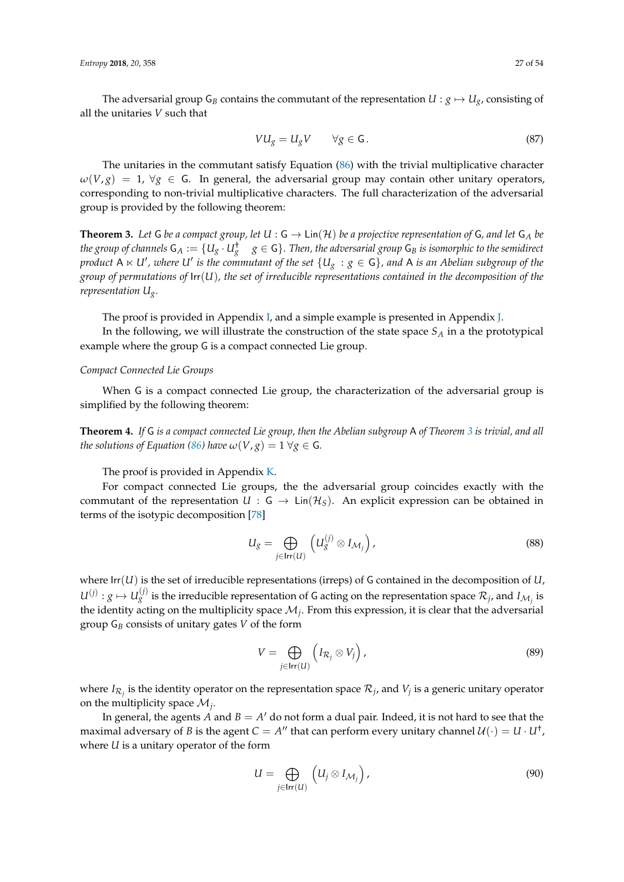$$
VU_g = U_g V \qquad \forall g \in \mathsf{G} \,. \tag{87}
$$

The unitaries in the commutant satisfy Equation [\(86\)](#page-25-1) with the trivial multiplicative character  $\omega(V, g) = 1$ ,  $\forall g \in G$ . In general, the adversarial group may contain other unitary operators, corresponding to non-trivial multiplicative characters. The full characterization of the adversarial group is provided by the following theorem:

<span id="page-26-0"></span>**Theorem 3.** Let G be a compact group, let  $U : G \to Lin(\mathcal{H})$  be a projective representation of G, and let  $G_A$  be  $g$  the group of channels  $\mathsf{G}_A:=\{U_g\cdot U_g^\dagger\mid g\in\mathsf{G}\}.$  Then, the adversarial group  $\mathsf{G}_B$  is isomorphic to the semidirect product A  $\ltimes$  U' , where U' is the commutant of the set  $\{U_g\,:\,g\in\mathsf{G}\}$  , and A is an Abelian subgroup of the *group of permutations of* Irr(*U*)*, the set of irreducible representations contained in the decomposition of the representation Ug.*

The proof is provided in Appendix [I,](#page-46-0) and a simple example is presented in Appendix [J.](#page-48-0)

In the following, we will illustrate the construction of the state space *S<sup>A</sup>* in a the prototypical example where the group G is a compact connected Lie group.

# *Compact Connected Lie Groups*

When G is a compact connected Lie group, the characterization of the adversarial group is simplified by the following theorem:

<span id="page-26-2"></span>**Theorem 4.** *If* G *is a compact connected Lie group, then the Abelian subgroup* A *of Theorem [3](#page-26-0) is trivial, and all the solutions of Equation [\(86\)](#page-25-1) have*  $\omega(V, g) = 1 \ \forall g \in G$ *.* 

The proof is provided in Appendix [K.](#page-49-0)

For compact connected Lie groups, the the adversarial group coincides exactly with the commutant of the representation  $U : G \to Lin(\mathcal{H}_S)$ . An explicit expression can be obtained in terms of the isotypic decomposition [\[78\]](#page-53-3)

<span id="page-26-1"></span>
$$
U_g = \bigoplus_{j \in \mathsf{Irr}(U)} \left( U_g^{(j)} \otimes I_{\mathcal{M}_j} \right),\tag{88}
$$

where  $\text{Irr}(U)$  is the set of irreducible representations (irreps) of G contained in the decomposition of *U*,  $U^{(j)}: g \mapsto U^{(j)}_g$  is the irreducible representation of G acting on the representation space  $\mathcal{R}_j$ , and  $I_{\mathcal{M}_j}$  is the identity acting on the multiplicity space  $M_j$ . From this expression, it is clear that the adversarial group G*<sup>B</sup>* consists of unitary gates *V* of the form

<span id="page-26-3"></span>
$$
V = \bigoplus_{j \in \text{Irr}(U)} \left( I_{\mathcal{R}_j} \otimes V_j \right),\tag{89}
$$

where  $I_{\mathcal{R}_j}$  is the identity operator on the representation space  $\mathcal{R}_j$ , and  $V_j$  is a generic unitary operator on the multiplicity space  $\mathcal{M}_j$ .

In general, the agents  $\overline{A}$  and  $\overline{B} = A'$  do not form a dual pair. Indeed, it is not hard to see that the maximal adversary of *B* is the agent  $C = A''$  that can perform every unitary channel  $\mathcal{U}(\cdot) = U \cdot U^{\dagger}$ , where *U* is a unitary operator of the form

$$
U = \bigoplus_{j \in \text{Irr}(U)} \left( U_j \otimes I_{\mathcal{M}_j} \right),\tag{90}
$$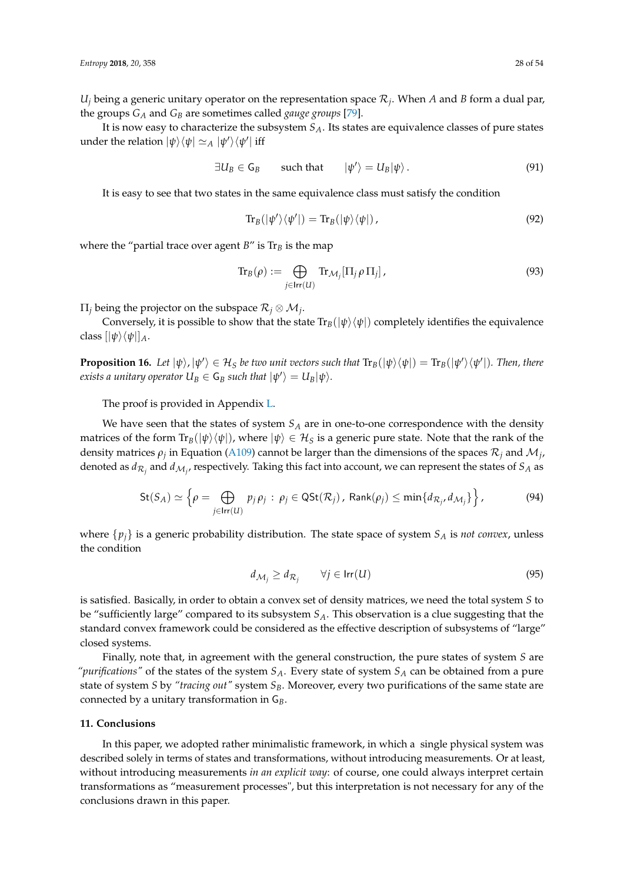$U_j$  being a generic unitary operator on the representation space  $\mathcal{R}_j$ . When *A* and *B* form a dual par, the groups *G<sup>A</sup>* and *G<sup>B</sup>* are sometimes called *gauge groups* [\[79\]](#page-53-4).

It is now easy to characterize the subsystem *SA*. Its states are equivalence classes of pure states under the relation  $|\psi\rangle\langle\psi| \simeq_A |\psi'\rangle\langle\psi'|$  iff

$$
\exists U_B \in \mathsf{G}_B \qquad \text{such that} \qquad |\psi'\rangle = U_B |\psi\rangle. \tag{91}
$$

It is easy to see that two states in the same equivalence class must satisfy the condition

$$
\text{Tr}_B(|\psi'\rangle\langle\psi'|)=\text{Tr}_B(|\psi\rangle\langle\psi|),\qquad(92)
$$

where the "partial trace over agent  $B$ " is  $Tr_B$  is the map

$$
\text{Tr}_B(\rho) := \bigoplus_{j \in \text{Irr}(U)} \text{Tr}_{\mathcal{M}_j}[\Pi_j \rho \Pi_j],\tag{93}
$$

 $\Pi_j$  being the projector on the subspace  $\mathcal{R}_j\otimes\mathcal{M}_j$ .

Conversely, it is possible to show that the state  $Tr_B(|\psi\rangle\langle\psi|)$  completely identifies the equivalence class  $[|\psi\rangle\langle\psi|]_A$ .

<span id="page-27-1"></span>**Proposition 16.** Let  $|\psi\rangle$ ,  $|\psi'\rangle \in H_S$  be two unit vectors such that  $\text{Tr}_B(|\psi\rangle\langle\psi|) = \text{Tr}_B(|\psi'\rangle\langle\psi'|)$ . Then, there  $\mathcal{L}_{B}$  *exists a unitary operator*  $U_{B} \in \mathsf{G}_{B}$  *such that*  $|\psi^{\prime}\rangle = U_{B}|\psi\rangle$ .

The proof is provided in Appendix [L.](#page-49-1)

We have seen that the states of system *S<sup>A</sup>* are in one-to-one correspondence with the density matrices of the form  $\text{Tr}_B(|\psi\rangle\langle\psi|)$ , where  $|\psi\rangle \in \mathcal{H}_S$  is a generic pure state. Note that the rank of the density matrices  $\rho_j$  in Equation [\(A109\)](#page-50-10) cannot be larger than the dimensions of the spaces  $\mathcal{R}_j$  and  $\mathcal{M}_j$ , denoted as  $d_{\mathcal{R}_j}$  and  $d_{\mathcal{M}_j}$ , respectively. Taking this fact into account, we can represent the states of  $S_A$  as

$$
\mathsf{St}(S_A) \simeq \left\{ \rho = \bigoplus_{j \in \mathsf{Irr}(U)} p_j \rho_j : \rho_j \in \mathsf{QSt}(\mathcal{R}_j), \, \mathsf{Rank}(\rho_j) \le \min\{d_{\mathcal{R}_j}, d_{\mathcal{M}_j}\} \right\},\tag{94}
$$

where  $\{p_i\}$  is a generic probability distribution. The state space of system  $S_A$  is *not convex*, unless the condition

$$
d_{\mathcal{M}_j} \ge d_{\mathcal{R}_j} \qquad \forall j \in \text{Irr}(U) \tag{95}
$$

is satisfied. Basically, in order to obtain a convex set of density matrices, we need the total system *S* to be "sufficiently large" compared to its subsystem *SA*. This observation is a clue suggesting that the standard convex framework could be considered as the effective description of subsystems of "large" closed systems.

Finally, note that, in agreement with the general construction, the pure states of system *S* are *"purifications"* of the states of the system *SA*. Every state of system *S<sup>A</sup>* can be obtained from a pure state of system *S* by *"tracing out"* system *SB*. Moreover, every two purifications of the same state are connected by a unitary transformation in G*B*.

## <span id="page-27-0"></span>**11. Conclusions**

In this paper, we adopted rather minimalistic framework, in which a single physical system was described solely in terms of states and transformations, without introducing measurements. Or at least, without introducing measurements *in an explicit way*: of course, one could always interpret certain transformations as "measurement processes", but this interpretation is not necessary for any of the conclusions drawn in this paper.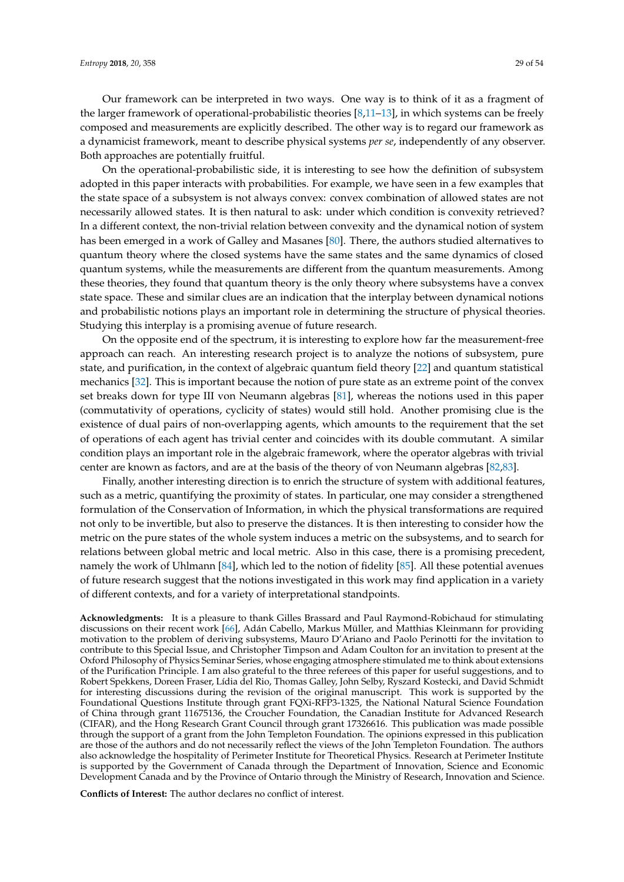Our framework can be interpreted in two ways. One way is to think of it as a fragment of the larger framework of operational-probabilistic theories [\[8,](#page-50-6)[11–](#page-50-11)[13\]](#page-50-8), in which systems can be freely composed and measurements are explicitly described. The other way is to regard our framework as a dynamicist framework, meant to describe physical systems *per se*, independently of any observer. Both approaches are potentially fruitful.

On the operational-probabilistic side, it is interesting to see how the definition of subsystem adopted in this paper interacts with probabilities. For example, we have seen in a few examples that the state space of a subsystem is not always convex: convex combination of allowed states are not necessarily allowed states. It is then natural to ask: under which condition is convexity retrieved? In a different context, the non-trivial relation between convexity and the dynamical notion of system has been emerged in a work of Galley and Masanes [\[80\]](#page-53-5). There, the authors studied alternatives to quantum theory where the closed systems have the same states and the same dynamics of closed quantum systems, while the measurements are different from the quantum measurements. Among these theories, they found that quantum theory is the only theory where subsystems have a convex state space. These and similar clues are an indication that the interplay between dynamical notions and probabilistic notions plays an important role in determining the structure of physical theories. Studying this interplay is a promising avenue of future research.

On the opposite end of the spectrum, it is interesting to explore how far the measurement-free approach can reach. An interesting research project is to analyze the notions of subsystem, pure state, and purification, in the context of algebraic quantum field theory [\[22\]](#page-51-4) and quantum statistical mechanics [\[32\]](#page-51-10). This is important because the notion of pure state as an extreme point of the convex set breaks down for type III von Neumann algebras [\[81\]](#page-53-6), whereas the notions used in this paper (commutativity of operations, cyclicity of states) would still hold. Another promising clue is the existence of dual pairs of non-overlapping agents, which amounts to the requirement that the set of operations of each agent has trivial center and coincides with its double commutant. A similar condition plays an important role in the algebraic framework, where the operator algebras with trivial center are known as factors, and are at the basis of the theory of von Neumann algebras [\[82,](#page-53-7)[83\]](#page-53-8).

Finally, another interesting direction is to enrich the structure of system with additional features, such as a metric, quantifying the proximity of states. In particular, one may consider a strengthened formulation of the Conservation of Information, in which the physical transformations are required not only to be invertible, but also to preserve the distances. It is then interesting to consider how the metric on the pure states of the whole system induces a metric on the subsystems, and to search for relations between global metric and local metric. Also in this case, there is a promising precedent, namely the work of Uhlmann [\[84\]](#page-53-9), which led to the notion of fidelity [\[85\]](#page-53-10). All these potential avenues of future research suggest that the notions investigated in this work may find application in a variety of different contexts, and for a variety of interpretational standpoints.

**Acknowledgments:** It is a pleasure to thank Gilles Brassard and Paul Raymond-Robichaud for stimulating discussions on their recent work [\[66\]](#page-52-15), Adán Cabello, Markus Müller, and Matthias Kleinmann for providing motivation to the problem of deriving subsystems, Mauro D'Ariano and Paolo Perinotti for the invitation to contribute to this Special Issue, and Christopher Timpson and Adam Coulton for an invitation to present at the Oxford Philosophy of Physics Seminar Series, whose engaging atmosphere stimulated me to think about extensions of the Purification Principle. I am also grateful to the three referees of this paper for useful suggestions, and to Robert Spekkens, Doreen Fraser, Lídia del Rio, Thomas Galley, John Selby, Ryszard Kostecki, and David Schmidt for interesting discussions during the revision of the original manuscript. This work is supported by the Foundational Questions Institute through grant FQXi-RFP3-1325, the National Natural Science Foundation of China through grant 11675136, the Croucher Foundation, the Canadian Institute for Advanced Research (CIFAR), and the Hong Research Grant Council through grant 17326616. This publication was made possible through the support of a grant from the John Templeton Foundation. The opinions expressed in this publication are those of the authors and do not necessarily reflect the views of the John Templeton Foundation. The authors also acknowledge the hospitality of Perimeter Institute for Theoretical Physics. Research at Perimeter Institute is supported by the Government of Canada through the Department of Innovation, Science and Economic Development Canada and by the Province of Ontario through the Ministry of Research, Innovation and Science.

**Conflicts of Interest:** The author declares no conflict of interest.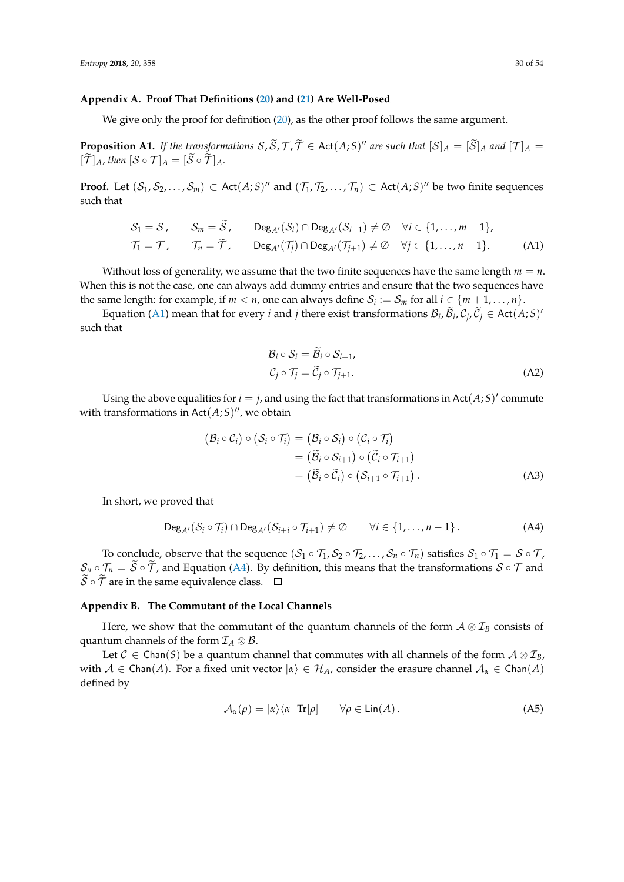#### <span id="page-29-0"></span>**Appendix A. Proof That Definitions [\(20\)](#page-8-1) and [\(21\)](#page-8-2) Are Well-Posed**

We give only the proof for definition [\(20\)](#page-8-1), as the other proof follows the same argument.

**Proposition A1.** If the transformations  $S$ ,  $\widetilde{S}$ ,  $T$ ,  $\widetilde{T} \in$  Act $(A;S)''$  are such that  $[S]_A = [\widetilde{S}]_A$  and  $[\mathcal{T}]_A = [\widetilde{S}]_A$  $[\widetilde{\mathcal{T}}]_A$ *, then*  $[\mathcal{S} \circ \mathcal{T}]_A = [\widetilde{\mathcal{S}} \circ \widetilde{\mathcal{T}}]_A$ *.* 

**Proof.** Let  $(S_1, S_2, \ldots, S_m) \subset \text{Act}(A;S)^n$  and  $(\mathcal{T}_1, \mathcal{T}_2, \ldots, \mathcal{T}_n) \subset \text{Act}(A;S)^n$  be two finite sequences such that

$$
S_1 = S, \t S_m = \tilde{S}, \t \text{Deg}_{A'}(S_i) \cap \text{Deg}_{A'}(S_{i+1}) \neq \emptyset \quad \forall i \in \{1, ..., m-1\},
$$
  

$$
T_1 = T, \t T_n = \tilde{T}, \t \text{Deg}_{A'}(T_j) \cap \text{Deg}_{A'}(T_{j+1}) \neq \emptyset \quad \forall j \in \{1, ..., n-1\}.
$$
 (A1)

Without loss of generality, we assume that the two finite sequences have the same length  $m = n$ . When this is not the case, one can always add dummy entries and ensure that the two sequences have the same length: for example, if  $m < n$ , one can always define  $S_i := S_m$  for all  $i \in \{m+1, \ldots, n\}$ .

Equation [\(A1\)](#page-29-2) mean that for every *i* and *j* there exist transformations  $\mathcal{B}_i$ ,  $\widetilde{\mathcal{B}}_i$ ,  $\mathcal{C}_j$ ,  $\widetilde{\mathcal{C}}_j \in$  Act $(A;S)$ ' such that

<span id="page-29-3"></span><span id="page-29-2"></span>
$$
\mathcal{B}_{i} \circ \mathcal{S}_{i} = \tilde{\mathcal{B}}_{i} \circ \mathcal{S}_{i+1},
$$
  

$$
\mathcal{C}_{j} \circ \mathcal{T}_{j} = \tilde{\mathcal{C}}_{j} \circ \mathcal{T}_{j+1}.
$$
 (A2)

Using the above equalities for  $i = j$ , and using the fact that transformations in Act $(A;S)'$  commute with transformations in  $Act(A;S)''$ , we obtain

$$
(\mathcal{B}_{i} \circ \mathcal{C}_{i}) \circ (\mathcal{S}_{i} \circ \mathcal{T}_{i}) = (\mathcal{B}_{i} \circ \mathcal{S}_{i}) \circ (\mathcal{C}_{i} \circ \mathcal{T}_{i})
$$
  
=  $(\widetilde{\mathcal{B}}_{i} \circ \mathcal{S}_{i+1}) \circ (\widetilde{\mathcal{C}}_{i} \circ \mathcal{T}_{i+1})$   
=  $(\widetilde{\mathcal{B}}_{i} \circ \widetilde{\mathcal{C}}_{i}) \circ (\mathcal{S}_{i+1} \circ \mathcal{T}_{i+1}).$  (A3)

In short, we proved that

$$
\mathrm{Deg}_{A'}(S_i \circ \mathcal{T}_i) \cap \mathrm{Deg}_{A'}(S_{i+i} \circ \mathcal{T}_{i+1}) \neq \emptyset \qquad \forall i \in \{1, \ldots, n-1\}.
$$
 (A4)

To conclude, observe that the sequence  $(S_1 \circ T_1, S_2 \circ T_2, \ldots, S_n \circ T_n)$  satisfies  $S_1 \circ T_1 = S \circ T$ ,  $S_n \circ T_n = \tilde{S} \circ \tilde{T}$ , and Equation [\(A4\)](#page-29-3). By definition, this means that the transformations  $S \circ T$  and  $\widetilde{S} \circ \widetilde{T}$  are in the same equivalence class.  $\Box$ 

# <span id="page-29-1"></span>**Appendix B. The Commutant of the Local Channels**

Here, we show that the commutant of the quantum channels of the form  $A \otimes I_B$  consists of quantum channels of the form  $\mathcal{I}_A \otimes \mathcal{B}$ .

Let  $C \in \text{Chan}(S)$  be a quantum channel that commutes with all channels of the form  $\mathcal{A} \otimes \mathcal{I}_B$ , with  $A \in \text{Chan}(A)$ . For a fixed unit vector  $|\alpha\rangle \in \mathcal{H}_A$ , consider the erasure channel  $A_\alpha \in \text{Chan}(A)$ defined by

$$
\mathcal{A}_{\alpha}(\rho) = |\alpha\rangle\langle\alpha| \operatorname{Tr}[\rho] \qquad \forall \rho \in \operatorname{Lin}(A). \tag{A5}
$$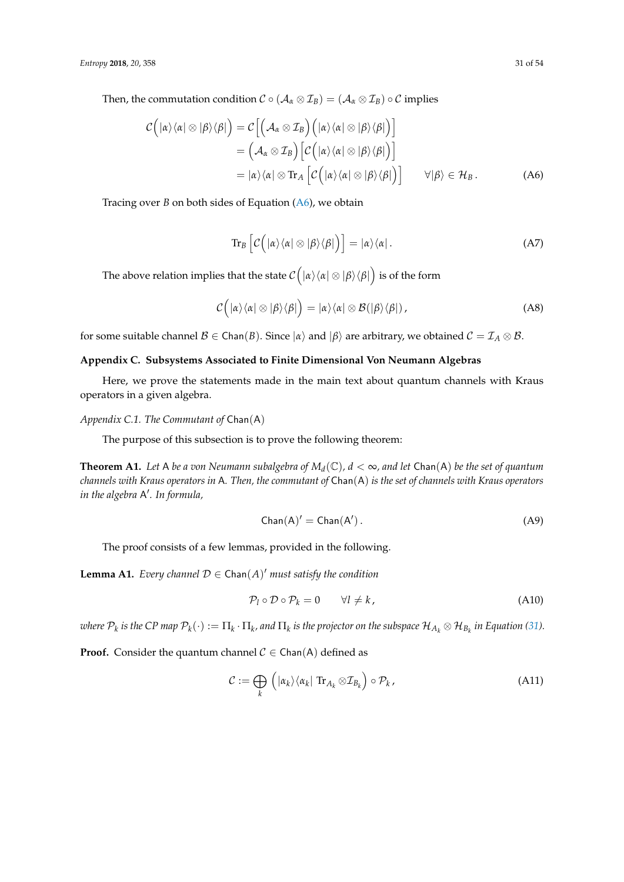Then, the commutation condition  $C \circ (\mathcal{A}_{\alpha} \otimes \mathcal{I}_{B}) = (\mathcal{A}_{\alpha} \otimes \mathcal{I}_{B}) \circ C$  implies

$$
\mathcal{C}\left(|\alpha\rangle\langle\alpha|\otimes|\beta\rangle\langle\beta|\right) = \mathcal{C}\left[\left(\mathcal{A}_{\alpha}\otimes\mathcal{I}_{B}\right)\left(|\alpha\rangle\langle\alpha|\otimes|\beta\rangle\langle\beta|\right)\right] \n= \left(\mathcal{A}_{\alpha}\otimes\mathcal{I}_{B}\right)\left[\mathcal{C}\left(|\alpha\rangle\langle\alpha|\otimes|\beta\rangle\langle\beta|\right)\right] \n= |\alpha\rangle\langle\alpha|\otimes\text{Tr}_{A}\left[\mathcal{C}\left(|\alpha\rangle\langle\alpha|\otimes|\beta\rangle\langle\beta|\right)\right] \qquad \forall |\beta\rangle \in \mathcal{H}_{B}.
$$
\n(A6)

Tracing over *B* on both sides of Equation [\(A6\)](#page-30-1), we obtain

<span id="page-30-1"></span>
$$
\operatorname{Tr}_{B}\left[\mathcal{C}\left(|\alpha\rangle\langle\alpha|\otimes|\beta\rangle\langle\beta|\right)\right]=|\alpha\rangle\langle\alpha|.\tag{A7}
$$

The above relation implies that the state  $\mathcal{C}\Big(|\alpha\rangle\langle \alpha|\otimes |\beta\rangle\langle \beta|\Big)$  is of the form

$$
C(|\alpha\rangle\langle\alpha| \otimes |\beta\rangle\langle\beta|) = |\alpha\rangle\langle\alpha| \otimes \mathcal{B}(|\beta\rangle\langle\beta|), \qquad (A8)
$$

for some suitable channel  $\mathcal{B} \in \text{Chan}(B)$ . Since  $|\alpha\rangle$  and  $|\beta\rangle$  are arbitrary, we obtained  $\mathcal{C} = \mathcal{I}_A \otimes \mathcal{B}$ .

# <span id="page-30-0"></span>**Appendix C. Subsystems Associated to Finite Dimensional Von Neumann Algebras**

Here, we prove the statements made in the main text about quantum channels with Kraus operators in a given algebra.

*Appendix C.1. The Commutant of* Chan(A)

The purpose of this subsection is to prove the following theorem:

<span id="page-30-3"></span>**Theorem A1.** Let A be a von Neumann subalgebra of  $M_d(\mathbb{C})$ ,  $d < \infty$ , and let Chan(A) be the set of quantum *channels with Kraus operators in* A*. Then, the commutant of* Chan(A) *is the set of channels with Kraus operators in the algebra* A 0 *. In formula,*

$$
Chan(A)' = Chan(A'). \qquad (A9)
$$

The proof consists of a few lemmas, provided in the following.

<span id="page-30-2"></span>**Lemma A1.** *Every channel*  $D \in$  Chan( $A$ )' *must satisfy the condition* 

$$
\mathcal{P}_l \circ \mathcal{D} \circ \mathcal{P}_k = 0 \qquad \forall l \neq k,
$$
\n(A10)

 $\pi$  where  $\mathcal{P}_k$  is the CP map  $\mathcal{P}_k(\cdot):=\Pi_k\cdot\Pi_k$ , and  $\Pi_k$  is the projector on the subspace  $\mathcal{H}_{A_k}\otimes\mathcal{H}_{B_k}$  in Equation [\(31\)](#page-10-1).

**Proof.** Consider the quantum channel  $C \in$  Chan(A) defined as

$$
\mathcal{C} := \bigoplus_{k} \left( |\alpha_{k}\rangle\langle\alpha_{k}| \operatorname{Tr}_{A_{k}} \otimes \mathcal{I}_{B_{k}} \right) \circ \mathcal{P}_{k}, \tag{A11}
$$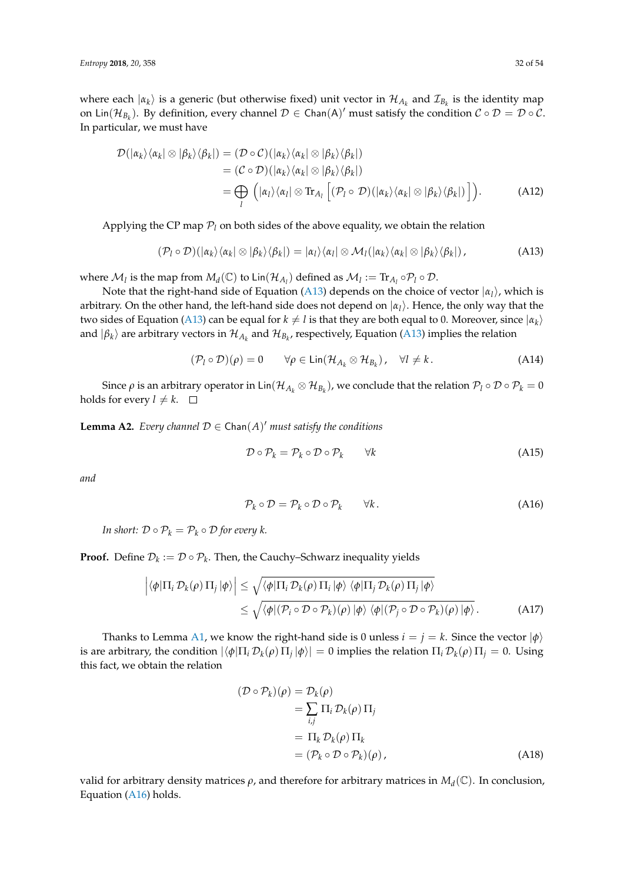where each  $|\alpha_k\rangle$  is a generic (but otherwise fixed) unit vector in  $\mathcal{H}_{A_k}$  and  $\mathcal{I}_{B_k}$  is the identity map on Lin( $\mathcal{H}_{B_k}$ ). By definition, every channel  $\mathcal{D} \in \mathsf{Chan}(A)'$  must satisfy the condition  $\mathcal{C} \circ \mathcal{D} = \mathcal{D} \circ \mathcal{C}$ . In particular, we must have

$$
\mathcal{D}(|\alpha_k\rangle\langle\alpha_k| \otimes |\beta_k\rangle\langle\beta_k|) = (\mathcal{D} \circ \mathcal{C})(|\alpha_k\rangle\langle\alpha_k| \otimes |\beta_k\rangle\langle\beta_k|) \n= (\mathcal{C} \circ \mathcal{D})(|\alpha_k\rangle\langle\alpha_k| \otimes |\beta_k\rangle\langle\beta_k|) \n= \bigoplus_l (|\alpha_l\rangle\langle\alpha_l| \otimes \text{Tr}_{A_l} [(\mathcal{P}_l \circ \mathcal{D})(|\alpha_k\rangle\langle\alpha_k| \otimes |\beta_k\rangle\langle\beta_k|)]).
$$
\n(A12)

Applying the CP map  $P_l$  on both sides of the above equality, we obtain the relation

$$
(\mathcal{P}_l \circ \mathcal{D})(\ket{\alpha_k}\bra{\alpha_k} \otimes \ket{\beta_k}\bra{\beta_k}) = \ket{\alpha_l}\bra{\alpha_l} \otimes \mathcal{M}_l(\ket{\alpha_k}\bra{\alpha_k} \otimes \ket{\beta_k}\bra{\beta_k}), \qquad (A13)
$$

where  $\mathcal{M}_l$  is the map from  $M_d(\mathbb{C})$  to  $\text{Lin}(\mathcal{H}_{A_l})$  defined as  $\mathcal{M}_l := \text{Tr}_{A_l} \circ \mathcal{P}_l \circ \mathcal{D}$ .

Note that the right-hand side of Equation [\(A13\)](#page-31-0) depends on the choice of vector |*α<sup>l</sup>* i, which is arbitrary. On the other hand, the left-hand side does not depend on  $|\alpha_l\rangle$ . Hence, the only way that the two sides of Equation [\(A13\)](#page-31-0) can be equal for  $k\neq l$  is that they are both equal to 0. Moreover, since  $|\alpha_k\rangle$ and  $|\beta_k\rangle$  are arbitrary vectors in  $\mathcal{H}_{A_k}$  and  $\mathcal{H}_{B_k}$ , respectively, Equation [\(A13\)](#page-31-0) implies the relation

$$
(\mathcal{P}_l \circ \mathcal{D})(\rho) = 0 \qquad \forall \rho \in \text{Lin}(\mathcal{H}_{A_k} \otimes \mathcal{H}_{B_k}), \quad \forall l \neq k. \tag{A14}
$$

Since  $\rho$  is an arbitrary operator in Lin $({\cal H}_{A_k}\otimes{\cal H}_{B_k})$ , we conclude that the relation  ${\cal P}_l\circ{\cal D}\circ{\cal P}_k=0$ holds for every  $l \neq k$ .  $\square$ 

<span id="page-31-3"></span>**Lemma A2.** *Every channel*  $D \in$  Chan( $A$ )' *must satisfy the conditions* 

<span id="page-31-2"></span><span id="page-31-0"></span>
$$
\mathcal{D} \circ \mathcal{P}_k = \mathcal{P}_k \circ \mathcal{D} \circ \mathcal{P}_k \qquad \forall k \tag{A15}
$$

*and*

<span id="page-31-1"></span>
$$
\mathcal{P}_k \circ \mathcal{D} = \mathcal{P}_k \circ \mathcal{D} \circ \mathcal{P}_k \qquad \forall k. \tag{A16}
$$

*In short:*  $\mathcal{D} \circ \mathcal{P}_k = \mathcal{P}_k \circ \mathcal{D}$  *for every k.* 

**Proof.** Define  $\mathcal{D}_k := \mathcal{D} \circ \mathcal{P}_k$ . Then, the Cauchy–Schwarz inequality yields

$$
\left| \langle \phi | \Pi_i \mathcal{D}_k(\rho) \Pi_j | \phi \rangle \right| \leq \sqrt{\langle \phi | \Pi_i \mathcal{D}_k(\rho) \Pi_i | \phi \rangle \langle \phi | \Pi_j \mathcal{D}_k(\rho) \Pi_j | \phi \rangle}
$$
  
 
$$
\leq \sqrt{\langle \phi | (\mathcal{P}_i \circ \mathcal{D} \circ \mathcal{P}_k)(\rho) | \phi \rangle \langle \phi | (\mathcal{P}_j \circ \mathcal{D} \circ \mathcal{P}_k)(\rho) | \phi \rangle}.
$$
 (A17)

Thanks to Lemma [A1,](#page-30-2) we know the right-hand side is 0 unless  $i = j = k$ . Since the vector  $|\phi\rangle$ is are arbitrary, the condition  $|\langle \phi | \Pi_i \mathcal{D}_k(\rho) \Pi_j | \phi \rangle| = 0$  implies the relation  $\Pi_i \mathcal{D}_k(\rho) \Pi_j = 0$ . Using this fact, we obtain the relation

$$
(\mathcal{D} \circ \mathcal{P}_k)(\rho) = \mathcal{D}_k(\rho)
$$
  
=  $\sum_{i,j} \Pi_i \mathcal{D}_k(\rho) \Pi_j$   
=  $\Pi_k \mathcal{D}_k(\rho) \Pi_k$   
=  $(\mathcal{P}_k \circ \mathcal{D} \circ \mathcal{P}_k)(\rho)$ , (A18)

valid for arbitrary density matrices  $\rho$ , and therefore for arbitrary matrices in  $M_d(\mathbb{C})$ . In conclusion, Equation [\(A16\)](#page-31-1) holds.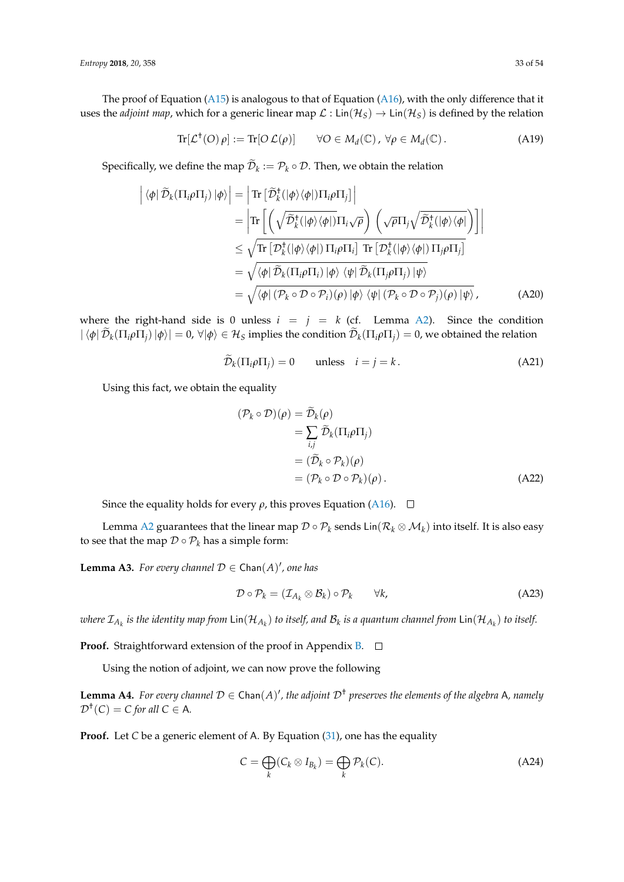The proof of Equation [\(A15\)](#page-31-2) is analogous to that of Equation [\(A16\)](#page-31-1), with the only difference that it uses the *adjoint map*, which for a generic linear map  $\mathcal{L}$  : Lin( $\mathcal{H}_S$ )  $\to$  Lin( $\mathcal{H}_S$ ) is defined by the relation

$$
\operatorname{Tr}[\mathcal{L}^{\dagger}(O)\rho] := \operatorname{Tr}[O\,\mathcal{L}(\rho)] \qquad \forall O \in M_d(\mathbb{C}), \ \forall \rho \in M_d(\mathbb{C}). \tag{A19}
$$

Specifically, we define the map  $\mathcal{D}_k := \mathcal{P}_k \circ \mathcal{D}$ . Then, we obtain the relation

$$
\left| \langle \phi | \widetilde{\mathcal{D}}_k(\Pi_i \rho \Pi_j) | \phi \rangle \right| = \left| \text{Tr} \left[ \widetilde{\mathcal{D}}_k^{\dagger} (|\phi \rangle \langle \phi|) \Pi_i \rho \Pi_j \right] \right|
$$
  
\n
$$
= \left| \text{Tr} \left[ \left( \sqrt{\widetilde{\mathcal{D}}_k^{\dagger} (|\phi \rangle \langle \phi|)} \Pi_i \sqrt{\rho} \right) \left( \sqrt{\rho} \Pi_j \sqrt{\widetilde{\mathcal{D}}_k^{\dagger} (|\phi \rangle \langle \phi|)} \right) \right] \right|
$$
  
\n
$$
\leq \sqrt{\text{Tr} \left[ \mathcal{D}_k^{\dagger} (|\phi \rangle \langle \phi|) \Pi_i \rho \Pi_i \right] \text{Tr} \left[ \mathcal{D}_k^{\dagger} (|\phi \rangle \langle \phi|) \Pi_j \rho \Pi_j \right]}
$$
  
\n
$$
= \sqrt{\langle \phi | \widetilde{\mathcal{D}}_k(\Pi_i \rho \Pi_i) | \phi \rangle \langle \psi | \widetilde{\mathcal{D}}_k(\Pi_j \rho \Pi_j) | \psi \rangle}
$$
  
\n
$$
= \sqrt{\langle \phi | (\mathcal{P}_k \circ \mathcal{D} \circ \mathcal{P}_i)(\rho) | \phi \rangle \langle \psi | (\mathcal{P}_k \circ \mathcal{D} \circ \mathcal{P}_j)(\rho) | \psi \rangle}, \tag{A20}
$$

where the right-hand side is 0 unless  $i = j = k$  (cf. Lemma [A2\)](#page-31-3). Since the condition  $|\bra{\phi}\mathcal{D}_k(\Pi_i\rho\Pi_j)\ket{\phi}|=0$ ,  $\forall\ket{\phi}\in\mathcal{H}_S$  implies the condition  $\mathcal{D}_k(\Pi_i\rho\Pi_j)=0$ , we obtained the relation

$$
\mathcal{D}_k(\Pi_i \rho \Pi_j) = 0 \qquad \text{unless} \quad i = j = k. \tag{A21}
$$

Using this fact, we obtain the equality

$$
(\mathcal{P}_k \circ \mathcal{D})(\rho) = \mathcal{D}_k(\rho)
$$
  
=  $\sum_{i,j} \widetilde{\mathcal{D}}_k (\Pi_i \rho \Pi_j)$   
=  $(\widetilde{\mathcal{D}}_k \circ \mathcal{P}_k)(\rho)$   
=  $(\mathcal{P}_k \circ \mathcal{D} \circ \mathcal{P}_k)(\rho)$ . (A22)

Since the equality holds for every  $\rho$ , this proves Equation [\(A16\)](#page-31-1).  $\Box$ 

Lemma [A2](#page-31-3) guarantees that the linear map  $\mathcal{D}\circ \mathcal{P}_k$  sends Lin $(\mathcal{R}_k\otimes\mathcal{M}_k)$  into itself. It is also easy to see that the map  $D \circ \mathcal{P}_k$  has a simple form:

<span id="page-32-0"></span>**Lemma A3.** For every channel  $D \in$  Chan $(A)'$ , one has

$$
\mathcal{D} \circ \mathcal{P}_k = (\mathcal{I}_{A_k} \otimes \mathcal{B}_k) \circ \mathcal{P}_k \qquad \forall k,
$$
 (A23)

 $w$ here  $\mathcal{I}_{A_k}$  is the identity map from  ${\sf Lin}(\mathcal{H}_{A_k})$  to itself, and  $\mathcal{B}_k$  is a quantum channel from  ${\sf Lin}(\mathcal{H}_{A_k})$  to itself.

**Proof.** Straightforward extension of the proof in Appendix **B**. □

Using the notion of adjoint, we can now prove the following

<span id="page-32-2"></span>**Lemma A4.** For every channel  $D \in$  Chan $(A)'$ , the adjoint  $D^{\dagger}$  preserves the elements of the algebra A, namely  $\mathcal{D}^{\dagger}(C) = C$  for all  $C \in A$ *.* 

**Proof.** Let *C* be a generic element of A. By Equation [\(31\)](#page-10-1), one has the equality

<span id="page-32-1"></span>
$$
C = \bigoplus_{k} (C_k \otimes I_{B_k}) = \bigoplus_{k} \mathcal{P}_k(C). \tag{A24}
$$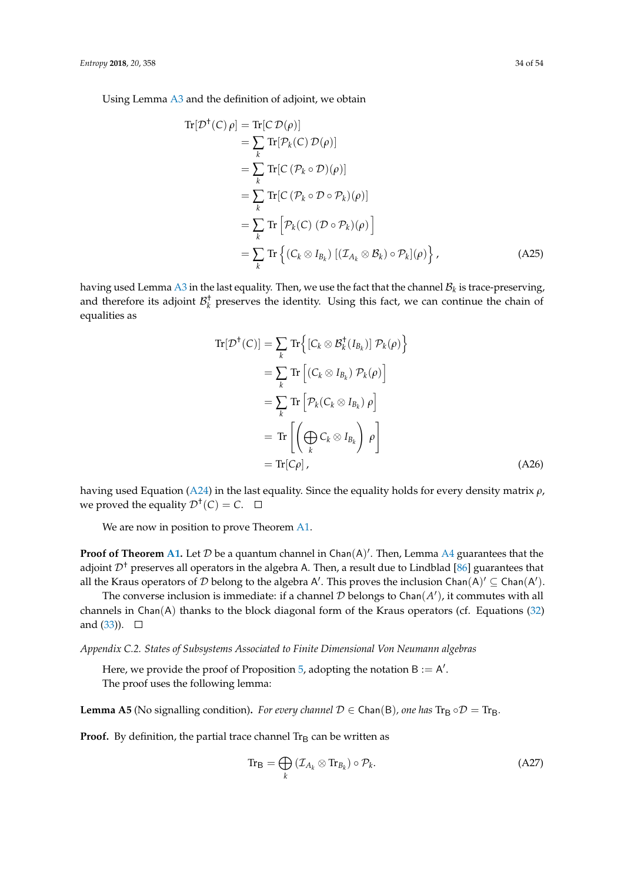Using Lemma [A3](#page-32-0) and the definition of adjoint, we obtain

$$
\begin{split} \text{Tr}[\mathcal{D}^{\dagger}(C)\,\rho] &= \text{Tr}[\mathcal{C}\,\mathcal{D}(\rho)] \\ &= \sum_{k} \text{Tr}[\mathcal{P}_{k}(C)\,\mathcal{D}(\rho)] \\ &= \sum_{k} \text{Tr}[\mathcal{C}\,(\mathcal{P}_{k} \circ \mathcal{D})(\rho)] \\ &= \sum_{k} \text{Tr}[\mathcal{C}\,(\mathcal{P}_{k} \circ \mathcal{D} \circ \mathcal{P}_{k})(\rho)] \\ &= \sum_{k} \text{Tr}\left[\mathcal{P}_{k}(C)\,(\mathcal{D} \circ \mathcal{P}_{k})(\rho)\right] \\ &= \sum_{k} \text{Tr}\left\{(\mathcal{C}_{k} \otimes I_{B_{k}})\,[(\mathcal{I}_{A_{k}} \otimes \mathcal{B}_{k}) \circ \mathcal{P}_{k}](\rho)\right\}, \end{split} \tag{A25}
$$

having used Lemma [A3](#page-32-0) in the last equality. Then, we use the fact that the channel  $\mathcal{B}_k$  is trace-preserving, and therefore its adjoint  $\mathcal{B}_k^{\dagger}$  preserves the identity. Using this fact, we can continue the chain of equalities as

$$
\operatorname{Tr}[\mathcal{D}^{\dagger}(C)] = \sum_{k} \operatorname{Tr} \left\{ [C_{k} \otimes \mathcal{B}_{k}^{\dagger}(I_{B_{k}})] \mathcal{P}_{k}(\rho) \right\}
$$
  
\n
$$
= \sum_{k} \operatorname{Tr} \left[ (C_{k} \otimes I_{B_{k}}) \mathcal{P}_{k}(\rho) \right]
$$
  
\n
$$
= \sum_{k} \operatorname{Tr} \left[ \mathcal{P}_{k}(C_{k} \otimes I_{B_{k}}) \rho \right]
$$
  
\n
$$
= \operatorname{Tr} \left[ \left( \bigoplus_{k} C_{k} \otimes I_{B_{k}} \right) \rho \right]
$$
  
\n
$$
= \operatorname{Tr} [C \rho], \qquad (A26)
$$

having used Equation [\(A24\)](#page-32-1) in the last equality. Since the equality holds for every density matrix *ρ*, we proved the equality  $\mathcal{D}^{\dagger}(C) = C$ .

We are now in position to prove Theorem [A1.](#page-30-3)

**Proof of Theorem [A1.](#page-30-3)** Let  $D$  be a quantum channel in Chan(A)'. Then, Lemma [A4](#page-32-2) guarantees that the adjoint  $\mathcal{D}^{\dagger}$  preserves all operators in the algebra A. Then, a result due to Lindblad [\[86\]](#page-53-11) guarantees that all the Kraus operators of D belong to the algebra A'. This proves the inclusion Chan(A)'  $\subseteq$  Chan(A').

The converse inclusion is immediate: if a channel  $D$  belongs to Chan $(A')$ , it commutes with all channels in Chan(A) thanks to the block diagonal form of the Kraus operators (cf. Equations [\(32\)](#page-10-2) and  $(33)$ ).  $\Box$ 

*Appendix C.2. States of Subsystems Associated to Finite Dimensional Von Neumann algebras*

Here, we provide the proof of Proposition  $5$ , adopting the notation  $B := A'$ . The proof uses the following lemma:

<span id="page-33-0"></span>**Lemma A5** (No signalling condition). *For every channel*  $\mathcal{D} \in \text{Chan}(B)$ *, one has*  $\text{Tr}_{B} \circ \mathcal{D} = \text{Tr}_{B}$ *.* 

**Proof.** By definition, the partial trace channel  $Tr_B$  can be written as

$$
\mathrm{Tr}_{\mathsf{B}} = \bigoplus_{k} \left( \mathcal{I}_{A_k} \otimes \mathrm{Tr}_{B_k} \right) \circ \mathcal{P}_k. \tag{A27}
$$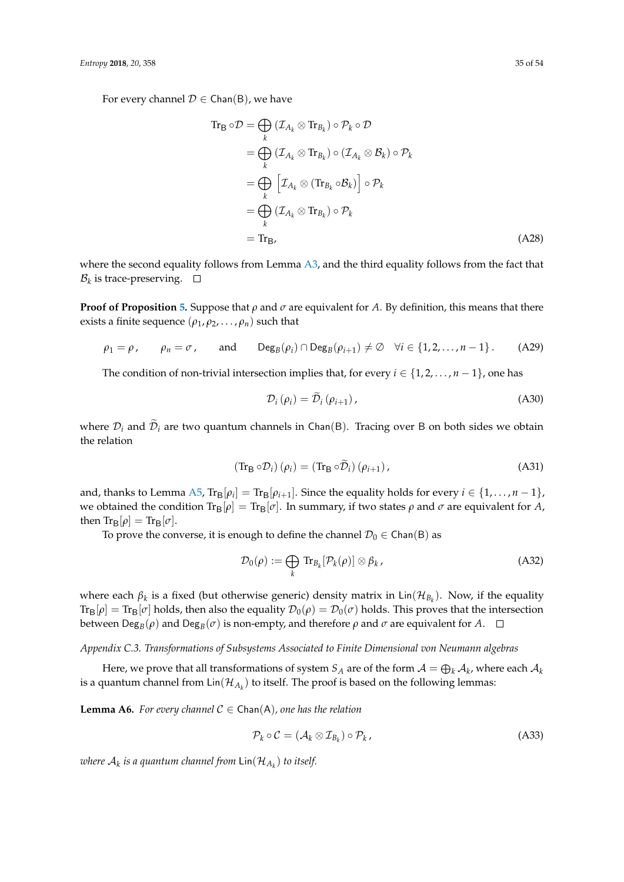For every channel  $D \in \text{Chan}(B)$ , we have

$$
\begin{aligned}\n\operatorname{Tr}_{\mathbf{B}} \circ \mathcal{D} &= \bigoplus_{k} \left( \mathcal{I}_{A_{k}} \otimes \operatorname{Tr}_{B_{k}} \right) \circ \mathcal{P}_{k} \circ \mathcal{D} \\
&= \bigoplus_{k} \left( \mathcal{I}_{A_{k}} \otimes \operatorname{Tr}_{B_{k}} \right) \circ \left( \mathcal{I}_{A_{k}} \otimes \mathcal{B}_{k} \right) \circ \mathcal{P}_{k} \\
&= \bigoplus_{k} \left[ \mathcal{I}_{A_{k}} \otimes (\operatorname{Tr}_{B_{k}} \circ \mathcal{B}_{k}) \right] \circ \mathcal{P}_{k} \\
&= \bigoplus_{k} \left( \mathcal{I}_{A_{k}} \otimes \operatorname{Tr}_{B_{k}} \right) \circ \mathcal{P}_{k} \\
&= \operatorname{Tr}_{\mathbf{B}}.\n\end{aligned} \tag{A28}
$$

where the second equality follows from Lemma [A3,](#page-32-0) and the third equality follows from the fact that  $\mathcal{B}_k$  is trace-preserving.

**Proof of Proposition** [5.](#page-11-1) Suppose that  $\rho$  and  $\sigma$  are equivalent for *A*. By definition, this means that there exists a finite sequence  $(\rho_1, \rho_2, \dots, \rho_n)$  such that

$$
\rho_1 = \rho
$$
,  $\rho_n = \sigma$ , and  $\text{Deg}_B(\rho_i) \cap \text{Deg}_B(\rho_{i+1}) \neq \emptyset$   $\forall i \in \{1, 2, ..., n-1\}$ . (A29)

The condition of non-trivial intersection implies that, for every  $i \in \{1, 2, ..., n-1\}$ , one has

$$
\mathcal{D}_{i}(\rho_{i}) = \tilde{\mathcal{D}}_{i}(\rho_{i+1}), \qquad (A30)
$$

where  $\mathcal{D}_i$  and  $\mathcal{D}_i$  are two quantum channels in Chan(B). Tracing over B on both sides we obtain the relation

$$
(\text{Tr}_{\mathsf{B}} \circ \mathcal{D}_i) (\rho_i) = (\text{Tr}_{\mathsf{B}} \circ \widetilde{\mathcal{D}}_i) (\rho_{i+1}), \tag{A31}
$$

and, thanks to Lemma [A5,](#page-33-0)  $\text{Tr}_{\mathsf{B}}[\rho_i] = \text{Tr}_{\mathsf{B}}[\rho_{i+1}]$ . Since the equality holds for every  $i \in \{1, \ldots, n-1\}$ , we obtained the condition  $\text{Tr}_{\text{B}}[\rho] = \text{Tr}_{\text{B}}[\sigma]$ . In summary, if two states  $\rho$  and  $\sigma$  are equivalent for A, then  $\text{Tr}_{\text{B}}[\rho] = \text{Tr}_{\text{B}}[\sigma]$ .

To prove the converse, it is enough to define the channel  $\mathcal{D}_0 \in \mathsf{Chan}(B)$  as

<span id="page-34-1"></span>
$$
\mathcal{D}_0(\rho) := \bigoplus_k \text{Tr}_{B_k}[\mathcal{P}_k(\rho)] \otimes \beta_k, \tag{A32}
$$

where each *β<sup>k</sup>* is a fixed (but otherwise generic) density matrix in Lin(H*B<sup>k</sup>* ). Now, if the equality  $Tr_{\mathsf{B}}[\rho] = Tr_{\mathsf{B}}[\sigma]$  holds, then also the equality  $\mathcal{D}_0(\rho) = \mathcal{D}_0(\sigma)$  holds. This proves that the intersection between Deg $_B(\rho)$  and Deg $_B(\sigma)$  is non-empty, and therefore  $\rho$  and  $\sigma$  are equivalent for *A*.

# *Appendix C.3. Transformations of Subsystems Associated to Finite Dimensional von Neumann algebras*

Here, we prove that all transformations of system  $S_A$  are of the form  $\mathcal{A}=\bigoplus_k \mathcal{A}_k$ , where each  $\mathcal{A}_k$ is a quantum channel from  $\mathsf{Lin}(\mathcal{H}_{A_k})$  to itself. The proof is based on the following lemmas:

<span id="page-34-0"></span>**Lemma A6.** For every channel  $C \in \text{Chan}(A)$ , one has the relation

$$
\mathcal{P}_k \circ \mathcal{C} = (\mathcal{A}_k \otimes \mathcal{I}_{B_k}) \circ \mathcal{P}_k, \tag{A33}
$$

*where* A*<sup>k</sup> is a quantum channel from* Lin(H*A<sup>k</sup>* ) *to itself.*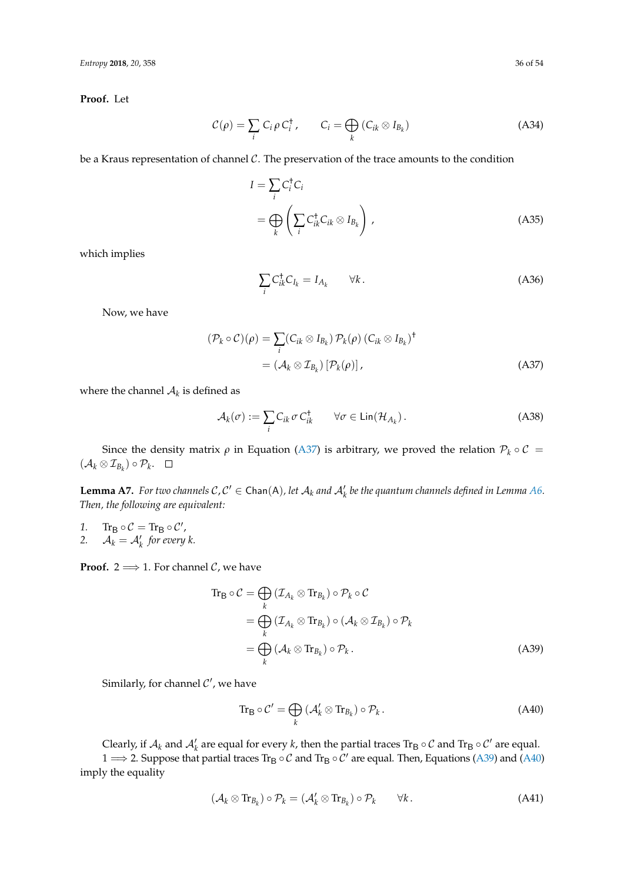**Proof.** Let

$$
C(\rho) = \sum_{i} C_{i} \rho C_{i}^{\dagger}, \qquad C_{i} = \bigoplus_{k} (C_{ik} \otimes I_{B_{k}})
$$
 (A34)

be a Kraus representation of channel  $C$ . The preservation of the trace amounts to the condition

$$
I = \sum_{i} C_{i}^{\dagger} C_{i}
$$
  
= 
$$
\bigoplus_{k} \left( \sum_{i} C_{ik}^{\dagger} C_{ik} \otimes I_{B_{k}} \right),
$$
 (A35)

which implies

<span id="page-35-0"></span>
$$
\sum_{i} C_{ik}^{\dagger} C_{I_k} = I_{A_k} \qquad \forall k. \tag{A36}
$$

Now, we have

$$
(\mathcal{P}_k \circ \mathcal{C})(\rho) = \sum_i (C_{ik} \otimes I_{B_k}) \mathcal{P}_k(\rho) (C_{ik} \otimes I_{B_k})^{\dagger}
$$
  
=  $(\mathcal{A}_k \otimes \mathcal{I}_{B_k}) [\mathcal{P}_k(\rho)],$  (A37)

where the channel  $\mathcal{A}_k$  is defined as

$$
\mathcal{A}_k(\sigma) := \sum_i C_{ik} \,\sigma \, C_{ik}^\dagger \qquad \forall \sigma \in \text{Lin}(\mathcal{H}_{A_k}). \tag{A38}
$$

Since the density matrix  $\rho$  in Equation [\(A37\)](#page-35-0) is arbitrary, we proved the relation  $\mathcal{P}_k \circ \mathcal{C} =$  $(\mathcal{A}_k \otimes \mathcal{I}_{B_k}) \circ \mathcal{P}_k.$ 

<span id="page-35-4"></span>**Lemma A7.** For two channels  $C, C' \in \text{Chan}(A)$ , let  $A_k$  and  $A'_k$  be the quantum channels defined in Lemma [A6.](#page-34-0) *Then, the following are equivalent:*

1.  $\text{Tr}_{\mathsf{B}} \circ \mathcal{C} = \text{Tr}_{\mathsf{B}} \circ \mathcal{C}'$ , 2.  $A_k = A'_k$  for every k.

**Proof.** 2  $\Longrightarrow$  1. For channel *C*, we have

$$
\begin{split} \text{Tr}_{\mathbf{B}} \circ \mathcal{C} &= \bigoplus_{k} \left( \mathcal{I}_{A_{k}} \otimes \text{Tr}_{B_{k}} \right) \circ \mathcal{P}_{k} \circ \mathcal{C} \\ &= \bigoplus_{k} \left( \mathcal{I}_{A_{k}} \otimes \text{Tr}_{B_{k}} \right) \circ \left( \mathcal{A}_{k} \otimes \mathcal{I}_{B_{k}} \right) \circ \mathcal{P}_{k} \\ &= \bigoplus_{k} \left( \mathcal{A}_{k} \otimes \text{Tr}_{B_{k}} \right) \circ \mathcal{P}_{k} \,. \end{split} \tag{A39}
$$

Similarly, for channel  $\mathcal{C}'$ , we have

<span id="page-35-3"></span><span id="page-35-2"></span><span id="page-35-1"></span>
$$
\operatorname{Tr}_{\mathsf{B}}\circ\mathcal{C}'=\bigoplus_{k}\left(\mathcal{A}'_{k}\otimes\operatorname{Tr}_{B_{k}}\right)\circ\mathcal{P}_{k}.
$$
 (A40)

Clearly, if  $A_k$  and  $A'_k$  are equal for every  $k$ , then the partial traces  $\text{Tr}_B \circ C$  and  $\text{Tr}_B \circ C'$  are equal.

1  $\Rightarrow$  2. Suppose that partial traces Tr<sub>B</sub> ◦ C and Tr<sub>B</sub> ◦ C' are equal. Then, Equations [\(A39\)](#page-35-1) and [\(A40\)](#page-35-2) imply the equality

$$
(\mathcal{A}_k \otimes \text{Tr}_{B_k}) \circ \mathcal{P}_k = (\mathcal{A}'_k \otimes \text{Tr}_{B_k}) \circ \mathcal{P}_k \qquad \forall k. \tag{A41}
$$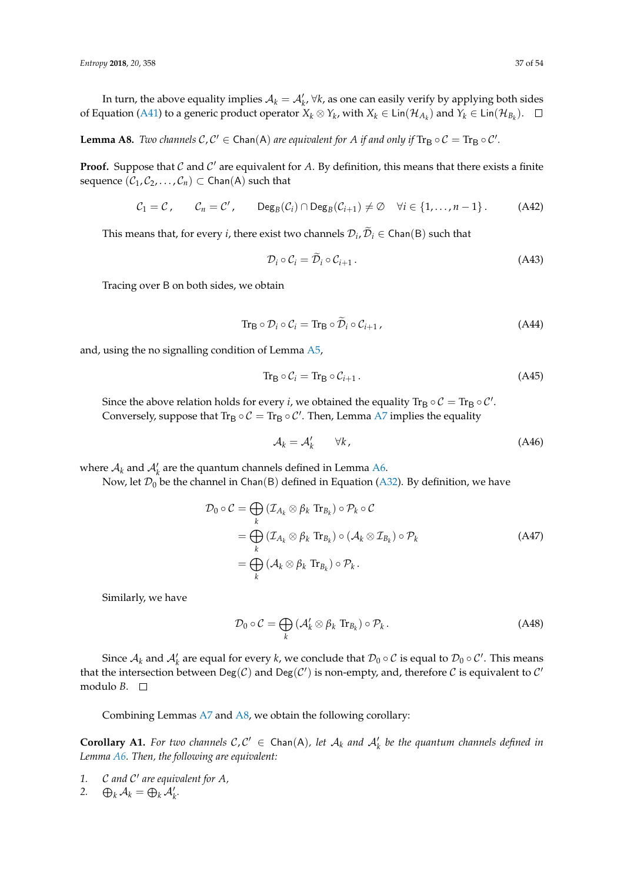In turn, the above equality implies  $A_k = A'_k$ ,  $\forall k$ , as one can easily verify by applying both sides of Equation [\(A41\)](#page-35-3) to a generic product operator  $X_k \otimes Y_k$ , with  $X_k \in \textsf{Lin}(\mathcal{H}_{A_k})$  and  $Y_k \in \textsf{Lin}(\mathcal{H}_{B_k})$ .

<span id="page-36-0"></span>**Lemma A8.** *Two channels*  $C, C' \in \text{Chan}(A)$  *are equivalent for A if and only if*  $\text{Tr}_{B} \circ C = \text{Tr}_{B} \circ C'.$ 

**Proof.** Suppose that  $C$  and  $C'$  are equivalent for  $A$ . By definition, this means that there exists a finite sequence  $(C_1, C_2, ..., C_n)$  ⊂ Chan(A) such that

$$
C_1 = C, \qquad C_n = C', \qquad \text{Deg}_B(C_i) \cap \text{Deg}_B(C_{i+1}) \neq \emptyset \quad \forall i \in \{1, ..., n-1\}.
$$
 (A42)

This means that, for every *i*, there exist two channels  $\mathcal{D}_i$ ,  $\mathcal{D}_i \in \mathsf{Chan}(B)$  such that

$$
\mathcal{D}_i \circ \mathcal{C}_i = \mathcal{D}_i \circ \mathcal{C}_{i+1} \,. \tag{A43}
$$

Tracing over B on both sides, we obtain

$$
\text{Tr}_{\mathsf{B}} \circ \mathcal{D}_i \circ \mathcal{C}_i = \text{Tr}_{\mathsf{B}} \circ \widetilde{\mathcal{D}}_i \circ \mathcal{C}_{i+1} \,, \tag{A44}
$$

and, using the no signalling condition of Lemma [A5,](#page-33-0)

$$
\operatorname{Tr}_{\mathsf{B}} \circ \mathcal{C}_i = \operatorname{Tr}_{\mathsf{B}} \circ \mathcal{C}_{i+1} \,. \tag{A45}
$$

Since the above relation holds for every *i*, we obtained the equality  $\text{Tr}_{\mathsf{B}}\circ \mathcal{C}=\text{Tr}_{\mathsf{B}}\circ \mathcal{C}'$ . Conversely, suppose that  $\text{Tr}_{\mathsf{B}} \circ \mathcal{C} = \text{Tr}_{\mathsf{B}} \circ \mathcal{C}'$ . Then, Lemma [A7](#page-35-4) implies the equality

$$
\mathcal{A}_k = \mathcal{A}'_k \qquad \forall k,
$$
\n(A46)

where  $A_k$  and  $A'_k$  are the quantum channels defined in Lemma [A6.](#page-34-0)

Now, let  $\mathcal{D}_0$  be the channel in Chan(B) defined in Equation [\(A32\)](#page-34-1). By definition, we have

$$
\mathcal{D}_0 \circ \mathcal{C} = \bigoplus_k \left( \mathcal{I}_{A_k} \otimes \beta_k \operatorname{Tr}_{B_k} \right) \circ \mathcal{P}_k \circ \mathcal{C}
$$
\n
$$
= \bigoplus_k \left( \mathcal{I}_{A_k} \otimes \beta_k \operatorname{Tr}_{B_k} \right) \circ \left( \mathcal{A}_k \otimes \mathcal{I}_{B_k} \right) \circ \mathcal{P}_k
$$
\n
$$
= \bigoplus_k \left( \mathcal{A}_k \otimes \beta_k \operatorname{Tr}_{B_k} \right) \circ \mathcal{P}_k.
$$
\n(A47)

Similarly, we have

$$
\mathcal{D}_0 \circ \mathcal{C} = \bigoplus_k \left( \mathcal{A}'_k \otimes \beta_k \operatorname{Tr}_{B_k} \right) \circ \mathcal{P}_k. \tag{A48}
$$

Since  $\mathcal{A}_k$  and  $\mathcal{A}'_k$  are equal for every  $k$ , we conclude that  $\mathcal{D}_0 \circ \mathcal{C}$  is equal to  $\mathcal{D}_0 \circ \mathcal{C}'$ . This means that the intersection between  $Deg(C)$  and  $Deg(C')$  is non-empty, and, therefore C is equivalent to C' modulo *B*.

Combining Lemmas [A7](#page-35-4) and [A8,](#page-36-0) we obtain the following corollary:

**Corollary A1.** For two channels  $C, C' \in \text{Chan}(A)$ , let  $A_k$  and  $A'_k$  be the quantum channels defined in *Lemma [A6.](#page-34-0) Then, the following are equivalent:*

- 1. C and C' are equivalent for A,
- 2.  $\bigoplus_k \mathcal{A}_k = \bigoplus_k \mathcal{A}'_k$ .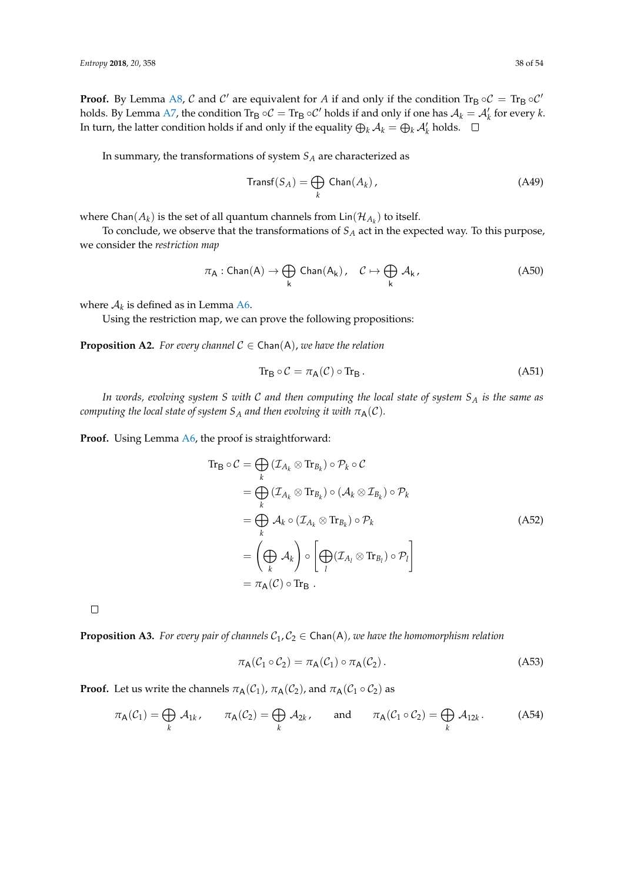**Proof.** By Lemma [A8,](#page-36-0) C and C' are equivalent for A if and only if the condition Tr<sub>B</sub>  $\circ$ C = Tr<sub>B</sub>  $\circ$ C' holds. By Lemma [A7,](#page-35-4) the condition  $\text{Tr}_{\text{B}} \circ \mathcal{C} = \text{Tr}_{\text{B}} \circ \mathcal{C}'$  holds if and only if one has  $\mathcal{A}_k = \mathcal{A}'_k$  for every  $k$ . In turn, the latter condition holds if and only if the equality  $\bigoplus_k \mathcal{A}_k = \bigoplus_k \mathcal{A}'_k$  holds.

In summary, the transformations of system *S<sup>A</sup>* are characterized as

$$
\text{Transf}(S_A) = \bigoplus_k \text{Chan}(A_k),\tag{A49}
$$

where  $\mathsf{Chan}(A_k)$  is the set of all quantum channels from  $\mathsf{Lin}(\mathcal{H}_{A_k})$  to itself.

To conclude, we observe that the transformations of *S<sup>A</sup>* act in the expected way. To this purpose, we consider the *restriction map*

$$
\pi_A: Chan(A) \to \bigoplus_k Chan(A_k), \quad C \mapsto \bigoplus_k A_k, \tag{A50}
$$

where  $A_k$  is defined as in Lemma [A6.](#page-34-0)

Using the restriction map, we can prove the following propositions:

**Proposition A2.** *For every channel*  $C \in \text{Chan}(A)$ *, we have the relation* 

$$
\operatorname{Tr}_{\mathsf{B}} \circ \mathcal{C} = \pi_{\mathsf{A}}(\mathcal{C}) \circ \operatorname{Tr}_{\mathsf{B}}.\tag{A51}
$$

*In words, evolving system S with* C *and then computing the local state of system S<sup>A</sup> is the same as computing the local state of system S<sub>A</sub> and then evolving it with*  $\pi_A(\mathcal{C})$ *.* 

Proof. Using Lemma [A6,](#page-34-0) the proof is straightforward:

$$
\begin{split} \operatorname{Tr}_{\mathsf{B}} \circ \mathcal{C} &= \bigoplus_{k} \left( \mathcal{I}_{A_{k}} \otimes \operatorname{Tr}_{B_{k}} \right) \circ \mathcal{P}_{k} \circ \mathcal{C} \\ &= \bigoplus_{k} \left( \mathcal{I}_{A_{k}} \otimes \operatorname{Tr}_{B_{k}} \right) \circ \left( \mathcal{A}_{k} \otimes \mathcal{I}_{B_{k}} \right) \circ \mathcal{P}_{k} \\ &= \bigoplus_{k} \mathcal{A}_{k} \circ \left( \mathcal{I}_{A_{k}} \otimes \operatorname{Tr}_{B_{k}} \right) \circ \mathcal{P}_{k} \\ &= \left( \bigoplus_{k} \mathcal{A}_{k} \right) \circ \left[ \bigoplus_{l} \left( \mathcal{I}_{A_{l}} \otimes \operatorname{Tr}_{B_{l}} \right) \circ \mathcal{P}_{l} \right] \\ &= \pi_{\mathsf{A}}(\mathcal{C}) \circ \operatorname{Tr}_{\mathsf{B}} \ . \end{split} \tag{A52}
$$

 $\Box$ 

**Proposition A3.** For every pair of channels  $C_1, C_2 \in \text{Chan}(A)$ , we have the homomorphism relation

$$
\pi_{\mathsf{A}}(\mathcal{C}_1 \circ \mathcal{C}_2) = \pi_{\mathsf{A}}(\mathcal{C}_1) \circ \pi_{\mathsf{A}}(\mathcal{C}_2). \tag{A53}
$$

**Proof.** Let us write the channels  $\pi_A(\mathcal{C}_1)$ ,  $\pi_A(\mathcal{C}_2)$ , and  $\pi_A(\mathcal{C}_1 \circ \mathcal{C}_2)$  as

$$
\pi_{\mathsf{A}}(\mathcal{C}_1) = \bigoplus_k \mathcal{A}_{1k}, \qquad \pi_{\mathsf{A}}(\mathcal{C}_2) = \bigoplus_k \mathcal{A}_{2k}, \qquad \text{and} \qquad \pi_{\mathsf{A}}(\mathcal{C}_1 \circ \mathcal{C}_2) = \bigoplus_k \mathcal{A}_{12k}.
$$
 (A54)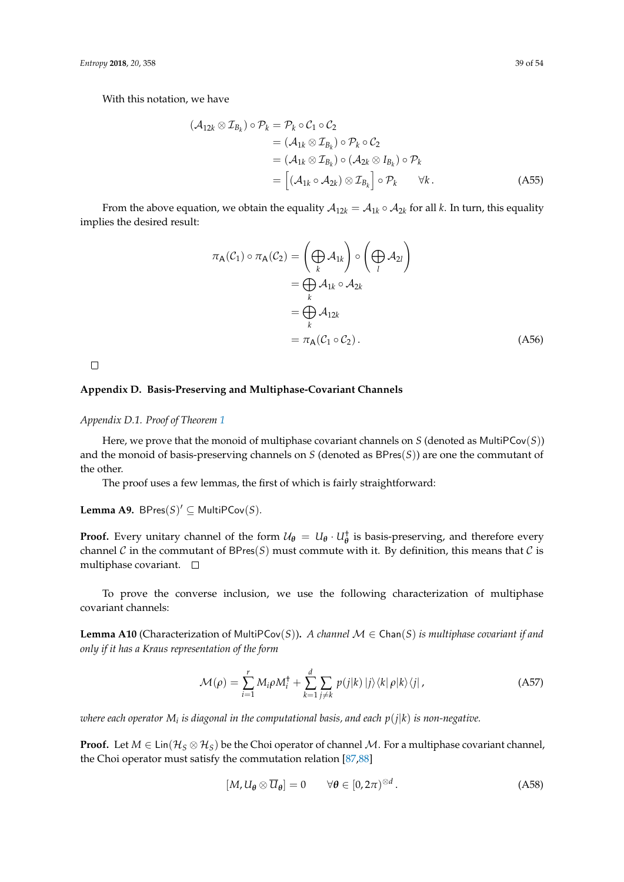With this notation, we have

$$
(\mathcal{A}_{12k} \otimes \mathcal{I}_{B_k}) \circ \mathcal{P}_k = \mathcal{P}_k \circ \mathcal{C}_1 \circ \mathcal{C}_2
$$
  
=  $(\mathcal{A}_{1k} \otimes \mathcal{I}_{B_k}) \circ \mathcal{P}_k \circ \mathcal{C}_2$   
=  $(\mathcal{A}_{1k} \otimes \mathcal{I}_{B_k}) \circ (\mathcal{A}_{2k} \otimes I_{B_k}) \circ \mathcal{P}_k$   
=  $[(\mathcal{A}_{1k} \circ \mathcal{A}_{2k}) \otimes \mathcal{I}_{B_k}] \circ \mathcal{P}_k \qquad \forall k.$  (A55)

From the above equation, we obtain the equality  $A_{12k} = A_{1k} \circ A_{2k}$  for all *k*. In turn, this equality implies the desired result:

$$
\pi_{A}(\mathcal{C}_{1}) \circ \pi_{A}(\mathcal{C}_{2}) = \left(\bigoplus_{k} \mathcal{A}_{1k}\right) \circ \left(\bigoplus_{l} \mathcal{A}_{2l}\right)
$$

$$
= \bigoplus_{k} \mathcal{A}_{1k} \circ \mathcal{A}_{2k}
$$

$$
= \bigoplus_{k} \mathcal{A}_{12k}
$$

$$
= \pi_{A}(\mathcal{C}_{1} \circ \mathcal{C}_{2}). \tag{A56}
$$

 $\Box$ 

# **Appendix D. Basis-Preserving and Multiphase-Covariant Channels**

# <span id="page-38-0"></span>*Appendix D.1. Proof of Theorem [1](#page-13-3)*

Here, we prove that the monoid of multiphase covariant channels on *S* (denoted as MultiPCov(*S*)) and the monoid of basis-preserving channels on *S* (denoted as BPres(*S*)) are one the commutant of the other.

The proof uses a few lemmas, the first of which is fairly straightforward:

**Lemma A9.** BPres $(S)' \subseteq$  MultiPCov $(S)$ *.* 

**Proof.** Every unitary channel of the form  $U_{\theta} = U_{\theta} \cdot U_{\theta}^{\dagger}$  is basis-preserving, and therefore every channel C in the commutant of BPres(S) must commute with it. By definition, this means that C is multiphase covariant.  $\square$ 

To prove the converse inclusion, we use the following characterization of multiphase covariant channels:

**Lemma A10** (Characterization of MultiPCov(*S*)). *A channel*  $\mathcal{M} \in \text{Chan}(S)$  *is multiphase covariant if and only if it has a Kraus representation of the form*

$$
\mathcal{M}(\rho) = \sum_{i=1}^{r} M_i \rho M_i^{\dagger} + \sum_{k=1}^{d} \sum_{j \neq k} p(j|k) |j\rangle \langle k| \rho |k\rangle \langle j| \,, \tag{A57}
$$

 $i$  where each operator  $M_i$  is diagonal in the computational basis, and each  $p(j|k)$  is non-negative.

**Proof.** Let  $M \in \text{Lin}(\mathcal{H}_S \otimes \mathcal{H}_S)$  be the Choi operator of channel M. For a multiphase covariant channel, the Choi operator must satisfy the commutation relation [\[87](#page-53-12)[,88\]](#page-53-13)

<span id="page-38-1"></span>
$$
[M, U_{\theta} \otimes \overline{U}_{\theta}] = 0 \qquad \forall \theta \in [0, 2\pi)^{\otimes d}.
$$
 (A58)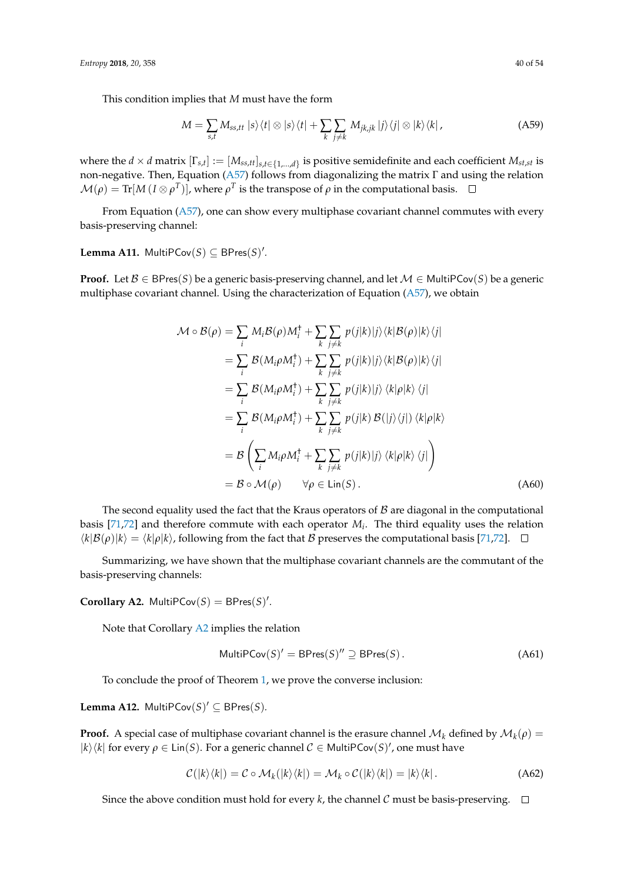This condition implies that *M* must have the form

$$
M = \sum_{s,t} M_{ss,tt} \, |s\rangle\langle t| \otimes |s\rangle\langle t| + \sum_{k} \sum_{j \neq k} M_{jk,jk} \, |j\rangle\langle j| \otimes |k\rangle\langle k| \,, \tag{A59}
$$

where the  $d \times d$  matrix  $[\Gamma_{s,t}] := [M_{ss,tt}]_{s,t \in \{1,...,d\}}$  is positive semidefinite and each coefficient  $M_{st,st}$  is non-negative. Then, Equation [\(A57\)](#page-38-1) follows from diagonalizing the matrix Γ and using the relation  $\mathcal{M}(\rho) = \text{Tr}[M\, (I \otimes \rho^T)]$ , where  $\rho^T$  is the transpose of  $\rho$  in the computational basis.

From Equation [\(A57\)](#page-38-1), one can show every multiphase covariant channel commutes with every basis-preserving channel:

**Lemma A11.** MultiPCov(S) ⊆ BPres(S)'.

**Proof.** Let  $\mathcal{B} \in \text{BPres}(S)$  be a generic basis-preserving channel, and let  $\mathcal{M} \in \text{MultiPCov}(S)$  be a generic multiphase covariant channel. Using the characterization of Equation [\(A57\)](#page-38-1), we obtain

$$
\mathcal{M} \circ \mathcal{B}(\rho) = \sum_{i} M_{i} \mathcal{B}(\rho) M_{i}^{\dagger} + \sum_{k} \sum_{j \neq k} p(j|k)|j\rangle\langle k|\mathcal{B}(\rho)|k\rangle\langle j|
$$
  
\n
$$
= \sum_{i} \mathcal{B}(M_{i}\rho M_{i}^{\dagger}) + \sum_{k} \sum_{j \neq k} p(j|k)|j\rangle\langle k|\mathcal{B}(\rho)|k\rangle\langle j|
$$
  
\n
$$
= \sum_{i} \mathcal{B}(M_{i}\rho M_{i}^{\dagger}) + \sum_{k} \sum_{j \neq k} p(j|k)|j\rangle\langle k|\rho|k\rangle\langle j|
$$
  
\n
$$
= \sum_{i} \mathcal{B}(M_{i}\rho M_{i}^{\dagger}) + \sum_{k} \sum_{j \neq k} p(j|k) \mathcal{B}(|j\rangle\langle j|) \langle k|\rho|k\rangle
$$
  
\n
$$
= \mathcal{B}\left(\sum_{i} M_{i}\rho M_{i}^{\dagger} + \sum_{k} \sum_{j \neq k} p(j|k)|j\rangle\langle k|\rho|k\rangle\langle j| \right)
$$
  
\n
$$
= \mathcal{B} \circ \mathcal{M}(\rho) \qquad \forall \rho \in Lin(S).
$$
 (A60)

The second equality used the fact that the Kraus operators of  $\beta$  are diagonal in the computational basis [\[71,](#page-52-20)[72\]](#page-52-21) and therefore commute with each operator *M<sup>i</sup>* . The third equality uses the relation  $\langle k|\mathcal{B}(\rho)|k\rangle = \langle k|\rho|k\rangle$ , following from the fact that B preserves the computational basis [\[71,](#page-52-20)[72\]](#page-52-21).  $\Box$ 

Summarizing, we have shown that the multiphase covariant channels are the commutant of the basis-preserving channels:

<span id="page-39-0"></span>**Corollary A2.** MultiPCov $(S) = BPres(S)$ <sup>'</sup>.

Note that Corollary [A2](#page-39-0) implies the relation

<span id="page-39-2"></span>
$$
MultiPCov(S)' = BPres(S)'' \supseteq BPres(S).
$$
 (A61)

To conclude the proof of Theorem [1,](#page-13-3) we prove the converse inclusion:

<span id="page-39-1"></span>**Lemma A12.** MultiPCov $(S)' \subseteq BPres(S)$ *.* 

**Proof.** A special case of multiphase covariant channel is the erasure channel  $\mathcal{M}_k$  defined by  $\mathcal{M}_k(\rho)$  =  $|k\rangle\langle k|$  for every  $\rho \in \text{Lin}(S)$ . For a generic channel  $C \in \text{MultiPCov}(S)'$ , one must have

$$
\mathcal{C}(|k\rangle\langle k|) = \mathcal{C} \circ \mathcal{M}_k(|k\rangle\langle k|) = \mathcal{M}_k \circ \mathcal{C}(|k\rangle\langle k|) = |k\rangle\langle k|.
$$
 (A62)

Since the above condition must hold for every *k*, the channel C must be basis-preserving.  $\Box$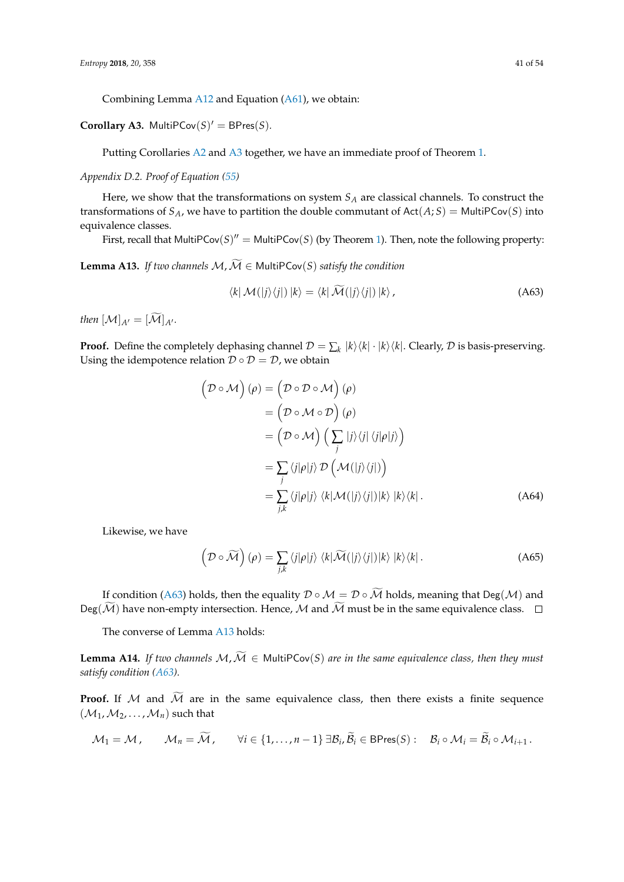Combining Lemma [A12](#page-39-1) and Equation [\(A61\)](#page-39-2), we obtain:

<span id="page-40-1"></span>**Corollary A3.** MultiPCov $(S)' = BPres(S)$ *.* 

Putting Corollaries [A2](#page-39-0) and [A3](#page-40-1) together, we have an immediate proof of Theorem [1.](#page-13-3)

<span id="page-40-0"></span>*Appendix D.2. Proof of Equation [\(55\)](#page-14-0)*

Here, we show that the transformations on system *S<sup>A</sup>* are classical channels. To construct the transformations of  $S_A$ , we have to partition the double commutant of  $Act(A;S) = MultiPCov(S)$  into equivalence classes.

First, recall that MultiPCov $(S)'' =$  MultiPCov $(S)$  (by Theorem [1\)](#page-13-3). Then, note the following property:

<span id="page-40-3"></span>**Lemma A13.** *If two channels*  $M, \widetilde{M} \in \text{MultiPCov}(S)$  *satisfy the condition* 

<span id="page-40-2"></span>
$$
\langle k | \mathcal{M}(|j\rangle\langle j|) |k\rangle = \langle k | \mathcal{\tilde{M}}(|j\rangle\langle j|) |k\rangle, \tag{A63}
$$

*then*  $[\mathcal{M}]_{A'} = [\widetilde{\mathcal{M}}]_{A'}$ .

**Proof.** Define the completely dephasing channel  $\mathcal{D} = \sum_k |k\rangle\langle k| \cdot |k\rangle\langle k|$ . Clearly,  $\mathcal D$  is basis-preserving. Using the idempotence relation  $\mathcal{D} \circ \mathcal{D} = \mathcal{D}$ , we obtain

$$
(\mathcal{D} \circ \mathcal{M}) (\rho) = (\mathcal{D} \circ \mathcal{D} \circ \mathcal{M}) (\rho)
$$
  
\n
$$
= (\mathcal{D} \circ \mathcal{M} \circ \mathcal{D}) (\rho)
$$
  
\n
$$
= (\mathcal{D} \circ \mathcal{M}) (\sum_{j} |j\rangle \langle j| \langle j|\rho | j \rangle)
$$
  
\n
$$
= \sum_{j} \langle j|\rho |j\rangle \mathcal{D} (\mathcal{M}(|j\rangle \langle j|))
$$
  
\n
$$
= \sum_{j,k} \langle j|\rho |j\rangle \langle k| \mathcal{M}(|j\rangle \langle j|) |k\rangle |k\rangle \langle k|.
$$
 (A64)

Likewise, we have

$$
\left(\mathcal{D}\circ\widetilde{\mathcal{M}}\right)(\rho)=\sum_{j,k}\left\langle j|\rho|j\right\rangle\left\langle k|\widetilde{\mathcal{M}}(|j\rangle\langle j|)|k\rangle|k\rangle\langle k|\right.\tag{A65}
$$

If condition [\(A63\)](#page-40-2) holds, then the equality  $\mathcal{D} \circ \mathcal{M} = \mathcal{D} \circ \widetilde{\mathcal{M}}$  holds, meaning that Deg( $\mathcal{M}$ ) and Deg( $\widetilde{\mathcal{M}}$ ) have non-empty intersection. Hence, M and  $\widetilde{\mathcal{M}}$  must be in the same equivalence class.  $\Box$ 

The converse of Lemma [A13](#page-40-3) holds:

<span id="page-40-4"></span>**Lemma A14.** *If two channels*  $M, \widetilde{M} \in MultiPCov(S)$  *are in the same equivalence class, then they must satisfy condition [\(A63\)](#page-40-2).*

**Proof.** If M and  $\widetilde{M}$  are in the same equivalence class, then there exists a finite sequence  $(\mathcal{M}_1, \mathcal{M}_2, \ldots, \mathcal{M}_n)$  such that

$$
\mathcal{M}_1 = \mathcal{M}, \qquad \mathcal{M}_n = \widetilde{\mathcal{M}}, \qquad \forall i \in \{1, \dots, n-1\} \,\exists \mathcal{B}_i, \widetilde{\mathcal{B}}_i \in \text{BPres}(S): \quad \mathcal{B}_i \circ \mathcal{M}_i = \widetilde{\mathcal{B}}_i \circ \mathcal{M}_{i+1} \,.
$$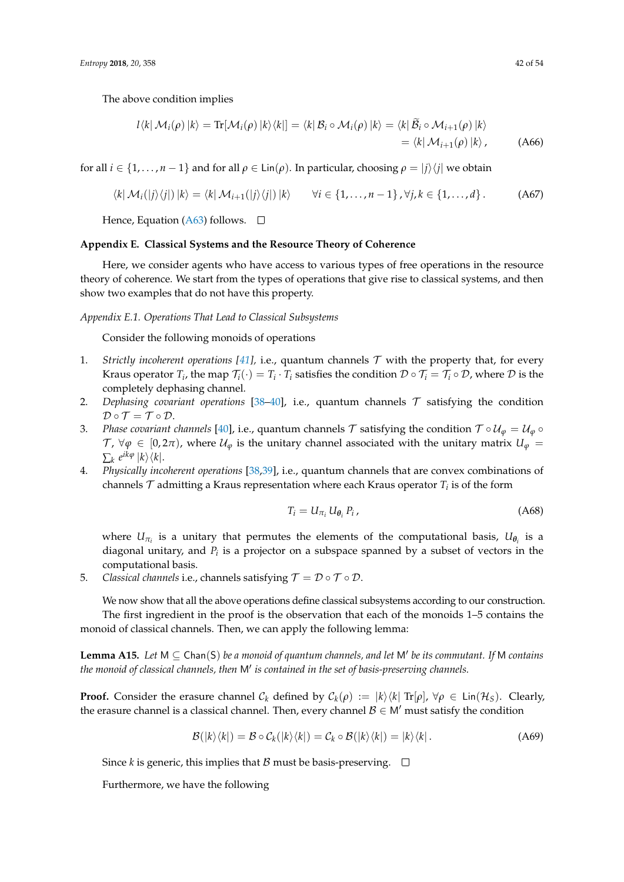The above condition implies

$$
l\langle k|\mathcal{M}_{i}(\rho)|k\rangle = \text{Tr}[\mathcal{M}_{i}(\rho)|k\rangle\langle k|] = \langle k|\mathcal{B}_{i} \circ \mathcal{M}_{i}(\rho)|k\rangle = \langle k|\tilde{\mathcal{B}}_{i} \circ \mathcal{M}_{i+1}(\rho)|k\rangle
$$
  
=  $\langle k|\mathcal{M}_{i+1}(\rho)|k\rangle$ , (A66)

for all  $i \in \{1, ..., n-1\}$  and for all  $\rho \in \text{Lin}(\rho)$ . In particular, choosing  $\rho = |j\rangle\langle j|$  we obtain

$$
\langle k | \mathcal{M}_i(|j\rangle\langle j|) |k\rangle = \langle k | \mathcal{M}_{i+1}(|j\rangle\langle j|) |k\rangle \qquad \forall i \in \{1, ..., n-1\}, \forall j, k \in \{1, ..., d\}.
$$
 (A67)

Hence, Equation [\(A63\)](#page-40-2) follows.  $\square$ 

## **Appendix E. Classical Systems and the Resource Theory of Coherence**

Here, we consider agents who have access to various types of free operations in the resource theory of coherence. We start from the types of operations that give rise to classical systems, and then show two examples that do not have this property.

## <span id="page-41-0"></span>*Appendix E.1. Operations That Lead to Classical Subsystems*

Consider the following monoids of operations

- 1. *Strictly incoherent operations [\[41\]](#page-51-13)*, i.e., quantum channels  $\mathcal T$  with the property that, for every Kraus operator  $T_i$ , the map  $\mathcal{T}_i(\cdot) = T_i \cdot T_i$  satisfies the condition  $\mathcal{D} \circ \mathcal{T}_i = \mathcal{T}_i \circ \mathcal{D}$ , where  $\mathcal D$  is the completely dephasing channel.
- 2. *Dephasing covariant operations* [\[38–](#page-51-14)[40\]](#page-51-16), i.e., quantum channels  $\tau$  satisfying the condition  $\mathcal{D} \circ \mathcal{T} = \mathcal{T} \circ \mathcal{D}.$
- 3. *Phase covariant channels* [\[40\]](#page-51-16), i.e., quantum channels T satisfying the condition  $T \circ U_{\varphi} = U_{\varphi} \circ U_{\varphi}$  $\mathcal{T}$ ,  $\forall \varphi \in [0, 2\pi)$ , where  $\mathcal{U}_{\varphi}$  is the unitary channel associated with the unitary matrix  $U_{\varphi}$  =  $\sum_{k} e^{ik\varphi} |k\rangle \langle k|.$
- 4. *Physically incoherent operations* [\[38](#page-51-14)[,39\]](#page-51-15), i.e., quantum channels that are convex combinations of channels  $\mathcal T$  admitting a Kraus representation where each Kraus operator  $T_i$  is of the form

$$
T_i = U_{\pi_i} U_{\theta_i} P_i, \qquad (A68)
$$

where  $U_{\pi_i}$  is a unitary that permutes the elements of the computational basis,  $U_{\theta_i}$  is a diagonal unitary, and *P<sup>i</sup>* is a projector on a subspace spanned by a subset of vectors in the computational basis.

5. *Classical channels* i.e., channels satisfying  $\mathcal{T} = \mathcal{D} \circ \mathcal{T} \circ \mathcal{D}$ .

We now show that all the above operations define classical subsystems according to our construction. The first ingredient in the proof is the observation that each of the monoids 1–5 contains the monoid of classical channels. Then, we can apply the following lemma:

<span id="page-41-1"></span>**Lemma A15.** Let  $M \subseteq$  Chan(S) be a monoid of quantum channels, and let  $M'$  be its commutant. If  $M$  contains the monoid of classical channels, then M' is contained in the set of basis-preserving channels.

**Proof.** Consider the erasure channel  $C_k$  defined by  $C_k(\rho) := |k\rangle\langle k| \text{ Tr}[\rho], \forall \rho \in \text{Lin}(\mathcal{H}_S)$ . Clearly, the erasure channel is a classical channel. Then, every channel  $\mathcal{B} \in \mathsf{M}'$  must satisfy the condition

$$
\mathcal{B}(|k\rangle\langle k|) = \mathcal{B} \circ \mathcal{C}_k(|k\rangle\langle k|) = \mathcal{C}_k \circ \mathcal{B}(|k\rangle\langle k|) = |k\rangle\langle k|.
$$
 (A69)

Since *k* is generic, this implies that *B* must be basis-preserving.  $\Box$ 

Furthermore, we have the following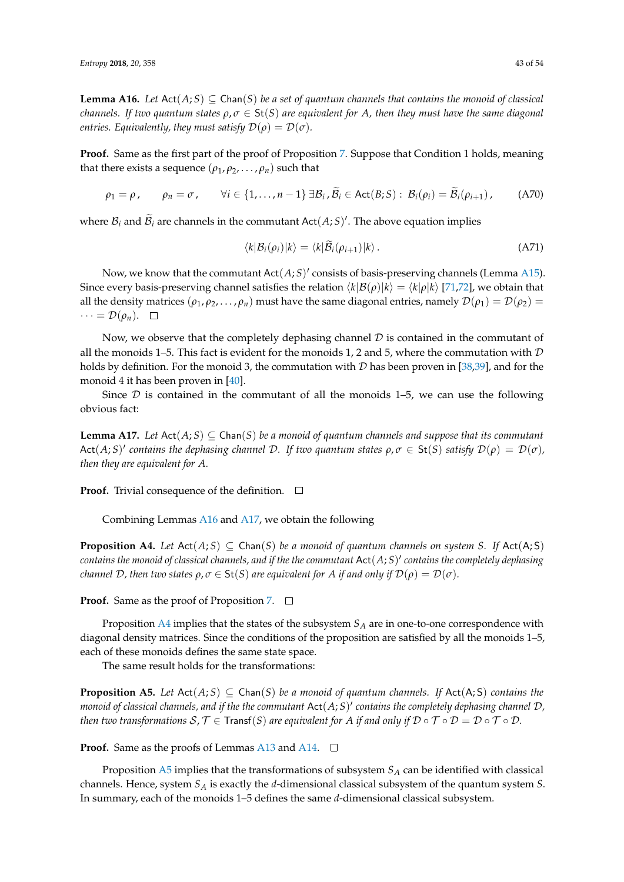<span id="page-42-0"></span>**Lemma A16.** *Let*  $Act(A;S) \subseteq Chan(S)$  *be a set of quantum channels that contains the monoid of classical channels. If two quantum states*  $\rho, \sigma \in St(S)$  *are equivalent for A, then they must have the same diagonal entries.* Equivalently, they must satisfy  $\mathcal{D}(\rho) = \mathcal{D}(\sigma)$ .

**Proof.** Same as the first part of the proof of Proposition [7.](#page-13-1) Suppose that Condition 1 holds, meaning that there exists a sequence  $(\rho_1, \rho_2, \ldots, \rho_n)$  such that

$$
\rho_1 = \rho \,, \qquad \rho_n = \sigma \,, \qquad \forall i \in \{1, \dots, n-1\} \,\exists \mathcal{B}_i \,, \widetilde{\mathcal{B}}_i \in \text{Act}(B;S): \, \mathcal{B}_i(\rho_i) = \widetilde{\mathcal{B}}_i(\rho_{i+1}) \,, \tag{A70}
$$

where  $\mathcal{B}_i$  and  $\widetilde{\mathcal{B}}_i$  are channels in the commutant Act $(A;S)'$ . The above equation implies

$$
\langle k|\mathcal{B}_i(\rho_i)|k\rangle = \langle k|\mathcal{B}_i(\rho_{i+1})|k\rangle. \tag{A71}
$$

Now, we know that the commutant  $Act(A;S)'$  consists of basis-preserving channels (Lemma [A15\)](#page-41-1). Since every basis-preserving channel satisfies the relation  $\langle k|\mathcal{B}(\rho)|k\rangle = \langle k|\rho|k\rangle$  [\[71](#page-52-20)[,72\]](#page-52-21), we obtain that all the density matrices  $(\rho_1, \rho_2, ..., \rho_n)$  must have the same diagonal entries, namely  $\mathcal{D}(\rho_1) = \mathcal{D}(\rho_2)$  =  $\cdots = \mathcal{D}(\rho_n)$ .  $\Box$ 

Now, we observe that the completely dephasing channel  $D$  is contained in the commutant of all the monoids 1–5. This fact is evident for the monoids 1, 2 and 5, where the commutation with  $D$ holds by definition. For the monoid 3, the commutation with  $D$  has been proven in [\[38,](#page-51-14)[39\]](#page-51-15), and for the monoid 4 it has been proven in [\[40\]](#page-51-16).

Since  $D$  is contained in the commutant of all the monoids 1–5, we can use the following obvious fact:

<span id="page-42-1"></span>**Lemma A17.** *Let*  $Act(A;S) \subseteq Chan(S)$  *be a monoid of quantum channels and suppose that its commutant*  $\text{Act}(A;S)'$  contains the dephasing channel  $D$ . If two quantum states  $\rho, \sigma \in \text{St}(S)$  satisfy  $\mathcal{D}(\rho) = \mathcal{D}(\sigma)$ , *then they are equivalent for A.*

**Proof.** Trivial consequence of the definition.  $\Box$ 

Combining Lemmas [A16](#page-42-0) and [A17,](#page-42-1) we obtain the following

<span id="page-42-2"></span>**Proposition A4.** Let  $Act(A; S) \subseteq Chan(S)$  be a monoid of quantum channels on system S. If  $Act(A; S)$ *contains the monoid of classical channels, and if the the commutant* Act(*A*; *S*) 0 *contains the completely dephasing channel* D, then two states  $\rho, \sigma \in \mathsf{St}(S)$  are equivalent for A if and only if  $\mathcal{D}(\rho) = \mathcal{D}(\sigma)$ .

**Proof.** Same as the proof of Proposition [7.](#page-13-1) □

Proposition [A4](#page-42-2) implies that the states of the subsystem *S<sup>A</sup>* are in one-to-one correspondence with diagonal density matrices. Since the conditions of the proposition are satisfied by all the monoids 1–5, each of these monoids defines the same state space.

The same result holds for the transformations:

<span id="page-42-3"></span>**Proposition A5.** *Let*  $Act(A; S) \subseteq Chan(S)$  *be a monoid of quantum channels. If*  $Act(A; S)$  *contains the monoid of classical channels, and if the the commutant* Act(*A*; *S*) 0 *contains the completely dephasing channel* D*, then two transformations*  $S, T \in \text{Transf}(S)$  *are equivalent for A if and only if*  $D \circ T \circ D = D \circ T \circ D$ .

**Proof.** Same as the proofs of Lemmas [A13](#page-40-3) and [A14.](#page-40-4)  $\Box$ 

Proposition [A5](#page-42-3) implies that the transformations of subsystem *S<sup>A</sup>* can be identified with classical channels. Hence, system *S<sup>A</sup>* is exactly the *d*-dimensional classical subsystem of the quantum system *S*. In summary, each of the monoids 1–5 defines the same *d*-dimensional classical subsystem.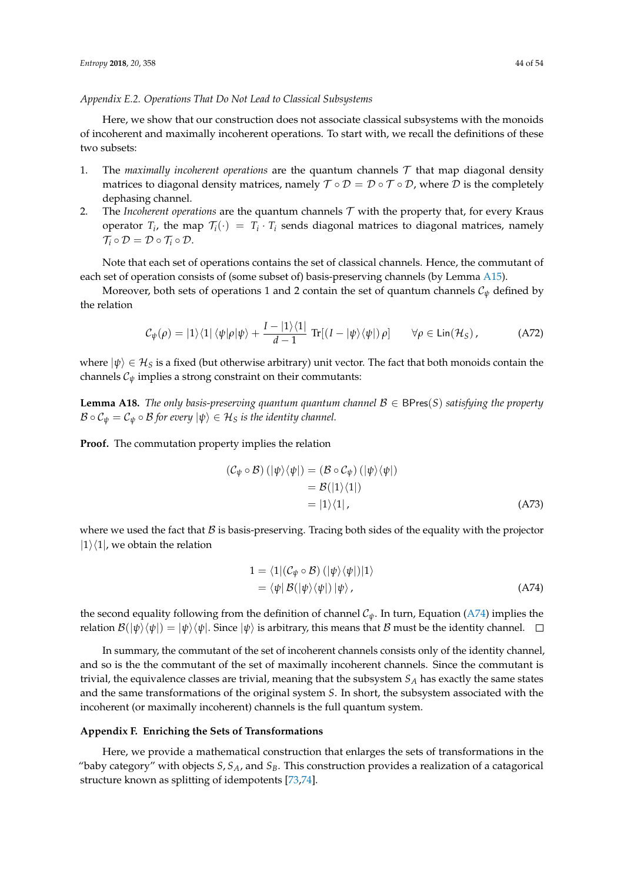#### <span id="page-43-0"></span>*Appendix E.2. Operations That Do Not Lead to Classical Subsystems*

Here, we show that our construction does not associate classical subsystems with the monoids of incoherent and maximally incoherent operations. To start with, we recall the definitions of these two subsets:

- 1. The *maximally incoherent operations* are the quantum channels  $\mathcal T$  that map diagonal density matrices to diagonal density matrices, namely  $\mathcal{T} \circ \mathcal{D} = \mathcal{D} \circ \mathcal{T} \circ \mathcal{D}$ , where  $\mathcal{D}$  is the completely dephasing channel.
- 2. The *Incoherent operations* are the quantum channels  $T$  with the property that, for every Kraus operator  $T_i$ , the map  $\mathcal{T}_i(\cdot) = T_i \cdot T_i$  sends diagonal matrices to diagonal matrices, namely  $\mathcal{T}_i \circ \mathcal{D} = \mathcal{D} \circ \mathcal{T}_i \circ \mathcal{D}.$

Note that each set of operations contains the set of classical channels. Hence, the commutant of each set of operation consists of (some subset of) basis-preserving channels (by Lemma [A15\)](#page-41-1).

Moreover, both sets of operations 1 and 2 contain the set of quantum channels  $C_{\psi}$  defined by the relation

$$
\mathcal{C}_{\psi}(\rho) = |1\rangle\langle 1| \langle \psi|\rho|\psi\rangle + \frac{I - |1\rangle\langle 1|}{d - 1} \operatorname{Tr}[(I - |\psi\rangle\langle\psi|)\rho] \qquad \forall \rho \in \operatorname{Lin}(\mathcal{H}_S), \tag{A72}
$$

where  $|\psi\rangle \in \mathcal{H}_S$  is a fixed (but otherwise arbitrary) unit vector. The fact that both monoids contain the channels  $C_{\psi}$  implies a strong constraint on their commutants:

**Lemma A18.** *The only basis-preserving quantum quantum channel* B ∈ BPres(*S*) *satisfying the property*  $\mathcal{B} \circ \mathcal{C}_{\psi} = \mathcal{C}_{\psi} \circ \mathcal{B}$  for every  $|\psi\rangle \in \mathcal{H}_S$  *is the identity channel.* 

**Proof.** The commutation property implies the relation

$$
(\mathcal{C}_{\psi} \circ \mathcal{B}) \left( |\psi\rangle\langle\psi| \right) = (\mathcal{B} \circ \mathcal{C}_{\psi}) \left( |\psi\rangle\langle\psi| \right)
$$
  
=  $\mathcal{B}(|1\rangle\langle 1|)$   
=  $|1\rangle\langle 1|$ , (A73)

where we used the fact that  $\beta$  is basis-preserving. Tracing both sides of the equality with the projector  $|1\rangle\langle1|$ , we obtain the relation

<span id="page-43-2"></span>
$$
1 = \langle 1 | (\mathcal{C}_{\psi} \circ \mathcal{B}) (|\psi\rangle\langle\psi|) | 1 \rangle
$$
  
= \langle \psi | \mathcal{B} (|\psi\rangle\langle\psi|) | \psi \rangle, (A74)

the second equality following from the definition of channel  $C_{\psi}$ . In turn, Equation [\(A74\)](#page-43-2) implies the relation  $\mathcal{B}(|\psi\rangle\langle\psi|) = |\psi\rangle\langle\psi|$ . Since  $|\psi\rangle$  is arbitrary, this means that B must be the identity channel.  $\square$ 

In summary, the commutant of the set of incoherent channels consists only of the identity channel, and so is the the commutant of the set of maximally incoherent channels. Since the commutant is trivial, the equivalence classes are trivial, meaning that the subsystem *S<sup>A</sup>* has exactly the same states and the same transformations of the original system *S*. In short, the subsystem associated with the incoherent (or maximally incoherent) channels is the full quantum system.

#### <span id="page-43-1"></span>**Appendix F. Enriching the Sets of Transformations**

Here, we provide a mathematical construction that enlarges the sets of transformations in the "baby category" with objects *S*, *SA*, and *SB*. This construction provides a realization of a catagorical structure known as splitting of idempotents [\[73,](#page-52-22)[74\]](#page-52-23).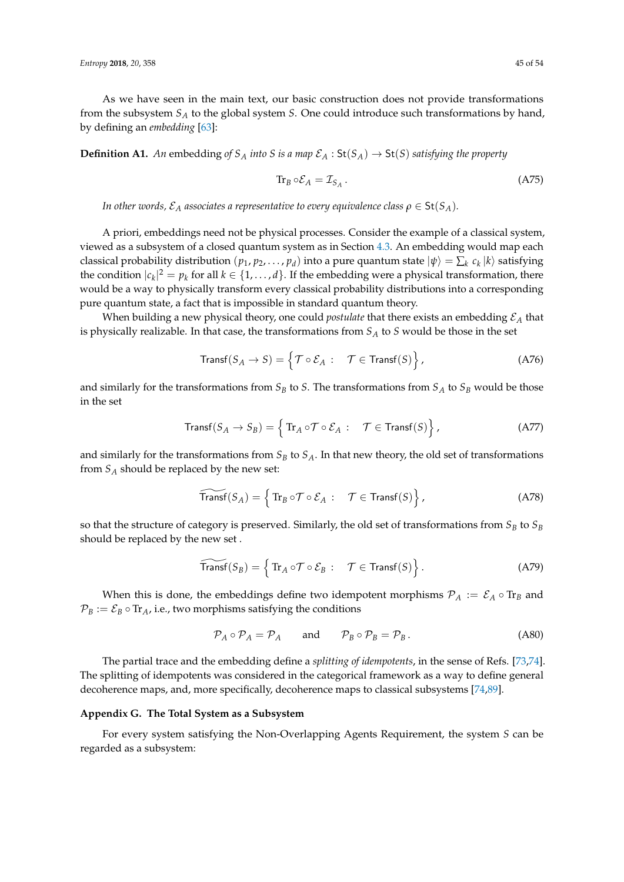As we have seen in the main text, our basic construction does not provide transformations from the subsystem *S<sup>A</sup>* to the global system *S*. One could introduce such transformations by hand, by defining an *embedding* [\[63\]](#page-52-12):

**Definition A1.** An embedding of  $S_A$  *into S is a map*  $\mathcal{E}_A$  :  $St(S_A) \to St(S)$  *satisfying the property* 

$$
\operatorname{Tr}_{B} \circ \mathcal{E}_{A} = \mathcal{I}_{S_{A}}.\tag{A75}
$$

*In other words,*  $\mathcal{E}_A$  *associates a representative to every equivalence class*  $\rho \in \mathsf{St}(S_A)$ *.* 

A priori, embeddings need not be physical processes. Consider the example of a classical system, viewed as a subsystem of a closed quantum system as in Section [4.3.](#page-12-2) An embedding would map each classical probability distribution  $(p_1, p_2, \ldots, p_d)$  into a pure quantum state  $|\psi\rangle = \sum_k c_k |k\rangle$  satisfying the condition  $|c_k|^2 = p_k$  for all  $k \in \{1, ..., d\}$ . If the embedding were a physical transformation, there would be a way to physically transform every classical probability distributions into a corresponding pure quantum state, a fact that is impossible in standard quantum theory.

When building a new physical theory, one could *postulate* that there exists an embedding E*<sup>A</sup>* that is physically realizable. In that case, the transformations from *S<sup>A</sup>* to *S* would be those in the set

$$
\text{Transf}(S_A \to S) = \left\{ \mathcal{T} \circ \mathcal{E}_A : \quad \mathcal{T} \in \text{Transf}(S) \right\},\tag{A76}
$$

and similarly for the transformations from  $S_B$  to *S*. The transformations from  $S_A$  to  $S_B$  would be those in the set

$$
\text{Transf}(S_A \to S_B) = \left\{ \text{Tr}_A \circ \mathcal{T} \circ \mathcal{E}_A : \quad \mathcal{T} \in \text{Transf}(S) \right\},\tag{A77}
$$

and similarly for the transformations from  $S_B$  to  $S_A$ . In that new theory, the old set of transformations from *S<sup>A</sup>* should be replaced by the new set:

$$
\widetilde{\text{Transf}}(S_A) = \left\{ \text{Tr}_B \circ \mathcal{T} \circ \mathcal{E}_A : \quad \mathcal{T} \in \text{Transf}(S) \right\},\tag{A78}
$$

so that the structure of category is preserved. Similarly, the old set of transformations from  $S_B$  to  $S_B$ should be replaced by the new set .

$$
\widetilde{\text{Transf}}(S_B) = \left\{ \text{Tr}_A \circ \mathcal{T} \circ \mathcal{E}_B : \quad \mathcal{T} \in \text{Transf}(S) \right\}. \tag{A79}
$$

When this is done, the embeddings define two idempotent morphisms  $\mathcal{P}_A := \mathcal{E}_A \circ \text{Tr}_B$  and  $P_B := \mathcal{E}_B \circ \text{Tr}_A$ , i.e., two morphisms satisfying the conditions

$$
\mathcal{P}_A \circ \mathcal{P}_A = \mathcal{P}_A \quad \text{and} \quad \mathcal{P}_B \circ \mathcal{P}_B = \mathcal{P}_B. \tag{A80}
$$

The partial trace and the embedding define a *splitting of idempotents*, in the sense of Refs. [\[73,](#page-52-22)[74\]](#page-52-23). The splitting of idempotents was considered in the categorical framework as a way to define general decoherence maps, and, more specifically, decoherence maps to classical subsystems [\[74](#page-52-23)[,89\]](#page-53-14).

#### <span id="page-44-0"></span>**Appendix G. The Total System as a Subsystem**

For every system satisfying the Non-Overlapping Agents Requirement, the system *S* can be regarded as a subsystem: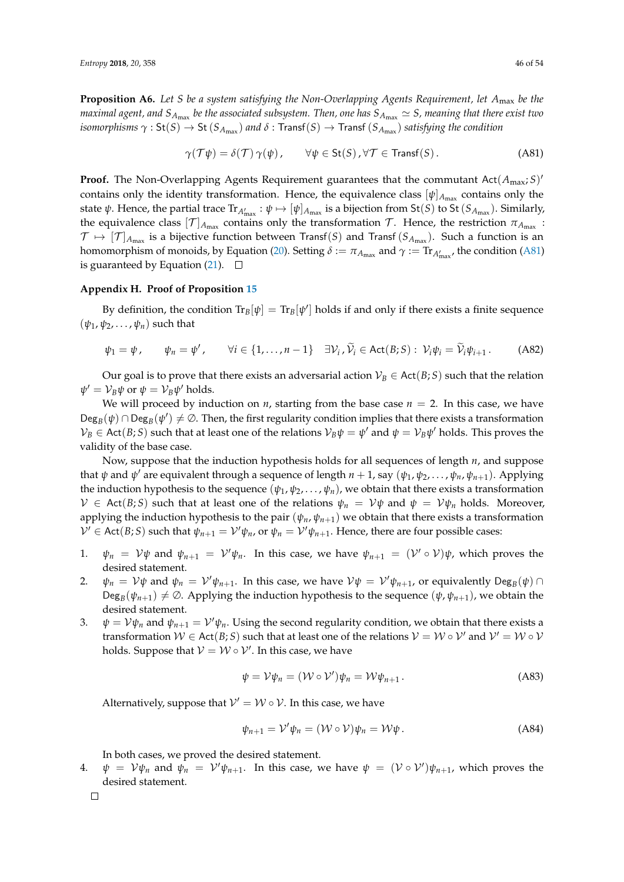**Proposition A6.** *Let S be a system satisfying the Non-Overlapping Agents Requirement, let A*max *be the* maximal agent, and  $S_{A_{\max}}$  be the associated subsystem. Then, one has  $S_{A_{\max}}\simeq S$ , meaning that there exist two  $i$ somorphisms  $\gamma:$  St $(S) \to$  St  $(S_{A_{\max}})$  and  $\delta:$  Transf $(S) \to$  Transf  $(S_{A_{\max}})$  satisfying the condition

<span id="page-45-1"></span>
$$
\gamma(\mathcal{T}\psi) = \delta(\mathcal{T})\,\gamma(\psi)\,, \qquad \forall \psi \in \text{St}(S)\,, \forall \mathcal{T} \in \text{Transf}(S)\,.
$$
 (A81)

**Proof.** The Non-Overlapping Agents Requirement guarantees that the commutant Act( $A_{\text{max}}$ ; *S*)<sup>*'*</sup> contains only the identity transformation. Hence, the equivalence class  $[\psi]_{A_{\text{max}}}$  contains only the state ψ. Hence, the partial trace  $Tr_{A'_{\max}}: \psi \mapsto [\psi]_{A_{\max}}$  is a bijection from St(*S*) to St(*S<sub>Amax</sub>*). Similarly, the equivalence class  $[\mathcal{T}]_{A_{\max}}$  contains only the transformation  $\mathcal{T}$ . Hence, the restriction  $\pi_{A_{\max}}$ :  $\mathcal{T} \mapsto [\mathcal{T}]_{A_{\max}}$  is a bijective function between Transf $(S)$  and Transf  $(S_{A_{\max}})$ . Such a function is an homomorphism of monoids, by Equation [\(20\)](#page-8-1). Setting  $\delta := \pi_{A_{\max}}$  and  $\gamma := \text{Tr}_{A'_{\max}}$ , the condition [\(A81\)](#page-45-1) is guaranteed by Equation [\(21\)](#page-8-2).  $\Box$ 

#### <span id="page-45-0"></span>**Appendix H. Proof of Proposition [15](#page-25-2)**

By definition, the condition  $\text{Tr}_B[\psi] = \text{Tr}_B[\psi']$  holds if and only if there exists a finite sequence  $(\psi_1, \psi_2, \ldots, \psi_n)$  such that

$$
\psi_1 = \psi, \qquad \psi_n = \psi', \qquad \forall i \in \{1, \dots, n-1\} \quad \exists \mathcal{V}_i, \widetilde{\mathcal{V}}_i \in \text{Act}(B;S): \ \mathcal{V}_i \psi_i = \widetilde{\mathcal{V}}_i \psi_{i+1}.
$$
 (A82)

Our goal is to prove that there exists an adversarial action  $V_B \in \text{Act}(B; S)$  such that the relation  $\psi' = \mathcal{V}_B \psi$  or  $\psi = \mathcal{V}_B \psi'$  holds.

We will proceed by induction on *n*, starting from the base case  $n = 2$ . In this case, we have  $\text{Deg}_B(\psi) \cap \text{Deg}_B(\psi') \neq \emptyset$ . Then, the first regularity condition implies that there exists a transformation  $\mathcal{V}_B \in \text{Act}(B;S)$  such that at least one of the relations  $\mathcal{V}_B\psi = \psi'$  and  $\psi = \mathcal{V}_B\psi'$  holds. This proves the validity of the base case.

Now, suppose that the induction hypothesis holds for all sequences of length *n*, and suppose that *ψ* and *ψ* <sup>0</sup> are equivalent through a sequence of length *n* + 1, say (*ψ*1, *ψ*2, . . . , *ψn*, *ψn*+1). Applying the induction hypothesis to the sequence  $(\psi_1, \psi_2, \dots, \psi_n)$ , we obtain that there exists a transformation  $V \in$  Act(*B*; *S*) such that at least one of the relations  $\psi_n = V\psi$  and  $\psi = V\psi_n$  holds. Moreover, applying the induction hypothesis to the pair  $(\psi_n, \psi_{n+1})$  we obtain that there exists a transformation  $\mathcal{V}' \in \text{Act}(B;S)$  such that  $\psi_{n+1} = \mathcal{V}'\psi_n$ , or  $\psi_n = \mathcal{V}'\psi_{n+1}$ . Hence, there are four possible cases:

- 1.  $\psi_n = V\psi$  and  $\psi_{n+1} = V'\psi_n$ . In this case, we have  $\psi_{n+1} = (V' \circ V)\psi$ , which proves the desired statement.
- 2.  $\psi_n = \mathcal{V}\psi$  and  $\psi_n = \mathcal{V}'\psi_{n+1}$ . In this case, we have  $\mathcal{V}\psi = \mathcal{V}'\psi_{n+1}$ , or equivalently  $\text{Deg}_B(\psi) \cap$  $\text{Deg}_{B}(\psi_{n+1}) \neq \emptyset$ . Applying the induction hypothesis to the sequence  $(\psi, \psi_{n+1})$ , we obtain the desired statement.
- 3.  $\psi = V\psi_n$  and  $\psi_{n+1} = V'\psi_n$ . Using the second regularity condition, we obtain that there exists a transformation  $W \in \text{Act}(B; S)$  such that at least one of the relations  $V = W \circ V'$  and  $V' = W \circ V'$ holds. Suppose that  $V = W \circ V'$ . In this case, we have

$$
\psi = \mathcal{V}\psi_n = (\mathcal{W} \circ \mathcal{V}')\psi_n = \mathcal{W}\psi_{n+1}.
$$
\n(A83)

Alternatively, suppose that  $V' = W \circ V$ . In this case, we have

$$
\psi_{n+1} = \mathcal{V}'\psi_n = (\mathcal{W} \circ \mathcal{V})\psi_n = \mathcal{W}\psi.
$$
 (A84)

In both cases, we proved the desired statement.

4.  $\psi = V\psi_n$  and  $\psi_n = V'\psi_{n+1}$ . In this case, we have  $\psi = (V \circ V')\psi_{n+1}$ , which proves the desired statement.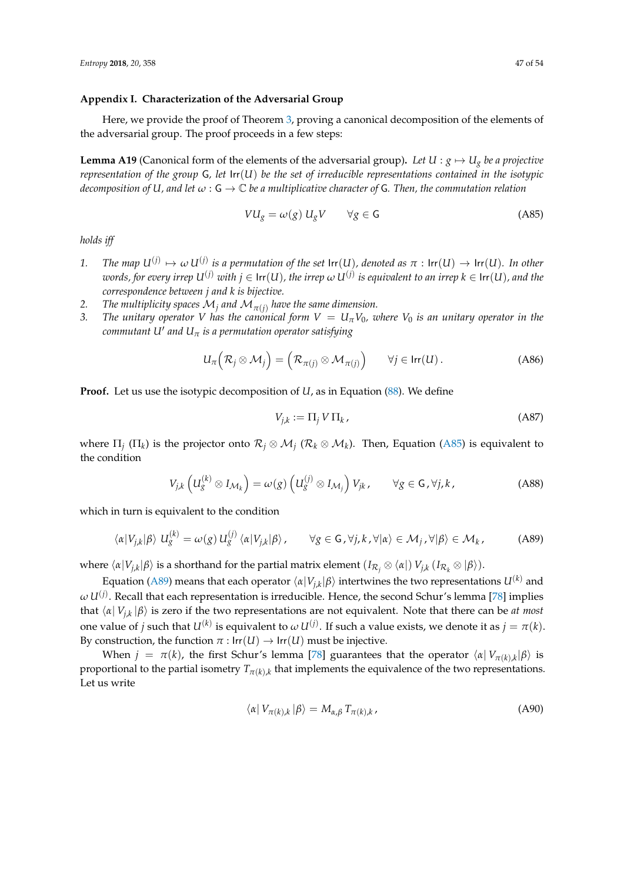## <span id="page-46-0"></span>**Appendix I. Characterization of the Adversarial Group**

Here, we provide the proof of Theorem [3,](#page-26-0) proving a canonical decomposition of the elements of the adversarial group. The proof proceeds in a few steps:

<span id="page-46-3"></span>**Lemma A19** (Canonical form of the elements of the adversarial group). Let  $U : g \mapsto U_g$  be a projective *representation of the group* G*, let* Irr(*U*) *be the set of irreducible representations contained in the isotypic decomposition of U, and let*  $\omega$  :  $\mathsf{G} \to \mathbb{C}$  *be a multiplicative character of*  $\mathsf{G}$ *. Then, the commutation relation* 

<span id="page-46-1"></span>
$$
VU_g = \omega(g) U_g V \qquad \forall g \in \mathsf{G} \tag{A85}
$$

*holds iff*

- 1. *The map*  $U^{(j)} \mapsto \omega U^{(j)}$  is a permutation of the set  $\text{Irr}(U)$ , denoted as  $\pi : \text{Irr}(U) \to \text{Irr}(U)$ . In other  $w$ ords, for every irrep  $U^{(j)}$   $with$   $j \in \mathsf{Irr}(U)$ , the irrep  $\omega$   $U^{(j)}$  is equivalent to an irrep  $k \in \mathsf{Irr}(U)$ , and the *correspondence between j and k is bijective.*
- 2. *The multiplicity spaces*  $\mathcal{M}_j$  *and*  $\mathcal{M}_{\pi(j)}$  *have the same dimension.*
- *3. The unitary operator V has the canonical form*  $V = U_\pi V_0$ *, where*  $V_0$  *is an unitary operator in the*  ${\it commutant U'}$  and  ${\it U}_{\pi}$  is a permutation operator satisfying

$$
U_{\pi}\left(\mathcal{R}_{j}\otimes\mathcal{M}_{j}\right)=\left(\mathcal{R}_{\pi(j)}\otimes\mathcal{M}_{\pi(j)}\right)\qquad\forall j\in\mathsf{Irr}(U).
$$
 (A86)

**Proof.** Let us use the isotypic decomposition of *U*, as in Equation [\(88\)](#page-26-1). We define

<span id="page-46-2"></span>
$$
V_{j,k} := \Pi_j V \Pi_k, \tag{A87}
$$

where  $\Pi_j$  ( $\Pi_k$ ) is the projector onto  $\mathcal{R}_j\otimes\mathcal{M}_j$  ( $\mathcal{R}_k\otimes\mathcal{M}_k$ ). Then, Equation [\(A85\)](#page-46-1) is equivalent to the condition

$$
V_{j,k}\left(U_g^{(k)}\otimes I_{\mathcal{M}_k}\right)=\omega(g)\left(U_g^{(j)}\otimes I_{\mathcal{M}_j}\right)V_{jk},\qquad\forall g\in\mathsf{G}\,,\forall j,k\,,\tag{A88}
$$

which in turn is equivalent to the condition

$$
\langle \alpha | V_{j,k} | \beta \rangle \ U_{g}^{(k)} = \omega(g) \ U_{g}^{(j)} \langle \alpha | V_{j,k} | \beta \rangle, \qquad \forall g \in \mathsf{G}, \forall j,k,\forall |\alpha\rangle \in \mathcal{M}_{j}, \forall |\beta\rangle \in \mathcal{M}_{k}, \tag{A89}
$$

*w*here  $\langle \alpha | V_{j,k} | \beta \rangle$  is a shorthand for the partial matrix element  $(I_{\mathcal{R}_j} \otimes \langle \alpha |) V_{j,k} (I_{\mathcal{R}_k} \otimes | \beta \rangle)$ .

Equation [\(A89\)](#page-46-2) means that each operator  $\langle \alpha | V_{j,k} | \beta \rangle$  intertwines the two representations  $U^{(k)}$  and  $\omega\,U^{(j)}.$  Recall that each representation is irreducible. Hence, the second Schur´s lemma [\[78\]](#page-53-3) implies that  $\langle \alpha | V_{j,k} | \beta \rangle$  is zero if the two representations are not equivalent. Note that there can be *at most* one value of *j* such that  $U^{(k)}$  is equivalent to  $\omega U^{(j)}$ . If such a value exists, we denote it as  $j = \pi(k)$ . By construction, the function  $\pi$  :  $\text{Irr}(U) \rightarrow \text{Irr}(U)$  must be injective.

When  $j = \pi(k)$ , the first Schur's lemma [\[78\]](#page-53-3) guarantees that the operator  $\langle \alpha | V_{\pi(k),k} | \beta \rangle$  is proportional to the partial isometry  $T_{\pi(k),k}$  that implements the equivalence of the two representations. Let us write

$$
\langle \alpha | V_{\pi(k),k} | \beta \rangle = M_{\alpha,\beta} T_{\pi(k),k}, \qquad (A90)
$$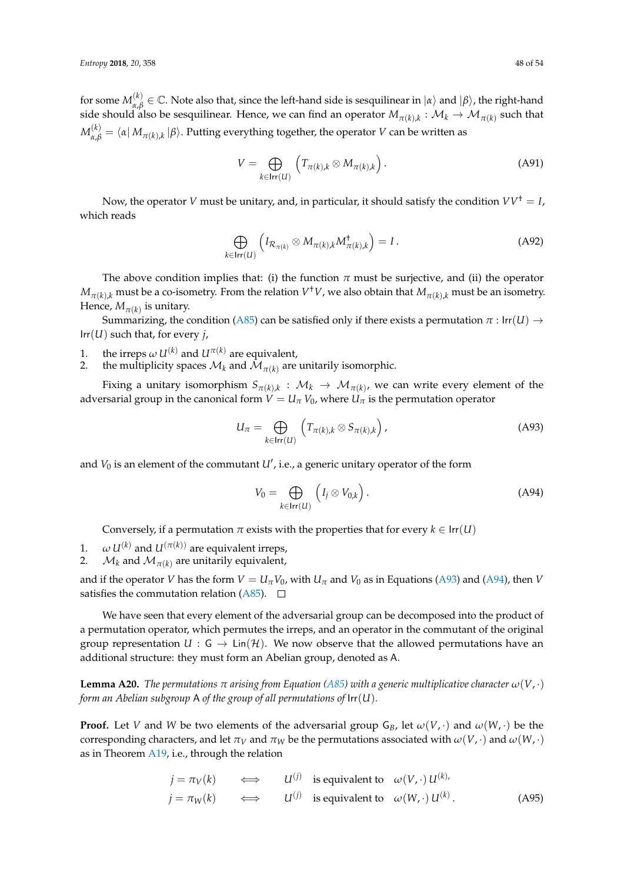for some  $M_{\alpha, \beta}^{(k)}$  $\alpha$ <sup>(k</sup>)</sub>  $\in \mathbb{C}$ . Note also that, since the left-hand side is sesquilinear in  $|a\rangle$  and  $|β\rangle$ , the right-hand side should also be sesquilinear. Hence, we can find an operator  $M_{\pi(k),k}: \mathcal{M}_k \to \mathcal{M}_{\pi(k)}$  such that  $M_{\alpha,\beta}^{(k)}=\bra{\alpha}M_{\pi(k),k}\ket{\beta}.$  Putting everything together, the operator  $V$  can be written as

$$
V = \bigoplus_{k \in \mathsf{Irr}(U)} \left( T_{\pi(k),k} \otimes M_{\pi(k),k} \right). \tag{A91}
$$

Now, the operator *V* must be unitary, and, in particular, it should satisfy the condition  $VV^{\dagger} = I$ , which reads

$$
\bigoplus_{k \in \text{Irr}(U)} \left( I_{\mathcal{R}_{\pi(k)}} \otimes M_{\pi(k),k} M_{\pi(k),k}^{\dagger} \right) = I.
$$
\n(A92)

The above condition implies that: (i) the function  $\pi$  must be surjective, and (ii) the operator  $M_{\pi(k),k}$  must be a co-isometry. From the relation  $V^\dagger V$ , we also obtain that  $M_{\pi(k),k}$  must be an isometry. Hence,  $M_{\pi(k)}$  is unitary.

Summarizing, the condition [\(A85\)](#page-46-1) can be satisfied only if there exists a permutation  $\pi$  : Irr(*U*)  $\rightarrow$ Irr(*U*) such that, for every *j*,

- 1. the irreps  $\omega U^{(k)}$  and  $U^{\pi(k)}$  are equivalent,<br>2. the multiplicity spaces  $\mathcal{M}_k$  and  $\mathcal{M}_{\pi(k)}$  are
- 2. the multiplicity spaces  $\mathcal{M}_k$  and  $\mathcal{M}_{\pi(k)}$  are unitarily isomorphic.

Fixing a unitary isomorphism  $S_{\pi(k),k}:\;{\cal M}_k\to\;{\cal M}_{\pi(k)}$ , we can write every element of the adversarial group in the canonical form  $V = U_{\pi} V_0$ , where  $U_{\pi}$  is the permutation operator

$$
U_{\pi} = \bigoplus_{k \in \text{Irr}(U)} \left( T_{\pi(k),k} \otimes S_{\pi(k),k} \right), \tag{A93}
$$

and  $V_0$  is an element of the commutant  $U'$ , i.e., a generic unitary operator of the form

<span id="page-47-1"></span><span id="page-47-0"></span>
$$
V_0 = \bigoplus_{k \in \mathsf{Irr}(U)} \left( I_j \otimes V_{0,k} \right). \tag{A94}
$$

Conversely, if a permutation  $\pi$  exists with the properties that for every  $k \in \text{Irr}(U)$ 

- 1.  $\omega U^{(k)}$  and  $U^{(\pi(k))}$  are equivalent irreps,
- 2.  $\mathcal{M}_k$  and  $\mathcal{M}_{\pi(k)}$  are unitarily equivalent,

and if the operator *V* has the form  $V = U_\pi V_0$ , with  $U_\pi$  and  $V_0$  as in Equations [\(A93\)](#page-47-0) and [\(A94\)](#page-47-1), then *V* satisfies the commutation relation [\(A85\)](#page-46-1).  $\Box$ 

We have seen that every element of the adversarial group can be decomposed into the product of a permutation operator, which permutes the irreps, and an operator in the commutant of the original group representation  $U : G \to Lin(\mathcal{H})$ . We now observe that the allowed permutations have an additional structure: they must form an Abelian group, denoted as A.

<span id="page-47-2"></span>**Lemma A20.** *The permutations*  $π$  *arising from Equation* (*A85) with* a generic multiplicative character  $ω(V, \cdot)$ *form an Abelian subgroup* A *of the group of all permutations of* Irr(*U*)*.*

**Proof.** Let *V* and *W* be two elements of the adversarial group  $G_B$ , let  $\omega(V, \cdot)$  and  $\omega(W, \cdot)$  be the corresponding characters, and let  $\pi_V$  and  $\pi_W$  be the permutations associated with  $\omega(V, \cdot)$  and  $\omega(W, \cdot)$ as in Theorem [A19,](#page-46-3) i.e., through the relation

$$
j = \pi_V(k)
$$
  $\iff$   $U^{(j)}$  is equivalent to  $\omega(V, \cdot) U^{(k)}$ ,  
\n $j = \pi_W(k)$   $\iff$   $U^{(j)}$  is equivalent to  $\omega(W, \cdot) U^{(k)}$ . (A95)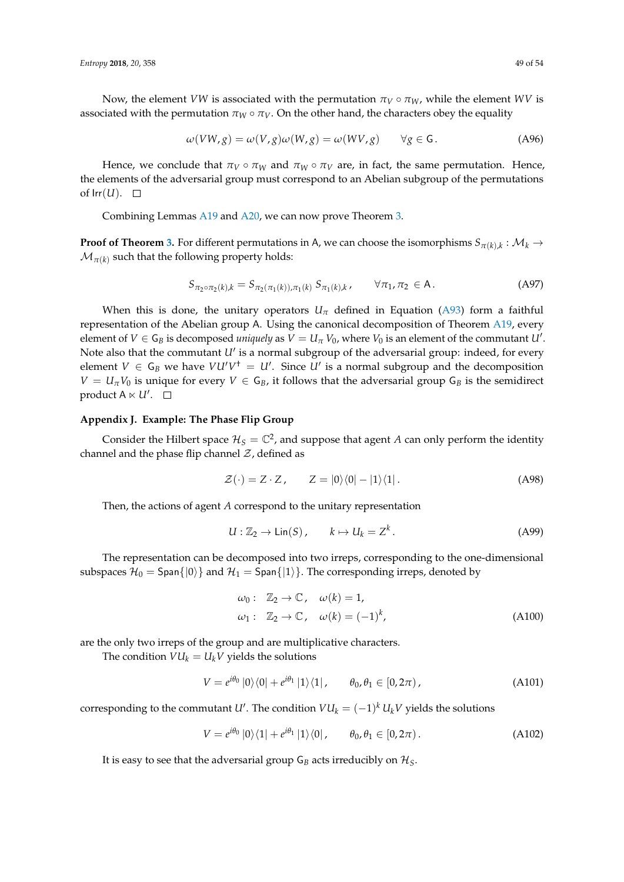Now, the element *VW* is associated with the permutation  $\pi_V \circ \pi_W$ , while the element *WV* is associated with the permutation  $\pi_W \circ \pi_V$ . On the other hand, the characters obey the equality

$$
\omega(VW, g) = \omega(V, g)\omega(W, g) = \omega(WV, g) \qquad \forall g \in G.
$$
 (A96)

Hence, we conclude that  $\pi_V \circ \pi_W$  and  $\pi_W \circ \pi_V$  are, in fact, the same permutation. Hence, the elements of the adversarial group must correspond to an Abelian subgroup of the permutations of  $Irr(U)$ .  $\Box$ 

Combining Lemmas [A19](#page-46-3) and [A20,](#page-47-2) we can now prove Theorem [3.](#page-26-0)

**Proof of Theorem [3.](#page-26-0)** For different permutations in A, we can choose the isomorphisms  $S_{\pi(k),k}: \mathcal{M}_k \to$  $\mathcal{M}_{\pi(k)}$  such that the following property holds:

$$
S_{\pi_2 \circ \pi_2(k),k} = S_{\pi_2(\pi_1(k)),\pi_1(k)} S_{\pi_1(k),k}, \qquad \forall \pi_1, \pi_2 \in \mathsf{A}.
$$
 (A97)

When this is done, the unitary operators  $U_{\pi}$  defined in Equation [\(A93\)](#page-47-0) form a faithful representation of the Abelian group A. Using the canonical decomposition of Theorem [A19,](#page-46-3) every element of  $V \in \mathsf{G}_B$  is decomposed *uniquely* as  $V = U_\pi V_0$ , where  $V_0$  is an element of the commutant  $U'$ . Note also that the commutant  $U'$  is a normal subgroup of the adversarial group: indeed, for every element  $V \in G_B$  we have  $VU'V^{\dagger} = U'$ . Since  $U'$  is a normal subgroup and the decomposition  $V = U_{\pi}V_0$  is unique for every  $V \in G_B$ , it follows that the adversarial group  $G_B$  is the semidirect product  $A \ltimes U'$ .

# <span id="page-48-0"></span>**Appendix J. Example: The Phase Flip Group**

Consider the Hilbert space  $\mathcal{H}_S = \mathbb{C}^2$ , and suppose that agent A can only perform the identity channel and the phase flip channel  $Z$ , defined as

$$
\mathcal{Z}(\cdot) = Z \cdot Z, \qquad Z = |0\rangle\langle 0| - |1\rangle\langle 1|.
$$
 (A98)

Then, the actions of agent *A* correspond to the unitary representation

$$
U: \mathbb{Z}_2 \to \text{Lin}(S), \qquad k \mapsto U_k = Z^k. \tag{A99}
$$

The representation can be decomposed into two irreps, corresponding to the one-dimensional subspaces  $\mathcal{H}_0 =$  Span $\{|0\rangle\}$  and  $\mathcal{H}_1 =$  Span $\{|1\rangle\}$ . The corresponding irreps, denoted by

$$
\omega_0: \quad \mathbb{Z}_2 \to \mathbb{C}, \quad \omega(k) = 1,
$$
  

$$
\omega_1: \quad \mathbb{Z}_2 \to \mathbb{C}, \quad \omega(k) = (-1)^k,
$$
 (A100)

are the only two irreps of the group and are multiplicative characters.

The condition  $VU_k = U_k V$  yields the solutions

$$
V = e^{i\theta_0} \left| 0 \right\rangle \left\langle 0 \right| + e^{i\theta_1} \left| 1 \right\rangle \left\langle 1 \right|, \qquad \theta_0, \theta_1 \in \left[ 0, 2\pi \right), \tag{A101}
$$

corresponding to the commutant *U'*. The condition  $VU_k = (-1)^k U_k V$  yields the solutions

$$
V = e^{i\theta_0} \left| 0 \right\rangle \left\langle 1 \right| + e^{i\theta_1} \left| 1 \right\rangle \left\langle 0 \right|, \qquad \theta_0, \theta_1 \in [0, 2\pi) \,.
$$
 (A102)

It is easy to see that the adversarial group  $G_B$  acts irreducibly on  $H_S$ .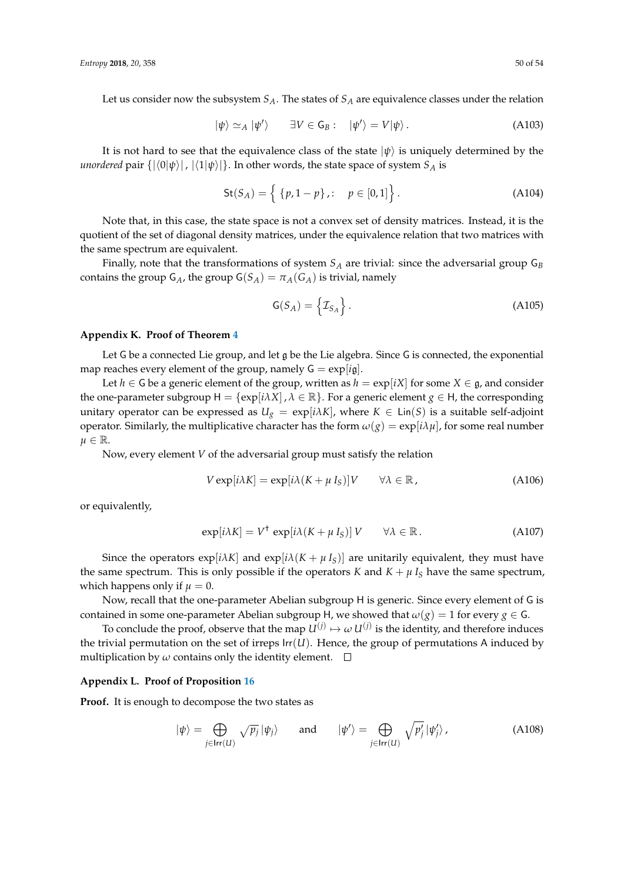Let us consider now the subsystem  $S_A$ . The states of  $S_A$  are equivalence classes under the relation

$$
|\psi\rangle \simeq_A |\psi'\rangle \qquad \exists V \in \mathsf{G}_B: \quad |\psi'\rangle = V|\psi\rangle. \tag{A103}
$$

It is not hard to see that the equivalence class of the state  $|\psi\rangle$  is uniquely determined by the *unordered* pair  $\{|\langle 0|\psi \rangle|, |\langle 1|\psi \rangle|\}$ . In other words, the state space of system  $S_A$  is

$$
St(S_A) = \left\{ \{p, 1 - p\}, : \quad p \in [0, 1] \right\}.
$$
 (A104)

Note that, in this case, the state space is not a convex set of density matrices. Instead, it is the quotient of the set of diagonal density matrices, under the equivalence relation that two matrices with the same spectrum are equivalent.

Finally, note that the transformations of system *S<sup>A</sup>* are trivial: since the adversarial group G*<sup>B</sup>* contains the group  $G_A$ , the group  $G(S_A) = \pi_A(G_A)$  is trivial, namely

$$
\mathsf{G}(S_A) = \left\{ \mathcal{I}_{S_A} \right\}.
$$
\n(A105)

#### <span id="page-49-0"></span>**Appendix K. Proof of Theorem [4](#page-26-2)**

Let G be a connected Lie group, and let  $\mathfrak g$  be the Lie algebra. Since G is connected, the exponential map reaches every element of the group, namely  $G = exp[ig]$ .

Let *h* ∈ G be a generic element of the group, written as *h* =  $\exp[iX]$  for some *X* ∈ g, and consider the one-parameter subgroup  $H = \{ \exp[i\lambda X], \lambda \in \mathbb{R} \}$ . For a generic element  $g \in H$ , the corresponding unitary operator can be expressed as  $U_g = \exp[i\lambda K]$ , where  $K \in \text{Lin}(S)$  is a suitable self-adjoint operator. Similarly, the multiplicative character has the form  $\omega(g) = \exp[i\lambda \mu]$ , for some real number  $\mu \in \mathbb{R}$ .

Now, every element *V* of the adversarial group must satisfy the relation

$$
V \exp[i\lambda K] = \exp[i\lambda(K + \mu I_S)]V \qquad \forall \lambda \in \mathbb{R}, \qquad (A106)
$$

or equivalently,

$$
\exp[i\lambda K] = V^{\dagger} \exp[i\lambda(K + \mu I_S)] V \qquad \forall \lambda \in \mathbb{R}.
$$
 (A107)

Since the operators  $\exp[i\lambda K]$  and  $\exp[i\lambda(K + \mu I_S)]$  are unitarily equivalent, they must have the same spectrum. This is only possible if the operators *K* and  $K + \mu I_S$  have the same spectrum, which happens only if  $\mu = 0$ .

Now, recall that the one-parameter Abelian subgroup H is generic. Since every element of G is contained in some one-parameter Abelian subgroup H, we showed that  $\omega(g) = 1$  for every  $g \in G$ .

To conclude the proof, observe that the map  $U^{(j)} \mapsto \omega \, U^{(j)}$  is the identity, and therefore induces the trivial permutation on the set of irreps  $\text{Irr}(U)$ . Hence, the group of permutations A induced by multiplication by  $\omega$  contains only the identity element.  $\square$ 

# <span id="page-49-1"></span>**Appendix L. Proof of Proposition [16](#page-27-1)**

**Proof.** It is enough to decompose the two states as

$$
|\psi\rangle = \bigoplus_{j \in \text{Irr}(U)} \sqrt{p_j} \, |\psi_j\rangle \qquad \text{and} \qquad |\psi'\rangle = \bigoplus_{j \in \text{Irr}(U)} \sqrt{p_j'} \, |\psi_j'\rangle \,, \tag{A108}
$$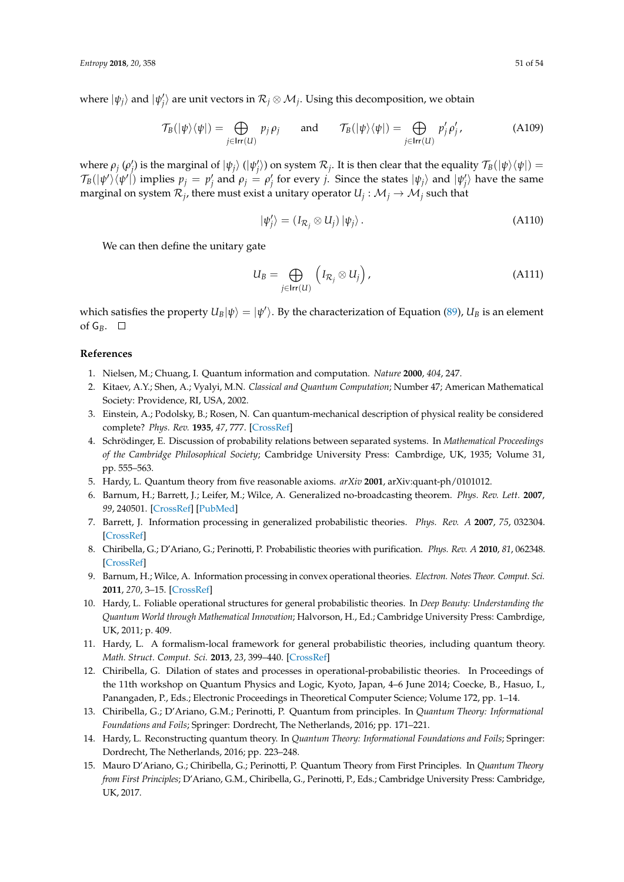where  $|\psi_j\rangle$  and  $|\psi'_j\rangle$  are unit vectors in  $\mathcal{R}_j\otimes\mathcal{M}_j$ . Using this decomposition, we obtain

$$
\mathcal{T}_B(|\psi\rangle\langle\psi|) = \bigoplus_{j \in \text{Irr}(U)} p_j \rho_j \quad \text{and} \quad \mathcal{T}_B(|\psi\rangle\langle\psi|) = \bigoplus_{j \in \text{Irr}(U)} p'_j \rho'_j,
$$
 (A109)

where  $\rho_j$  ( $\rho'_j$ ) is the marginal of  $|\psi_j\rangle$  ( $|\psi'_j\rangle$ ) on system  $\mathcal{R}_j$ . It is then clear that the equality  $\mathcal{T}_B(|\psi\rangle\langle\psi|)$  =  $\mathcal{T}_B(|\psi'\rangle\langle\psi'|)$  implies  $p_j = p'_j$  and  $\rho_j = \rho'_j$  for every *j*. Since the states  $|\psi_j\rangle$  and  $|\psi'_j\rangle$  have the same marginal on system  $\mathcal{R}_j$ , there must exist a unitary operator  $U_j: \mathcal{M}_j \to \mathcal{M}_j$  such that

<span id="page-50-10"></span>
$$
|\psi'_j\rangle = (I_{\mathcal{R}_j} \otimes U_j) |\psi_j\rangle.
$$
 (A110)

We can then define the unitary gate

$$
U_B = \bigoplus_{j \in \text{Irr}(U)} \left( I_{\mathcal{R}_j} \otimes U_j \right), \tag{A111}
$$

which satisfies the property  $U_B|\psi\rangle = |\psi'\rangle$ . By the characterization of Equation [\(89\)](#page-26-3),  $U_B$  is an element of  $G_B$ .  $\square$ 

# **References**

- <span id="page-50-0"></span>1. Nielsen, M.; Chuang, I. Quantum information and computation. *Nature* **2000**, *404*, 247.
- <span id="page-50-1"></span>2. Kitaev, A.Y.; Shen, A.; Vyalyi, M.N. *Classical and Quantum Computation*; Number 47; American Mathematical Society: Providence, RI, USA, 2002.
- <span id="page-50-2"></span>3. Einstein, A.; Podolsky, B.; Rosen, N. Can quantum-mechanical description of physical reality be considered complete? *Phys. Rev.* **1935**, *47*, 777. [\[CrossRef\]](http://dx.doi.org/10.1103/PhysRev.47.777)
- <span id="page-50-3"></span>4. Schrödinger, E. Discussion of probability relations between separated systems. In *Mathematical Proceedings of the Cambridge Philosophical Society*; Cambridge University Press: Cambrdige, UK, 1935; Volume 31, pp. 555–563.
- <span id="page-50-4"></span>5. Hardy, L. Quantum theory from five reasonable axioms. *arXiv* **2001**, arXiv:quant-ph/0101012.
- 6. Barnum, H.; Barrett, J.; Leifer, M.; Wilce, A. Generalized no-broadcasting theorem. *Phys. Rev. Lett.* **2007**, *99*, 240501. [\[CrossRef\]](http://dx.doi.org/10.1103/PhysRevLett.99.240501) [\[PubMed\]](http://www.ncbi.nlm.nih.gov/pubmed/18233430)
- 7. Barrett, J. Information processing in generalized probabilistic theories. *Phys. Rev. A* **2007**, *75*, 032304. [\[CrossRef\]](http://dx.doi.org/10.1103/PhysRevA.75.032304)
- <span id="page-50-6"></span>8. Chiribella, G.; D'Ariano, G.; Perinotti, P. Probabilistic theories with purification. *Phys. Rev. A* **2010**, *81*, 062348. [\[CrossRef\]](http://dx.doi.org/10.1103/PhysRevA.81.062348)
- 9. Barnum, H.; Wilce, A. Information processing in convex operational theories. *Electron. Notes Theor. Comput. Sci.* **2011**, *270*, 3–15. [\[CrossRef\]](http://dx.doi.org/10.1016/j.entcs.2011.01.002)
- <span id="page-50-9"></span>10. Hardy, L. Foliable operational structures for general probabilistic theories. In *Deep Beauty: Understanding the Quantum World through Mathematical Innovation*; Halvorson, H., Ed.; Cambridge University Press: Cambrdige, UK, 2011; p. 409.
- <span id="page-50-11"></span>11. Hardy, L. A formalism-local framework for general probabilistic theories, including quantum theory. *Math. Struct. Comput. Sci.* **2013**, *23*, 399–440. [\[CrossRef\]](http://dx.doi.org/10.1017/S0960129512000163)
- <span id="page-50-7"></span>12. Chiribella, G. Dilation of states and processes in operational-probabilistic theories. In Proceedings of the 11th workshop on Quantum Physics and Logic, Kyoto, Japan, 4–6 June 2014; Coecke, B., Hasuo, I., Panangaden, P., Eds.; Electronic Proceedings in Theoretical Computer Science; Volume 172, pp. 1–14.
- <span id="page-50-8"></span>13. Chiribella, G.; D'Ariano, G.M.; Perinotti, P. Quantum from principles. In *Quantum Theory: Informational Foundations and Foils*; Springer: Dordrecht, The Netherlands, 2016; pp. 171–221.
- 14. Hardy, L. Reconstructing quantum theory. In *Quantum Theory: Informational Foundations and Foils*; Springer: Dordrecht, The Netherlands, 2016; pp. 223–248.
- <span id="page-50-5"></span>15. Mauro D'Ariano, G.; Chiribella, G.; Perinotti, P. Quantum Theory from First Principles. In *Quantum Theory from First Principles*; D'Ariano, G.M., Chiribella, G., Perinotti, P., Eds.; Cambridge University Press: Cambridge, UK, 2017.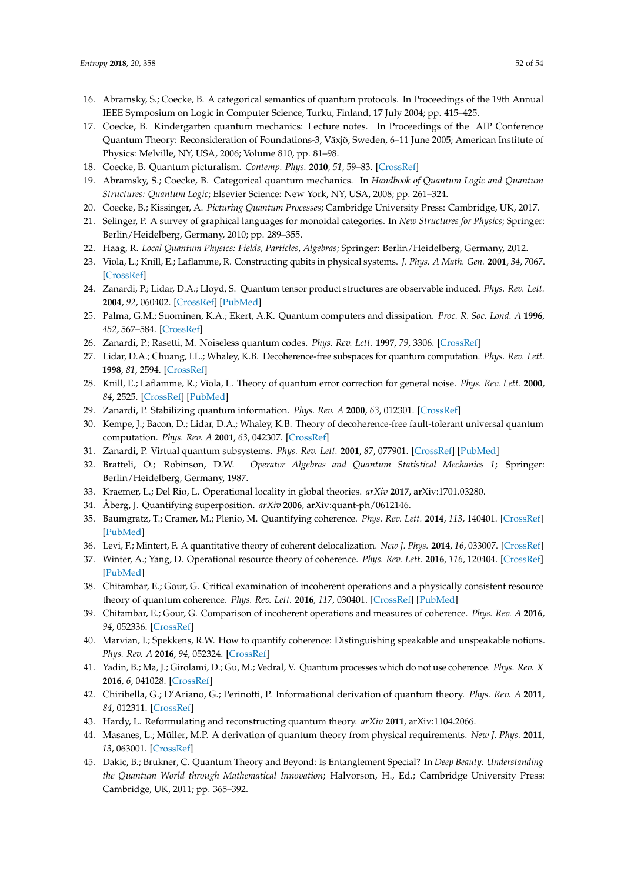- <span id="page-51-0"></span>16. Abramsky, S.; Coecke, B. A categorical semantics of quantum protocols. In Proceedings of the 19th Annual IEEE Symposium on Logic in Computer Science, Turku, Finland, 17 July 2004; pp. 415–425.
- 17. Coecke, B. Kindergarten quantum mechanics: Lecture notes. In Proceedings of the AIP Conference Quantum Theory: Reconsideration of Foundations-3, Växjö, Sweden, 6–11 June 2005; American Institute of Physics: Melville, NY, USA, 2006; Volume 810, pp. 81–98.
- <span id="page-51-2"></span>18. Coecke, B. Quantum picturalism. *Contemp. Phys.* **2010**, *51*, 59–83. [\[CrossRef\]](http://dx.doi.org/10.1080/00107510903257624)
- 19. Abramsky, S.; Coecke, B. Categorical quantum mechanics. In *Handbook of Quantum Logic and Quantum Structures: Quantum Logic*; Elsevier Science: New York, NY, USA, 2008; pp. 261–324.
- <span id="page-51-1"></span>20. Coecke, B.; Kissinger, A. *Picturing Quantum Processes*; Cambridge University Press: Cambridge, UK, 2017.
- <span id="page-51-3"></span>21. Selinger, P. A survey of graphical languages for monoidal categories. In *New Structures for Physics*; Springer: Berlin/Heidelberg, Germany, 2010; pp. 289–355.
- <span id="page-51-4"></span>22. Haag, R. *Local Quantum Physics: Fields, Particles, Algebras*; Springer: Berlin/Heidelberg, Germany, 2012.
- <span id="page-51-5"></span>23. Viola, L.; Knill, E.; Laflamme, R. Constructing qubits in physical systems. *J. Phys. A Math. Gen.* **2001**, *34*, 7067. [\[CrossRef\]](http://dx.doi.org/10.1088/0305-4470/34/35/331)
- <span id="page-51-6"></span>24. Zanardi, P.; Lidar, D.A.; Lloyd, S. Quantum tensor product structures are observable induced. *Phys. Rev. Lett.* **2004**, *92*, 060402. [\[CrossRef\]](http://dx.doi.org/10.1103/PhysRevLett.92.060402) [\[PubMed\]](http://www.ncbi.nlm.nih.gov/pubmed/14995220)
- <span id="page-51-7"></span>25. Palma, G.M.; Suominen, K.A.; Ekert, A.K. Quantum computers and dissipation. *Proc. R. Soc. Lond. A* **1996**, *452*, 567–584. [\[CrossRef\]](http://dx.doi.org/10.1098/rspa.1996.0029)
- 26. Zanardi, P.; Rasetti, M. Noiseless quantum codes. *Phys. Rev. Lett.* **1997**, *79*, 3306. [\[CrossRef\]](http://dx.doi.org/10.1103/PhysRevLett.79.3306)
- 27. Lidar, D.A.; Chuang, I.L.; Whaley, K.B. Decoherence-free subspaces for quantum computation. *Phys. Rev. Lett.* **1998**, *81*, 2594. [\[CrossRef\]](http://dx.doi.org/10.1103/PhysRevLett.81.2594)
- <span id="page-51-20"></span>28. Knill, E.; Laflamme, R.; Viola, L. Theory of quantum error correction for general noise. *Phys. Rev. Lett.* **2000**, *84*, 2525. [\[CrossRef\]](http://dx.doi.org/10.1103/PhysRevLett.84.2525) [\[PubMed\]](http://www.ncbi.nlm.nih.gov/pubmed/11018926)
- <span id="page-51-21"></span>29. Zanardi, P. Stabilizing quantum information. *Phys. Rev. A* **2000**, *63*, 012301. [\[CrossRef\]](http://dx.doi.org/10.1103/PhysRevA.63.012301)
- <span id="page-51-8"></span>30. Kempe, J.; Bacon, D.; Lidar, D.A.; Whaley, K.B. Theory of decoherence-free fault-tolerant universal quantum computation. *Phys. Rev. A* **2001**, *63*, 042307. [\[CrossRef\]](http://dx.doi.org/10.1103/PhysRevA.63.042307)
- <span id="page-51-9"></span>31. Zanardi, P. Virtual quantum subsystems. *Phys. Rev. Lett.* **2001**, *87*, 077901. [\[CrossRef\]](http://dx.doi.org/10.1103/PhysRevLett.87.077901) [\[PubMed\]](http://www.ncbi.nlm.nih.gov/pubmed/11497917)
- <span id="page-51-10"></span>32. Bratteli, O.; Robinson, D.W. *Operator Algebras and Quantum Statistical Mechanics 1*; Springer: Berlin/Heidelberg, Germany, 1987.
- <span id="page-51-11"></span>33. Kraemer, L.; Del Rio, L. Operational locality in global theories. *arXiv* **2017**, arXiv:1701.03280.
- <span id="page-51-12"></span>34. Åberg, J. Quantifying superposition. *arXiv* **2006**, arXiv:quant-ph/0612146.
- <span id="page-51-17"></span>35. Baumgratz, T.; Cramer, M.; Plenio, M. Quantifying coherence. *Phys. Rev. Lett.* **2014**, *113*, 140401. [\[CrossRef\]](http://dx.doi.org/10.1103/PhysRevLett.113.140401) [\[PubMed\]](http://www.ncbi.nlm.nih.gov/pubmed/25325620)
- <span id="page-51-18"></span>36. Levi, F.; Mintert, F. A quantitative theory of coherent delocalization. *New J. Phys.* **2014**, *16*, 033007. [\[CrossRef\]](http://dx.doi.org/10.1088/1367-2630/16/3/033007)
- 37. Winter, A.; Yang, D. Operational resource theory of coherence. *Phys. Rev. Lett.* **2016**, *116*, 120404. [\[CrossRef\]](http://dx.doi.org/10.1103/PhysRevLett.116.120404) [\[PubMed\]](http://www.ncbi.nlm.nih.gov/pubmed/27058063)
- <span id="page-51-14"></span>38. Chitambar, E.; Gour, G. Critical examination of incoherent operations and a physically consistent resource theory of quantum coherence. *Phys. Rev. Lett.* **2016**, *117*, 030401. [\[CrossRef\]](http://dx.doi.org/10.1103/PhysRevLett.117.030401) [\[PubMed\]](http://www.ncbi.nlm.nih.gov/pubmed/27472102)
- <span id="page-51-15"></span>39. Chitambar, E.; Gour, G. Comparison of incoherent operations and measures of coherence. *Phys. Rev. A* **2016**, *94*, 052336. [\[CrossRef\]](http://dx.doi.org/10.1103/PhysRevA.94.052336)
- <span id="page-51-16"></span>40. Marvian, I.; Spekkens, R.W. How to quantify coherence: Distinguishing speakable and unspeakable notions. *Phys. Rev. A* **2016**, *94*, 052324. [\[CrossRef\]](http://dx.doi.org/10.1103/PhysRevA.94.052324)
- <span id="page-51-13"></span>41. Yadin, B.; Ma, J.; Girolami, D.; Gu, M.; Vedral, V. Quantum processes which do not use coherence. *Phys. Rev. X* **2016**, *6*, 041028. [\[CrossRef\]](http://dx.doi.org/10.1103/PhysRevX.6.041028)
- <span id="page-51-19"></span>42. Chiribella, G.; D'Ariano, G.; Perinotti, P. Informational derivation of quantum theory. *Phys. Rev. A* **2011**, *84*, 012311. [\[CrossRef\]](http://dx.doi.org/10.1103/PhysRevA.84.012311)
- 43. Hardy, L. Reformulating and reconstructing quantum theory. *arXiv* **2011**, arXiv:1104.2066.
- <span id="page-51-22"></span>44. Masanes, L.; Müller, M.P. A derivation of quantum theory from physical requirements. *New J. Phys.* **2011**, *13*, 063001. [\[CrossRef\]](http://dx.doi.org/10.1088/1367-2630/13/6/063001)
- 45. Dakic, B.; Brukner, C. Quantum Theory and Beyond: Is Entanglement Special? In *Deep Beauty: Understanding the Quantum World through Mathematical Innovation*; Halvorson, H., Ed.; Cambridge University Press: Cambridge, UK, 2011; pp. 365–392.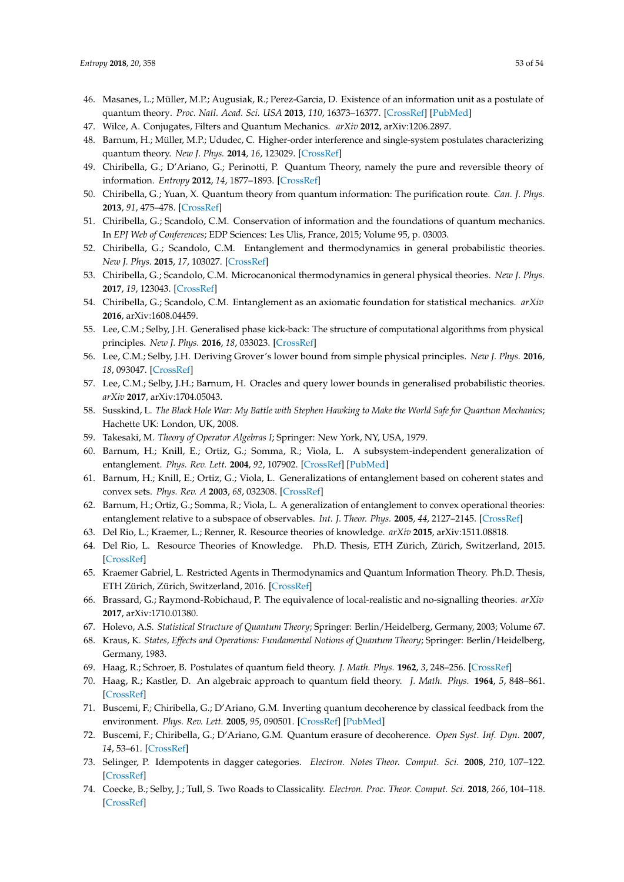- <span id="page-52-24"></span>46. Masanes, L.; Müller, M.P.; Augusiak, R.; Perez-Garcia, D. Existence of an information unit as a postulate of quantum theory. *Proc. Natl. Acad. Sci. USA* **2013**, *110*, 16373–16377. [\[CrossRef\]](http://dx.doi.org/10.1073/pnas.1304884110) [\[PubMed\]](http://www.ncbi.nlm.nih.gov/pubmed/24062431)
- 47. Wilce, A. Conjugates, Filters and Quantum Mechanics. *arXiv* **2012**, arXiv:1206.2897.
- <span id="page-52-0"></span>48. Barnum, H.; Müller, M.P.; Ududec, C. Higher-order interference and single-system postulates characterizing quantum theory. *New J. Phys.* **2014**, *16*, 123029. [\[CrossRef\]](http://dx.doi.org/10.1088/1367-2630/16/12/123029)
- <span id="page-52-1"></span>49. Chiribella, G.; D'Ariano, G.; Perinotti, P. Quantum Theory, namely the pure and reversible theory of information. *Entropy* **2012**, *14*, 1877–1893. [\[CrossRef\]](http://dx.doi.org/10.3390/e14101877)
- 50. Chiribella, G.; Yuan, X. Quantum theory from quantum information: The purification route. *Can. J. Phys.* **2013**, *91*, 475–478. [\[CrossRef\]](http://dx.doi.org/10.1139/cjp-2012-0472)
- <span id="page-52-2"></span>51. Chiribella, G.; Scandolo, C.M. Conservation of information and the foundations of quantum mechanics. In *EPJ Web of Conferences*; EDP Sciences: Les Ulis, France, 2015; Volume 95, p. 03003.
- <span id="page-52-3"></span>52. Chiribella, G.; Scandolo, C.M. Entanglement and thermodynamics in general probabilistic theories. *New J. Phys.* **2015**, *17*, 103027. [\[CrossRef\]](http://dx.doi.org/10.1088/1367-2630/17/10/103027)
- 53. Chiribella, G.; Scandolo, C.M. Microcanonical thermodynamics in general physical theories. *New J. Phys.* **2017**, *19*, 123043. [\[CrossRef\]](http://dx.doi.org/10.1088/1367-2630/aa91c7)
- <span id="page-52-4"></span>54. Chiribella, G.; Scandolo, C.M. Entanglement as an axiomatic foundation for statistical mechanics. *arXiv* **2016**, arXiv:1608.04459.
- <span id="page-52-5"></span>55. Lee, C.M.; Selby, J.H. Generalised phase kick-back: The structure of computational algorithms from physical principles. *New J. Phys.* **2016**, *18*, 033023. [\[CrossRef\]](http://dx.doi.org/10.1088/1367-2630/18/3/033023)
- 56. Lee, C.M.; Selby, J.H. Deriving Grover's lower bound from simple physical principles. *New J. Phys.* **2016**, *18*, 093047. [\[CrossRef\]](http://dx.doi.org/10.1088/1367-2630/18/9/093047)
- <span id="page-52-6"></span>57. Lee, C.M.; Selby, J.H.; Barnum, H. Oracles and query lower bounds in generalised probabilistic theories. *arXiv* **2017**, arXiv:1704.05043.
- <span id="page-52-7"></span>58. Susskind, L. *The Black Hole War: My Battle with Stephen Hawking to Make the World Safe for Quantum Mechanics*; Hachette UK: London, UK, 2008.
- <span id="page-52-8"></span>59. Takesaki, M. *Theory of Operator Algebras I*; Springer: New York, NY, USA, 1979.
- <span id="page-52-9"></span>60. Barnum, H.; Knill, E.; Ortiz, G.; Somma, R.; Viola, L. A subsystem-independent generalization of entanglement. *Phys. Rev. Lett.* **2004**, *92*, 107902. [\[CrossRef\]](http://dx.doi.org/10.1103/PhysRevLett.92.107902) [\[PubMed\]](http://www.ncbi.nlm.nih.gov/pubmed/15089245)
- <span id="page-52-10"></span>61. Barnum, H.; Knill, E.; Ortiz, G.; Viola, L. Generalizations of entanglement based on coherent states and convex sets. *Phys. Rev. A* **2003**, *68*, 032308. [\[CrossRef\]](http://dx.doi.org/10.1103/PhysRevA.68.032308)
- <span id="page-52-11"></span>62. Barnum, H.; Ortiz, G.; Somma, R.; Viola, L. A generalization of entanglement to convex operational theories: entanglement relative to a subspace of observables. *Int. J. Theor. Phys.* **2005**, *44*, 2127–2145. [\[CrossRef\]](http://dx.doi.org/10.1007/s10773-005-8009-z)
- <span id="page-52-12"></span>63. Del Rio, L.; Kraemer, L.; Renner, R. Resource theories of knowledge. *arXiv* **2015**, arXiv:1511.08818.
- <span id="page-52-13"></span>64. Del Rio, L. Resource Theories of Knowledge. Ph.D. Thesis, ETH Zürich, Zürich, Switzerland, 2015. [\[CrossRef\]](http://dx.doi.org/10.3929/ethz-a-010553983)
- <span id="page-52-14"></span>65. Kraemer Gabriel, L. Restricted Agents in Thermodynamics and Quantum Information Theory. Ph.D. Thesis, ETH Zürich, Zürich, Switzerland, 2016. [\[CrossRef\]](http://dx.doi.org/10.3929/ethz-a-010858172)
- <span id="page-52-15"></span>66. Brassard, G.; Raymond-Robichaud, P. The equivalence of local-realistic and no-signalling theories. *arXiv* **2017**, arXiv:1710.01380.
- <span id="page-52-16"></span>67. Holevo, A.S. *Statistical Structure of Quantum Theory*; Springer: Berlin/Heidelberg, Germany, 2003; Volume 67.
- <span id="page-52-17"></span>68. Kraus, K. *States, Effects and Operations: Fundamental Notions of Quantum Theory*; Springer: Berlin/Heidelberg, Germany, 1983.
- <span id="page-52-19"></span><span id="page-52-18"></span>69. Haag, R.; Schroer, B. Postulates of quantum field theory. *J. Math. Phys.* **1962**, *3*, 248–256. [\[CrossRef\]](http://dx.doi.org/10.1063/1.1703797)
- 70. Haag, R.; Kastler, D. An algebraic approach to quantum field theory. *J. Math. Phys.* **1964**, *5*, 848–861. [\[CrossRef\]](http://dx.doi.org/10.1063/1.1704187)
- <span id="page-52-20"></span>71. Buscemi, F.; Chiribella, G.; D'Ariano, G.M. Inverting quantum decoherence by classical feedback from the environment. *Phys. Rev. Lett.* **2005**, *95*, 090501. [\[CrossRef\]](http://dx.doi.org/10.1103/PhysRevLett.95.090501) [\[PubMed\]](http://www.ncbi.nlm.nih.gov/pubmed/16197194)
- <span id="page-52-21"></span>72. Buscemi, F.; Chiribella, G.; D'Ariano, G.M. Quantum erasure of decoherence. *Open Syst. Inf. Dyn.* **2007**, *14*, 53–61. [\[CrossRef\]](http://dx.doi.org/10.1007/s11080-007-9028-4)
- <span id="page-52-22"></span>73. Selinger, P. Idempotents in dagger categories. *Electron. Notes Theor. Comput. Sci.* **2008**, *210*, 107–122. [\[CrossRef\]](http://dx.doi.org/10.1016/j.entcs.2008.04.021)
- <span id="page-52-23"></span>74. Coecke, B.; Selby, J.; Tull, S. Two Roads to Classicality. *Electron. Proc. Theor. Comput. Sci.* **2018**, *266*, 104–118. [\[CrossRef\]](http://dx.doi.org/10.4204/EPTCS.266.7)